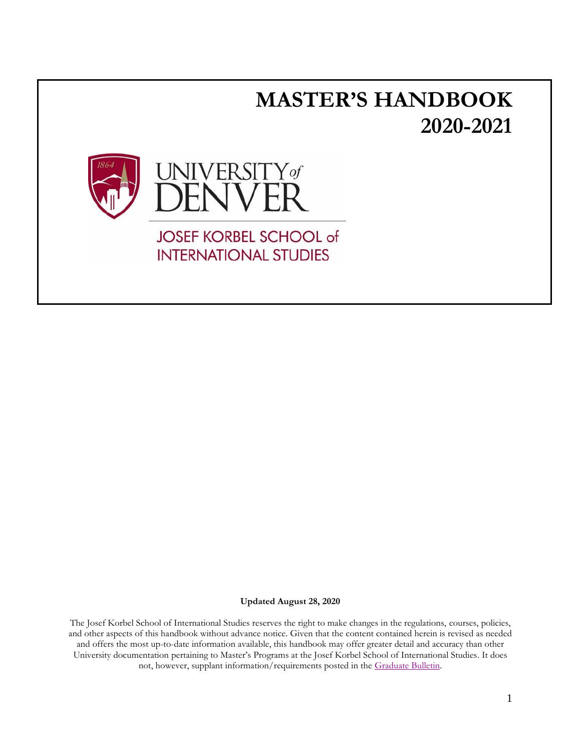

**Updated August 28, 2020**

The Josef Korbel School of International Studies reserves the right to make changes in the regulations, courses, policies, and other aspects of this handbook without advance notice. Given that the content contained herein is revised as needed and offers the most up-to-date information available, this handbook may offer greater detail and accuracy than other University documentation pertaining to Master's Programs at the Josef Korbel School of International Studies. It does not, however, supplant information/requirements posted in the [Graduate Bulletin.](http://www.du.edu/registrar/programs/bulletin.html)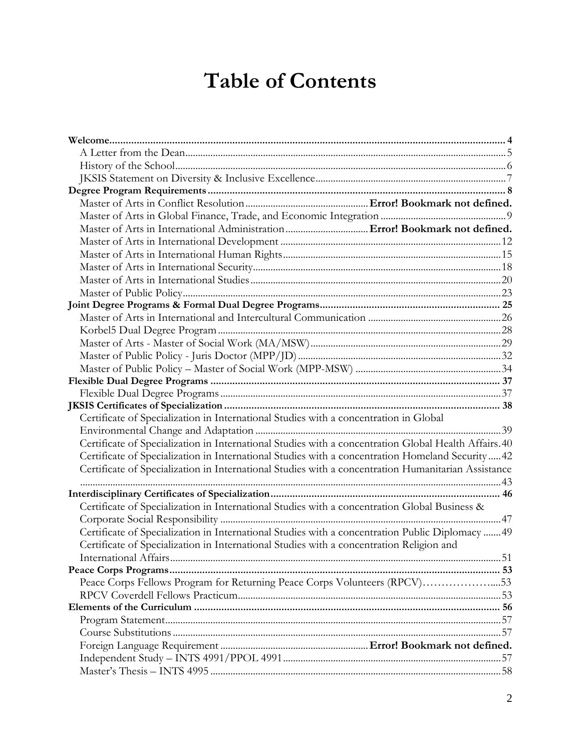# **Table of Contents**

| Certificate of Specialization in International Studies with a concentration in Global                |  |
|------------------------------------------------------------------------------------------------------|--|
|                                                                                                      |  |
| Certificate of Specialization in International Studies with a concentration Global Health Affairs.40 |  |
| Certificate of Specialization in International Studies with a concentration Homeland Security  42    |  |
| Certificate of Specialization in International Studies with a concentration Humanitarian Assistance  |  |
|                                                                                                      |  |
|                                                                                                      |  |
| Certificate of Specialization in International Studies with a concentration Global Business &        |  |
|                                                                                                      |  |
| Certificate of Specialization in International Studies with a concentration Public Diplomacy  49     |  |
| Certificate of Specialization in International Studies with a concentration Religion and             |  |
|                                                                                                      |  |
|                                                                                                      |  |
| Peace Corps Fellows Program for Returning Peace Corps Volunteers (RPCV)53                            |  |
|                                                                                                      |  |
|                                                                                                      |  |
|                                                                                                      |  |
|                                                                                                      |  |
|                                                                                                      |  |
|                                                                                                      |  |
|                                                                                                      |  |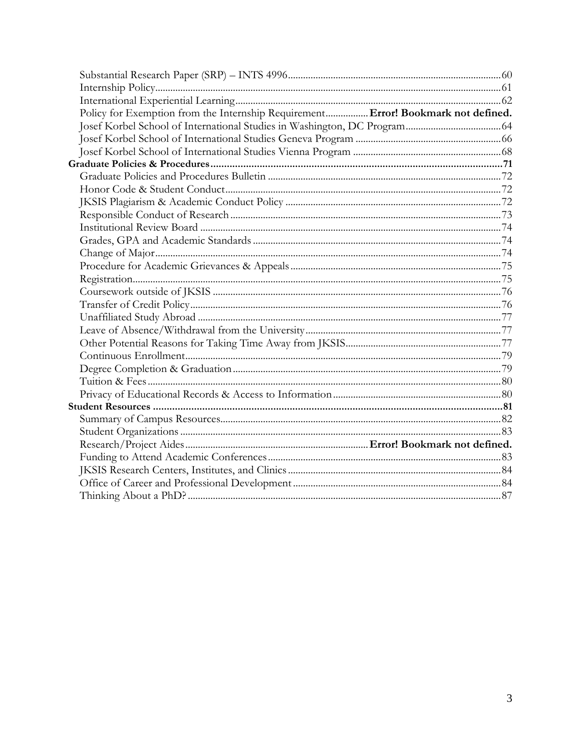| Policy for Exemption from the Internship Requirement Error! Bookmark not defined. |  |
|-----------------------------------------------------------------------------------|--|
|                                                                                   |  |
|                                                                                   |  |
|                                                                                   |  |
|                                                                                   |  |
|                                                                                   |  |
|                                                                                   |  |
|                                                                                   |  |
|                                                                                   |  |
|                                                                                   |  |
|                                                                                   |  |
|                                                                                   |  |
|                                                                                   |  |
|                                                                                   |  |
|                                                                                   |  |
|                                                                                   |  |
|                                                                                   |  |
|                                                                                   |  |
|                                                                                   |  |
|                                                                                   |  |
|                                                                                   |  |
|                                                                                   |  |
|                                                                                   |  |
|                                                                                   |  |
|                                                                                   |  |
|                                                                                   |  |
|                                                                                   |  |
|                                                                                   |  |
|                                                                                   |  |
|                                                                                   |  |
|                                                                                   |  |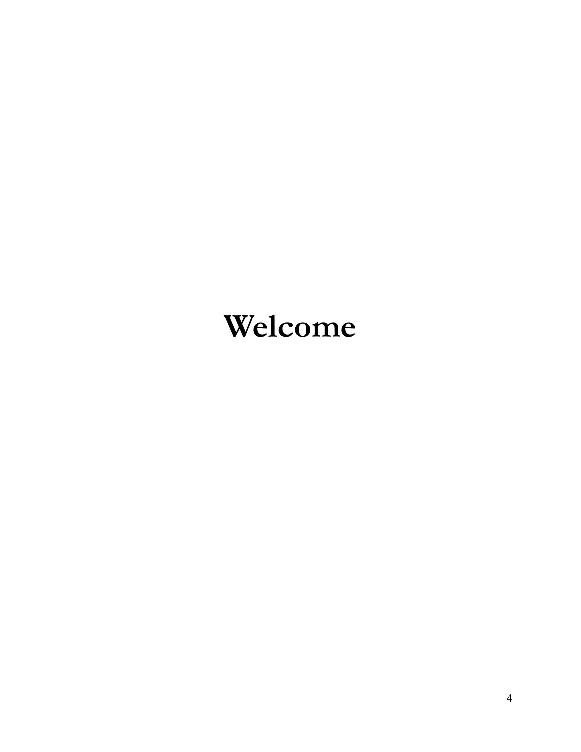# <span id="page-3-0"></span>**Welcome**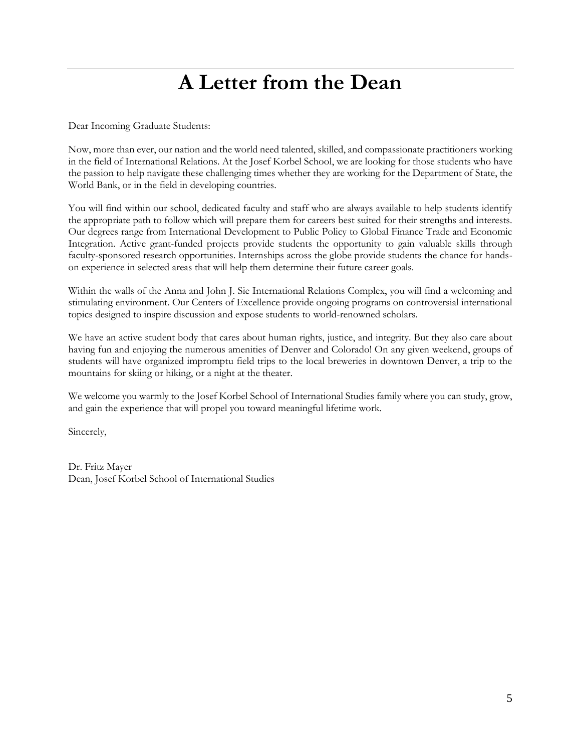# **A Letter from the Dean**

<span id="page-4-0"></span>Dear Incoming Graduate Students:

Now, more than ever, our nation and the world need talented, skilled, and compassionate practitioners working in the field of International Relations. At the Josef Korbel School, we are looking for those students who have the passion to help navigate these challenging times whether they are working for the Department of State, the World Bank, or in the field in developing countries.

You will find within our school, dedicated faculty and staff who are always available to help students identify the appropriate path to follow which will prepare them for careers best suited for their strengths and interests. Our degrees range from International Development to Public Policy to Global Finance Trade and Economic Integration. Active grant-funded projects provide students the opportunity to gain valuable skills through faculty-sponsored research opportunities. Internships across the globe provide students the chance for handson experience in selected areas that will help them determine their future career goals.

Within the walls of the Anna and John J. Sie International Relations Complex, you will find a welcoming and stimulating environment. Our Centers of Excellence provide ongoing programs on controversial international topics designed to inspire discussion and expose students to world-renowned scholars.

We have an active student body that cares about human rights, justice, and integrity. But they also care about having fun and enjoying the numerous amenities of Denver and Colorado! On any given weekend, groups of students will have organized impromptu field trips to the local breweries in downtown Denver, a trip to the mountains for skiing or hiking, or a night at the theater.

We welcome you warmly to the Josef Korbel School of International Studies family where you can study, grow, and gain the experience that will propel you toward meaningful lifetime work.

Sincerely,

Dr. Fritz Mayer Dean, Josef Korbel School of International Studies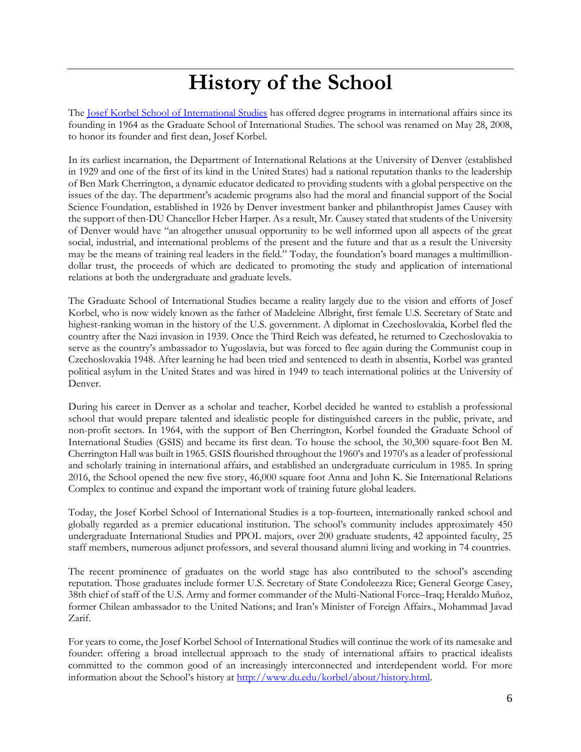# **History of the School**

<span id="page-5-0"></span>The <u>Josef Korbel School of International Studies</u> has offered degree programs in international affairs since its founding in 1964 as the Graduate School of International Studies. The school was renamed on May 28, 2008, to honor its founder and first dean, Josef Korbel.

In its earliest incarnation, the Department of International Relations at the University of Denver (established in 1929 and one of the first of its kind in the United States) had a national reputation thanks to the leadership of Ben Mark Cherrington, a dynamic educator dedicated to providing students with a global perspective on the issues of the day. The department's academic programs also had the moral and financial support of the Social Science Foundation, established in 1926 by Denver investment banker and philanthropist James Causey with the support of then-DU Chancellor Heber Harper. As a result, Mr. Causey stated that students of the University of Denver would have "an altogether unusual opportunity to be well informed upon all aspects of the great social, industrial, and international problems of the present and the future and that as a result the University may be the means of training real leaders in the field." Today, the foundation's board manages a multimilliondollar trust, the proceeds of which are dedicated to promoting the study and application of international relations at both the undergraduate and graduate levels.

The Graduate School of International Studies became a reality largely due to the vision and efforts of Josef Korbel, who is now widely known as the father of Madeleine Albright, first female U.S. Secretary of State and highest-ranking woman in the history of the U.S. government. A diplomat in Czechoslovakia, Korbel fled the country after the Nazi invasion in 1939. Once the Third Reich was defeated, he returned to Czechoslovakia to serve as the country's ambassador to Yugoslavia, but was forced to flee again during the Communist coup in Czechoslovakia 1948. After learning he had been tried and sentenced to death in absentia, Korbel was granted political asylum in the United States and was hired in 1949 to teach international politics at the University of Denver.

During his career in Denver as a scholar and teacher, Korbel decided he wanted to establish a professional school that would prepare talented and idealistic people for distinguished careers in the public, private, and non-profit sectors. In 1964, with the support of Ben Cherrington, Korbel founded the Graduate School of International Studies (GSIS) and became its first dean. To house the school, the 30,300 square-foot Ben M. Cherrington Hall was built in 1965. GSIS flourished throughout the 1960's and 1970's as a leader of professional and scholarly training in international affairs, and established an undergraduate curriculum in 1985. In spring 2016, the School opened the new five story, 46,000 square foot Anna and John K. Sie International Relations Complex to continue and expand the important work of training future global leaders.

Today, the Josef Korbel School of International Studies is a top-fourteen, internationally ranked school and globally regarded as a premier educational institution. The school's community includes approximately 450 undergraduate International Studies and PPOL majors, over 200 graduate students, 42 appointed faculty, 25 staff members, numerous adjunct professors, and several thousand alumni living and working in 74 countries.

The recent prominence of graduates on the world stage has also contributed to the school's ascending reputation. Those graduates include former U.S. Secretary of State Condoleezza Rice; General George Casey, 38th chief of staff of the U.S. Army and former commander of the Multi-National Force–Iraq; Heraldo Muñoz, former Chilean ambassador to the United Nations; and Iran's Minister of Foreign Affairs., Mohammad Javad Zarif.

For years to come, the Josef Korbel School of International Studies will continue the work of its namesake and founder: offering a broad intellectual approach to the study of international affairs to practical idealists committed to the common good of an increasingly interconnected and interdependent world. For more information about the School's history at [http://www.du.edu/korbel/about/history.html.](http://www.du.edu/korbel/about/history.html)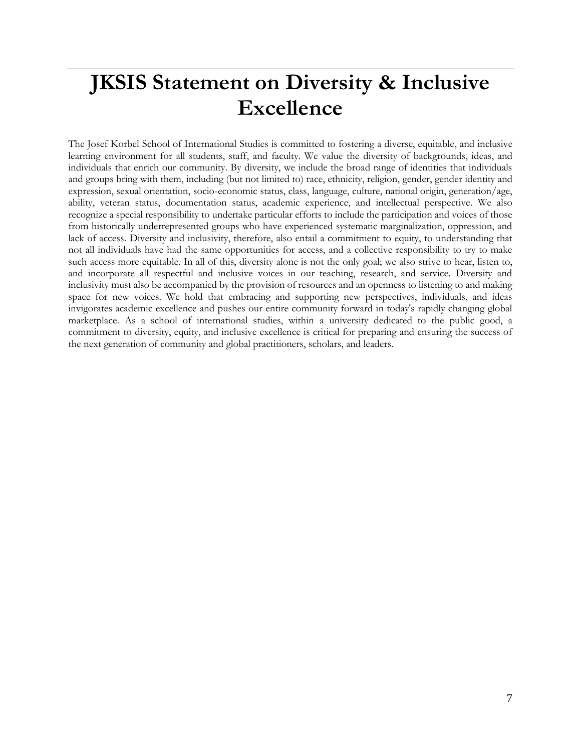# <span id="page-6-0"></span>**JKSIS Statement on Diversity & Inclusive Excellence**

The Josef Korbel School of International Studies is committed to fostering a diverse, equitable, and inclusive learning environment for all students, staff, and faculty. We value the diversity of backgrounds, ideas, and individuals that enrich our community. By diversity, we include the broad range of identities that individuals and groups bring with them, including (but not limited to) race, ethnicity, religion, gender, gender identity and expression, sexual orientation, socio-economic status, class, language, culture, national origin, generation/age, ability, veteran status, documentation status, academic experience, and intellectual perspective. We also recognize a special responsibility to undertake particular efforts to include the participation and voices of those from historically underrepresented groups who have experienced systematic marginalization, oppression, and lack of access. Diversity and inclusivity, therefore, also entail a commitment to equity, to understanding that not all individuals have had the same opportunities for access, and a collective responsibility to try to make such access more equitable. In all of this, diversity alone is not the only goal; we also strive to hear, listen to, and incorporate all respectful and inclusive voices in our teaching, research, and service. Diversity and inclusivity must also be accompanied by the provision of resources and an openness to listening to and making space for new voices. We hold that embracing and supporting new perspectives, individuals, and ideas invigorates academic excellence and pushes our entire community forward in today's rapidly changing global marketplace. As a school of international studies, within a university dedicated to the public good, a commitment to diversity, equity, and inclusive excellence is critical for preparing and ensuring the success of the next generation of community and global practitioners, scholars, and leaders.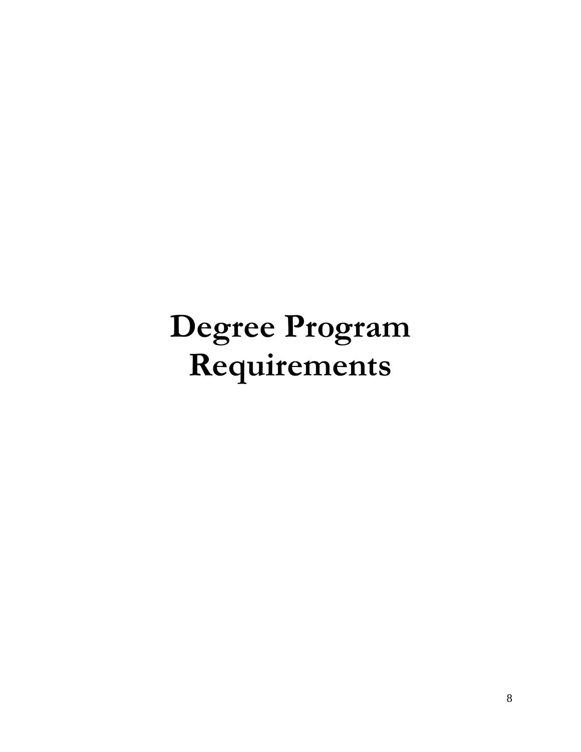# <span id="page-7-0"></span>**Degree Program Requirements**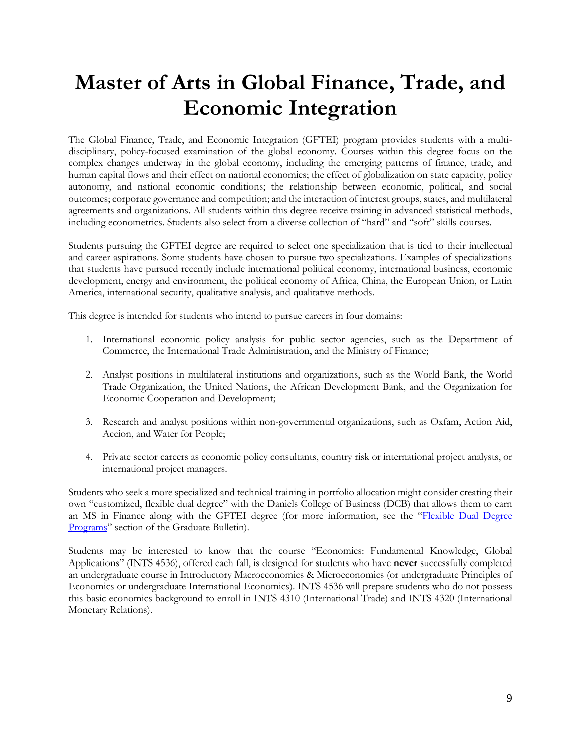# <span id="page-8-0"></span>**Master of Arts in Global Finance, Trade, and Economic Integration**

The Global Finance, Trade, and Economic Integration (GFTEI) program provides students with a multidisciplinary, policy-focused examination of the global economy. Courses within this degree focus on the complex changes underway in the global economy, including the emerging patterns of finance, trade, and human capital flows and their effect on national economies; the effect of globalization on state capacity, policy autonomy, and national economic conditions; the relationship between economic, political, and social outcomes; corporate governance and competition; and the interaction of interest groups, states, and multilateral agreements and organizations. All students within this degree receive training in advanced statistical methods, including econometrics. Students also select from a diverse collection of "hard" and "soft" skills courses.

Students pursuing the GFTEI degree are required to select one specialization that is tied to their intellectual and career aspirations. Some students have chosen to pursue two specializations. Examples of specializations that students have pursued recently include international political economy, international business, economic development, energy and environment, the political economy of Africa, China, the European Union, or Latin America, international security, qualitative analysis, and qualitative methods.

This degree is intended for students who intend to pursue careers in four domains:

- 1. International economic policy analysis for public sector agencies, such as the Department of Commerce, the International Trade Administration, and the Ministry of Finance;
- 2. Analyst positions in multilateral institutions and organizations, such as the World Bank, the World Trade Organization, the United Nations, the African Development Bank, and the Organization for Economic Cooperation and Development;
- 3. Research and analyst positions within non-governmental organizations, such as Oxfam, Action Aid, Accion, and Water for People;
- 4. Private sector careers as economic policy consultants, country risk or international project analysts, or international project managers.

Students who seek a more specialized and technical training in portfolio allocation might consider creating their own "customized, flexible dual degree" with the Daniels College of Business (DCB) that allows them to earn an MS in Finance along with the GFTEI degree (for more information, see the "Flexible Dual Degree [Programs](http://bulletin.du.edu/graduate/dual-degrees/flexible-dual-degree-programs/)" section of the Graduate Bulletin).

Students may be interested to know that the course "Economics: Fundamental Knowledge, Global Applications" (INTS 4536), offered each fall, is designed for students who have **never** successfully completed an undergraduate course in Introductory Macroeconomics & Microeconomics (or undergraduate Principles of Economics or undergraduate International Economics). INTS 4536 will prepare students who do not possess this basic economics background to enroll in INTS 4310 (International Trade) and INTS 4320 (International Monetary Relations).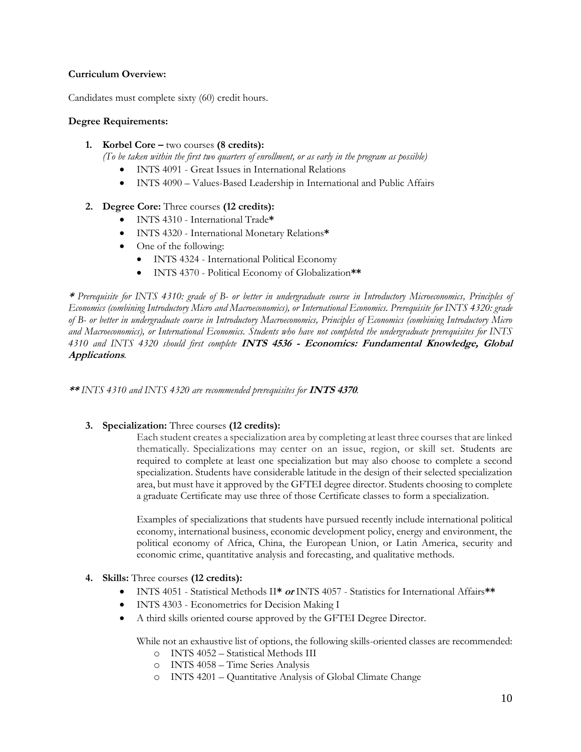### **Curriculum Overview:**

Candidates must complete sixty (60) credit hours.

### **Degree Requirements:**

**1. Korbel Core –** two courses **(8 credits):**

*(To be taken within the first two quarters of enrollment, or as early in the program as possible)*

- INTS 4091 Great Issues in International Relations
- INTS 4090 Values-Based Leadership in International and Public Affairs

# **2. Degree Core:** Three courses **(12 credits):**

- INTS 4310 International Trade**\***
- INTS 4320 International Monetary Relations**\***
- One of the following:
	- INTS 4324 International Political Economy
	- INTS 4370 Political Economy of Globalization**\*\***

**\*** *Prerequisite for INTS 4310: grade of B- or better in undergraduate course in Introductory Microeconomics, Principles of Economics (combining Introductory Micro and Macroeconomics), or International Economics. Prerequisite for INTS 4320: grade of B- or better in undergraduate course in Introductory Macroeconomics, Principles of Economics (combining Introductory Micro and Macroeconomics), or International Economics. Students who have not completed the undergraduate prerequisites for INTS 4310 and INTS 4320 should first complete* **INTS 4536 - Economics: Fundamental Knowledge, Global Applications***.*

**\*\*** *INTS 4310 and INTS 4320 are recommended prerequisites for* **INTS 4370***.*

# **3. Specialization:** Three courses **(12 credits):**

Each student creates a specialization area by completing at least three coursesthat are linked thematically. Specializations may center on an issue, region, or skill set. Students are required to complete at least one specialization but may also choose to complete a second specialization. Students have considerable latitude in the design of their selected specialization area, but must have it approved by the GFTEI degree director. Students choosing to complete a graduate Certificate may use three of those Certificate classes to form a specialization.

Examples of specializations that students have pursued recently include international political economy, international business, economic development policy, energy and environment, the political economy of Africa, China, the European Union, or Latin America, security and economic crime, quantitative analysis and forecasting, and qualitative methods.

# **4. Skills:** Three courses **(12 credits):**

- INTS 4051 Statistical Methods II**\* or** INTS 4057 Statistics for International Affairs**\*\***
- INTS 4303 Econometrics for Decision Making I
- A third skills oriented course approved by the GFTEI Degree Director.

While not an exhaustive list of options, the following skills-oriented classes are recommended:

- o INTS 4052 Statistical Methods III
- o INTS 4058 Time Series Analysis
- o INTS 4201 Quantitative Analysis of Global Climate Change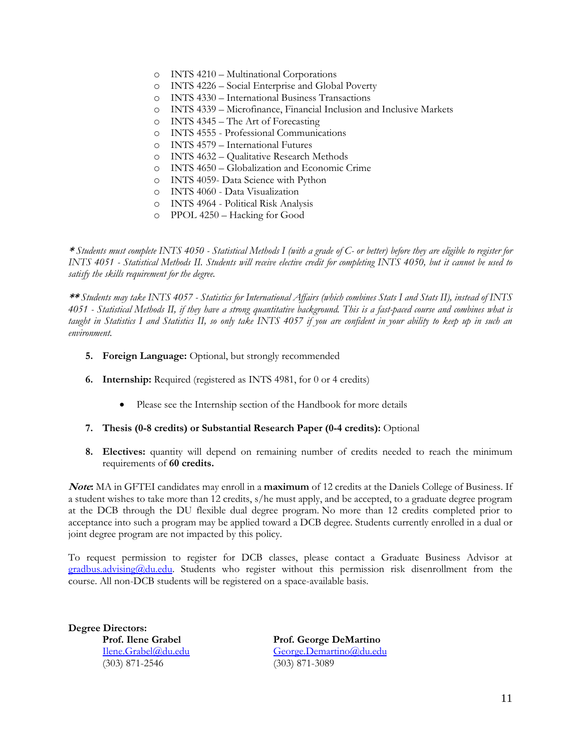- o INTS 4210 Multinational Corporations
- o INTS 4226 Social Enterprise and Global Poverty
- o INTS 4330 International Business Transactions
- o INTS 4339 Microfinance, Financial Inclusion and Inclusive Markets
- o INTS 4345 The Art of Forecasting
- o INTS 4555 Professional Communications
- o INTS 4579 International Futures
- o INTS 4632 Qualitative Research Methods
- o INTS 4650 Globalization and Economic Crime
- o INTS 4059- Data Science with Python
- o INTS 4060 Data Visualization
- o INTS 4964 Political Risk Analysis
- o PPOL 4250 Hacking for Good

**\*** *Students must complete INTS 4050 - Statistical Methods I (with a grade of C- or better) before they are eligible to register for INTS 4051 - Statistical Methods II. Students will receive elective credit for completing INTS 4050, but it cannot be used to satisfy the skills requirement for the degree.* 

**\*\*** *Students may take INTS 4057 - Statistics for International Affairs (which combines Stats I and Stats II), instead of INTS 4051 - Statistical Methods II, if they have a strong quantitative background. This is a fast-paced course and combines what is taught in Statistics I and Statistics II, so only take INTS 4057 if you are confident in your ability to keep up in such an environment.* 

- **5. Foreign Language:** Optional, but strongly recommended
- **6. Internship:** Required (registered as INTS 4981, for 0 or 4 credits)
	- Please see the Internship section of the Handbook for more details
- **7. Thesis (0-8 credits) or Substantial Research Paper (0-4 credits):** Optional
- **8. Electives:** quantity will depend on remaining number of credits needed to reach the minimum requirements of **60 credits.**

**Note:** MA in GFTEI candidates may enroll in a **maximum** of 12 credits at the Daniels College of Business. If a student wishes to take more than 12 credits, s/he must apply, and be accepted, to a graduate degree program at the DCB through the DU flexible dual degree program. No more than 12 credits completed prior to acceptance into such a program may be applied toward a DCB degree. Students currently enrolled in a dual or joint degree program are not impacted by this policy.

To request permission to register for DCB classes, please contact a Graduate Business Advisor at [gradbus.advising@du.edu.](mailto:gradbus.advising@du.edu) Students who register without this permission risk disenrollment from the course. All non-DCB students will be registered on a space-available basis.

**Degree Directors:**  (303) 871-2546 (303) 871-3089

**Prof. Ilene Grabel Prof. George DeMartino** [Ilene.Grabel@du.edu](mailto:Ilene.Grabel@du.edu) [George.Demartino@du.edu](mailto:George.Demartino@du.edu)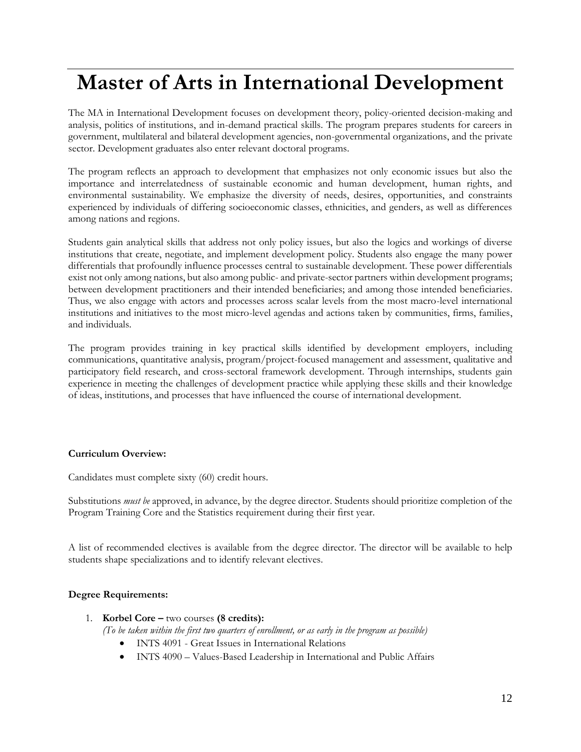# <span id="page-11-0"></span>**Master of Arts in International Development**

The MA in International Development focuses on development theory, policy-oriented decision-making and analysis, politics of institutions, and in-demand practical skills. The program prepares students for careers in government, multilateral and bilateral development agencies, non-governmental organizations, and the private sector. Development graduates also enter relevant doctoral programs.

The program reflects an approach to development that emphasizes not only economic issues but also the importance and interrelatedness of sustainable economic and human development, human rights, and environmental sustainability. We emphasize the diversity of needs, desires, opportunities, and constraints experienced by individuals of differing socioeconomic classes, ethnicities, and genders, as well as differences among nations and regions.

Students gain analytical skills that address not only policy issues, but also the logics and workings of diverse institutions that create, negotiate, and implement development policy. Students also engage the many power differentials that profoundly influence processes central to sustainable development. These power differentials exist not only among nations, but also among public- and private-sector partners within development programs; between development practitioners and their intended beneficiaries; and among those intended beneficiaries. Thus, we also engage with actors and processes across scalar levels from the most macro-level international institutions and initiatives to the most micro-level agendas and actions taken by communities, firms, families, and individuals.

The program provides training in key practical skills identified by development employers, including communications, quantitative analysis, program/project-focused management and assessment, qualitative and participatory field research, and cross-sectoral framework development. Through internships, students gain experience in meeting the challenges of development practice while applying these skills and their knowledge of ideas, institutions, and processes that have influenced the course of international development.

#### **Curriculum Overview:**

Candidates must complete sixty (60) credit hours.

Substitutions *must be* approved, in advance, by the degree director. Students should prioritize completion of the Program Training Core and the Statistics requirement during their first year.

A list of recommended electives is available from the degree director. The director will be available to help students shape specializations and to identify relevant electives.

# **Degree Requirements:**

1. **Korbel Core –** two courses **(8 credits):**

*(To be taken within the first two quarters of enrollment, or as early in the program as possible)*

- INTS 4091 Great Issues in International Relations
- INTS 4090 Values-Based Leadership in International and Public Affairs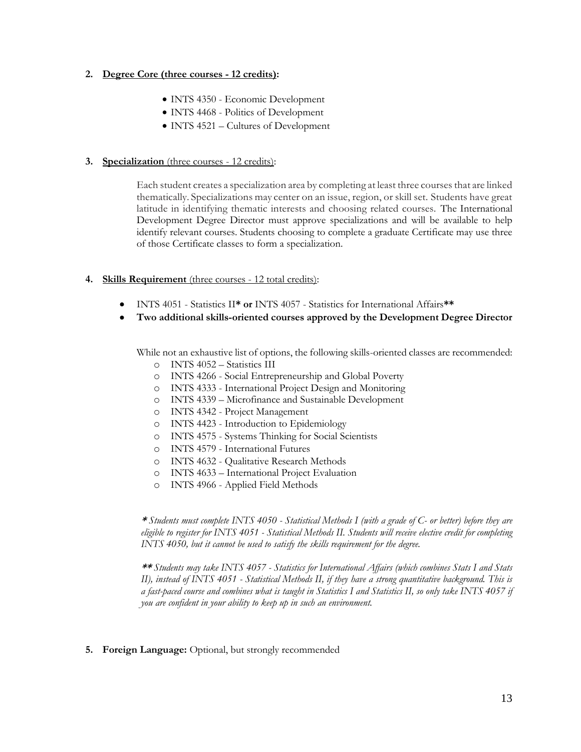### **2. Degree Core (three courses - 12 credits):**

- INTS 4350 Economic Development
- INTS 4468 Politics of Development
- INTS 4521 Cultures of Development

#### **3. Specialization** (three courses - 12 credits):

Each student creates a specialization area by completing at least three coursesthat are linked thematically. Specializations may center on an issue, region, or skill set. Students have great latitude in identifying thematic interests and choosing related courses. The International Development Degree Director must approve specializations and will be available to help identify relevant courses. Students choosing to complete a graduate Certificate may use three of those Certificate classes to form a specialization.

#### **4. Skills Requirement** (three courses - 12 total credits):

- INTS 4051 Statistics II**\* or** INTS 4057 Statistics for International Affairs**\*\***
- **Two additional skills-oriented courses approved by the Development Degree Director**

While not an exhaustive list of options, the following skills-oriented classes are recommended:

- o INTS 4052 Statistics III
- o INTS 4266 Social Entrepreneurship and Global Poverty
- o INTS 4333 International Project Design and Monitoring
- o INTS 4339 Microfinance and Sustainable Development
- o INTS 4342 Project Management
- o INTS 4423 Introduction to Epidemiology
- o INTS 4575 Systems Thinking for Social Scientists
- o INTS 4579 International Futures
- o INTS 4632 Qualitative Research Methods
- o INTS 4633 International Project Evaluation
- o INTS 4966 Applied Field Methods

**\*** *Students must complete INTS 4050 - Statistical Methods I (with a grade of C- or better) before they are eligible to register for INTS 4051 - Statistical Methods II. Students will receive elective credit for completing INTS 4050, but it cannot be used to satisfy the skills requirement for the degree.* 

**\*\*** *Students may take INTS 4057 - Statistics for International Affairs (which combines Stats I and Stats II), instead of INTS 4051 - Statistical Methods II, if they have a strong quantitative background. This is a fast-paced course and combines what is taught in Statistics I and Statistics II, so only take INTS 4057 if you are confident in your ability to keep up in such an environment.* 

**5. Foreign Language:** Optional, but strongly recommended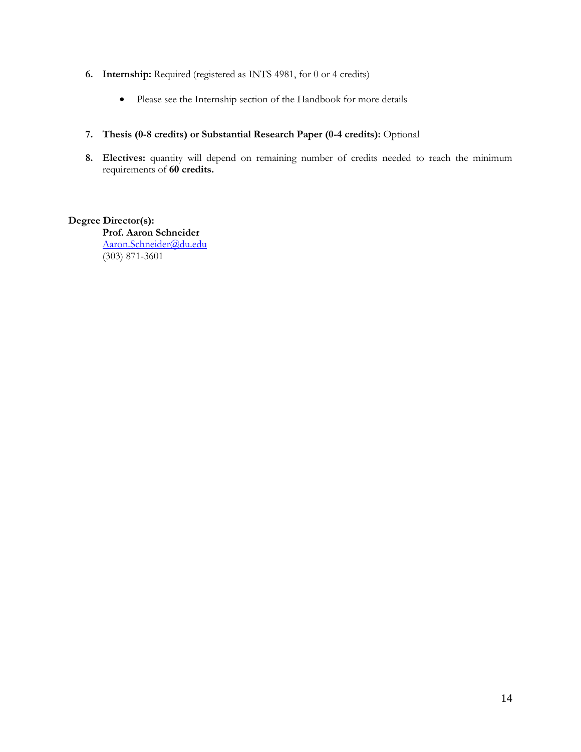- **6. Internship:** Required (registered as INTS 4981, for 0 or 4 credits)
	- Please see the Internship section of the Handbook for more details

# **7. Thesis (0-8 credits) or Substantial Research Paper (0-4 credits):** Optional

8. Electives: quantity will depend on remaining number of credits needed to reach the minimum requirements of **60 credits.**

# **Degree Director(s):**

**Prof. Aaron Schneider** [Aaron.Schneider@du.edu](mailto:Aaron.Schneider@du.edu) (303) 871-3601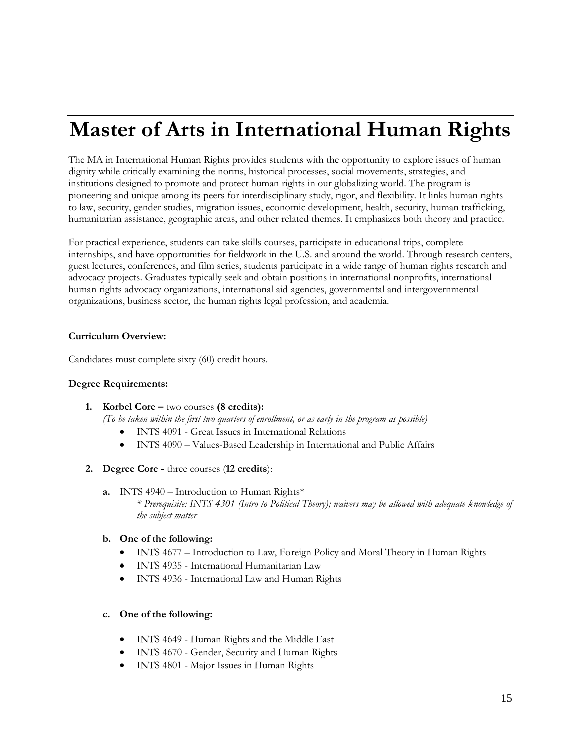# <span id="page-14-0"></span>**Master of Arts in International Human Rights**

The MA in International Human Rights provides students with the opportunity to explore issues of human dignity while critically examining the norms, historical processes, social movements, strategies, and institutions designed to promote and protect human rights in our globalizing world. The program is pioneering and unique among its peers for interdisciplinary study, rigor, and flexibility. It links human rights to law, security, gender studies, migration issues, economic development, health, security, human trafficking, humanitarian assistance, geographic areas, and other related themes. It emphasizes both theory and practice.

For practical experience, students can take skills courses, participate in educational trips, complete internships, and have opportunities for fieldwork in the U.S. and around the world. Through research centers, guest lectures, conferences, and film series, students participate in a wide range of human rights research and advocacy projects. Graduates typically seek and obtain positions in international nonprofits, international human rights advocacy organizations, international aid agencies, governmental and intergovernmental organizations, business sector, the human rights legal profession, and academia.

# **Curriculum Overview:**

Candidates must complete sixty (60) credit hours.

# **Degree Requirements:**

**1. Korbel Core –** two courses **(8 credits):**

*(To be taken within the first two quarters of enrollment, or as early in the program as possible)*

- INTS 4091 Great Issues in International Relations
- INTS 4090 Values-Based Leadership in International and Public Affairs
- **2. Degree Core -** three courses (**12 credits**):
	- **a.** INTS 4940 Introduction to Human Rights\* *\* Prerequisite: INTS 4301 (Intro to Political Theory); waivers may be allowed with adequate knowledge of the subject matter*

# **b. One of the following:**

- INTS 4677 Introduction to Law, Foreign Policy and Moral Theory in Human Rights
- INTS 4935 International Humanitarian Law
- INTS 4936 International Law and Human Rights

#### **c. One of the following:**

- INTS 4649 Human Rights and the Middle East
- INTS 4670 Gender, Security and Human Rights
- INTS 4801 Major Issues in Human Rights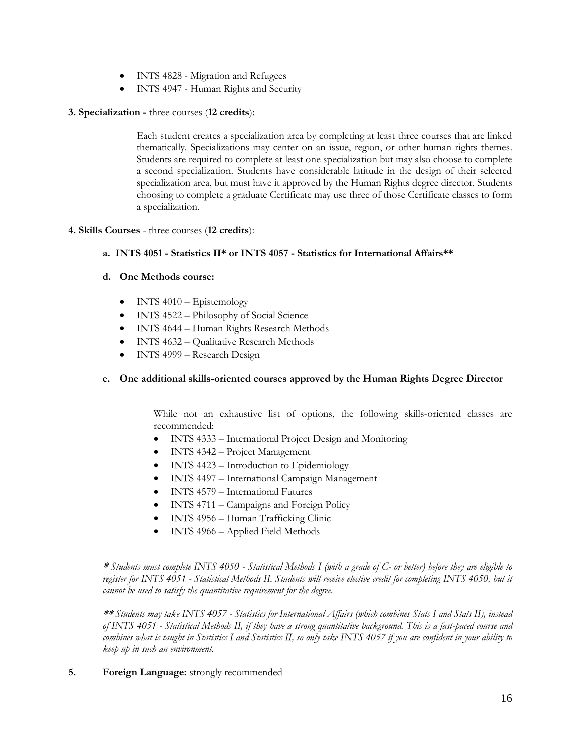- INTS 4828 Migration and Refugees
- INTS 4947 Human Rights and Security
- **3. Specialization -** three courses (**12 credits**):

Each student creates a specialization area by completing at least three courses that are linked thematically. Specializations may center on an issue, region, or other human rights themes. Students are required to complete at least one specialization but may also choose to complete a second specialization. Students have considerable latitude in the design of their selected specialization area, but must have it approved by the Human Rights degree director. Students choosing to complete a graduate Certificate may use three of those Certificate classes to form a specialization.

# **4. Skills Courses** - three courses (**12 credits**):

# **a. INTS 4051 - Statistics II\* or INTS 4057 - Statistics for International Affairs\*\***

# **d. One Methods course:**

- INTS 4010 Epistemology
- INTS 4522 Philosophy of Social Science
- INTS 4644 Human Rights Research Methods
- INTS 4632 Qualitative Research Methods
- INTS 4999 Research Design

# **e. One additional skills-oriented courses approved by the Human Rights Degree Director**

While not an exhaustive list of options, the following skills-oriented classes are recommended:

- INTS 4333 International Project Design and Monitoring
- INTS 4342 Project Management
- INTS 4423 Introduction to Epidemiology
- INTS 4497 International Campaign Management
- INTS 4579 International Futures
- INTS 4711 Campaigns and Foreign Policy
- INTS 4956 Human Trafficking Clinic
- INTS 4966 Applied Field Methods

**\*** *Students must complete INTS 4050 - Statistical Methods I (with a grade of C- or better) before they are eligible to register for INTS 4051 - Statistical Methods II. Students will receive elective credit for completing INTS 4050, but it cannot be used to satisfy the quantitative requirement for the degree.* 

**\*\*** *Students may take INTS 4057 - Statistics for International Affairs (which combines Stats I and Stats II), instead of INTS 4051 - Statistical Methods II, if they have a strong quantitative background. This is a fast-paced course and combines what is taught in Statistics I and Statistics II, so only take INTS 4057 if you are confident in your ability to keep up in such an environment.* 

# **5. Foreign Language:** strongly recommended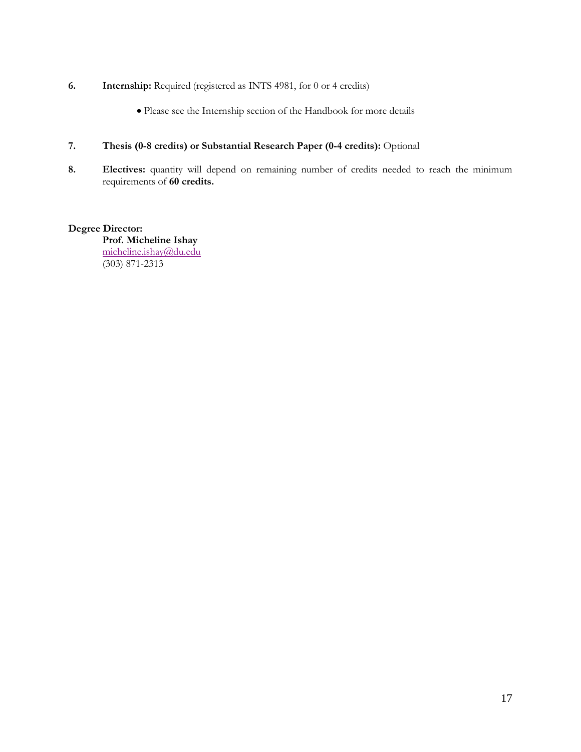- **6. Internship:** Required (registered as INTS 4981, for 0 or 4 credits)
	- Please see the Internship section of the Handbook for more details
- **7. Thesis (0-8 credits) or Substantial Research Paper (0-4 credits):** Optional
- 8. **Electives:** quantity will depend on remaining number of credits needed to reach the minimum requirements of **60 credits.**

# **Degree Director:**

**Prof. Micheline Ishay** [micheline.ishay@du.edu](mailto:micheline.ishay@du.edu) (303) 871-2313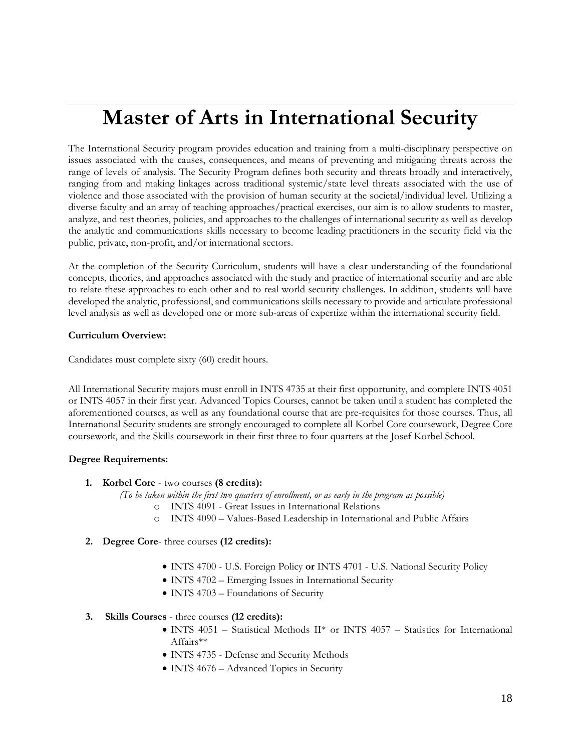# <span id="page-17-0"></span>**Master of Arts in International Security**

The International Security program provides education and training from a multi-disciplinary perspective on issues associated with the causes, consequences, and means of preventing and mitigating threats across the range of levels of analysis. The Security Program defines both security and threats broadly and interactively, ranging from and making linkages across traditional systemic/state level threats associated with the use of violence and those associated with the provision of human security at the societal/individual level. Utilizing a diverse faculty and an array of teaching approaches/practical exercises, our aim is to allow students to master, analyze, and test theories, policies, and approaches to the challenges of international security as well as develop the analytic and communications skills necessary to become leading practitioners in the security field via the public, private, non-profit, and/or international sectors.

At the completion of the Security Curriculum, students will have a clear understanding of the foundational concepts, theories, and approaches associated with the study and practice of international security and are able to relate these approaches to each other and to real world security challenges. In addition, students will have developed the analytic, professional, and communications skills necessary to provide and articulate professional level analysis as well as developed one or more sub-areas of expertize within the international security field.

### **Curriculum Overview:**

Candidates must complete sixty (60) credit hours.

All International Security majors must enroll in INTS 4735 at their first opportunity, and complete INTS 4051 or INTS 4057 in their first year. Advanced Topics Courses, cannot be taken until a student has completed the aforementioned courses, as well as any foundational course that are pre-requisites for those courses. Thus, all International Security students are strongly encouraged to complete all Korbel Core coursework, Degree Core coursework, and the Skills coursework in their first three to four quarters at the Josef Korbel School.

# **Degree Requirements:**

**1. Korbel Core** - two courses **(8 credits):**

*(To be taken within the first two quarters of enrollment, or as early in the program as possible)*

- o INTS 4091 Great Issues in International Relations
- o INTS 4090 Values-Based Leadership in International and Public Affairs
- **2. Degree Core** three courses **(12 credits):**
	- INTS 4700 U.S. Foreign Policy **or** INTS 4701 U.S. National Security Policy
	- INTS 4702 Emerging Issues in International Security
	- INTS 4703 Foundations of Security

# **3. Skills Courses** - three courses **(12 credits):**

- INTS 4051 Statistical Methods II\* or INTS 4057 Statistics for International Affairs\*\*
- INTS 4735 Defense and Security Methods
- INTS 4676 Advanced Topics in Security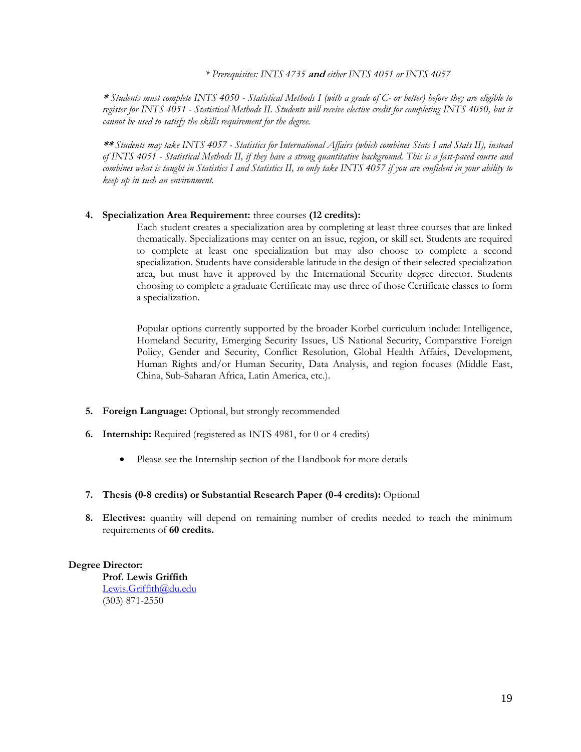*\* Prerequisites: INTS 4735* **and** *either INTS 4051 or INTS 4057*

**\*** *Students must complete INTS 4050 - Statistical Methods I (with a grade of C- or better) before they are eligible to register for INTS 4051 - Statistical Methods II. Students will receive elective credit for completing INTS 4050, but it cannot be used to satisfy the skills requirement for the degree.* 

**\*\*** *Students may take INTS 4057 - Statistics for International Affairs (which combines Stats I and Stats II), instead of INTS 4051 - Statistical Methods II, if they have a strong quantitative background. This is a fast-paced course and combines what is taught in Statistics I and Statistics II, so only take INTS 4057 if you are confident in your ability to keep up in such an environment.* 

#### **4. Specialization Area Requirement:** three courses **(12 credits):**

Each student creates a specialization area by completing at least three courses that are linked thematically. Specializations may center on an issue, region, or skill set. Students are required to complete at least one specialization but may also choose to complete a second specialization. Students have considerable latitude in the design of their selected specialization area, but must have it approved by the International Security degree director. Students choosing to complete a graduate Certificate may use three of those Certificate classes to form a specialization.

Popular options currently supported by the broader Korbel curriculum include: Intelligence, Homeland Security, Emerging Security Issues, US National Security, Comparative Foreign Policy, Gender and Security, Conflict Resolution, Global Health Affairs, Development, Human Rights and/or Human Security, Data Analysis, and region focuses (Middle East, China, Sub-Saharan Africa, Latin America, etc.).

- **5. Foreign Language:** Optional, but strongly recommended
- **6. Internship:** Required (registered as INTS 4981, for 0 or 4 credits)
	- Please see the Internship section of the Handbook for more details
- **7. Thesis (0-8 credits) or Substantial Research Paper (0-4 credits):** Optional
- **8. Electives:** quantity will depend on remaining number of credits needed to reach the minimum requirements of **60 credits.**

# **Degree Director:**

**Prof. Lewis Griffith** [Lewis.Griffith@du.edu](mailto:Lewis.Griffith@du.edu) (303) 871-2550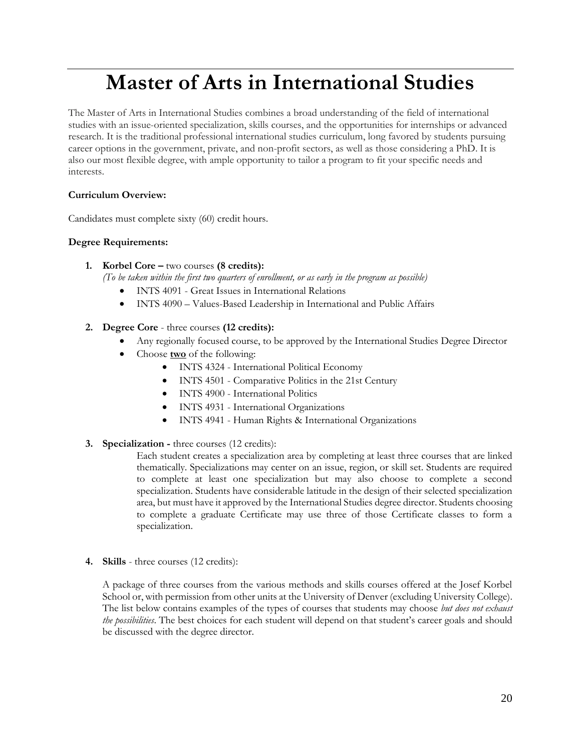# <span id="page-19-0"></span>**Master of Arts in International Studies**

The Master of Arts in International Studies combines a broad understanding of the field of international studies with an issue-oriented specialization, skills courses, and the opportunities for internships or advanced research. It is the traditional professional international studies curriculum, long favored by students pursuing career options in the government, private, and non-profit sectors, as well as those considering a PhD. It is also our most flexible degree, with ample opportunity to tailor a program to fit your specific needs and interests.

# **Curriculum Overview:**

Candidates must complete sixty (60) credit hours.

# **Degree Requirements:**

- **1. Korbel Core –** two courses **(8 credits):**
	- *(To be taken within the first two quarters of enrollment, or as early in the program as possible)*
		- INTS 4091 Great Issues in International Relations
		- INTS 4090 Values-Based Leadership in International and Public Affairs

# **2. Degree Core** - three courses **(12 credits):**

- Any regionally focused course, to be approved by the International Studies Degree Director
- Choose **two** of the following:
	- INTS 4324 International Political Economy
	- INTS 4501 Comparative Politics in the 21st Century
	- INTS 4900 International Politics
	- INTS 4931 International Organizations
	- INTS 4941 Human Rights & International Organizations
- **3. Specialization -** three courses (12 credits):

Each student creates a specialization area by completing at least three courses that are linked thematically. Specializations may center on an issue, region, or skill set. Students are required to complete at least one specialization but may also choose to complete a second specialization. Students have considerable latitude in the design of their selected specialization area, but must have it approved by the International Studies degree director. Students choosing to complete a graduate Certificate may use three of those Certificate classes to form a specialization.

**4. Skills** - three courses (12 credits):

A package of three courses from the various methods and skills courses offered at the Josef Korbel School or, with permission from other units at the University of Denver (excluding University College). The list below contains examples of the types of courses that students may choose *but does not exhaust the possibilities*. The best choices for each student will depend on that student's career goals and should be discussed with the degree director.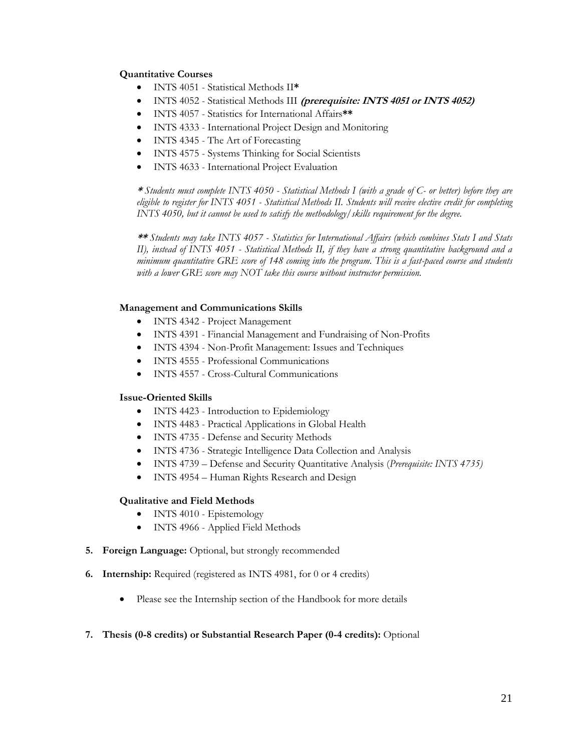# **Quantitative Courses**

- INTS 4051 Statistical Methods II**\***
- INTS 4052 Statistical Methods III **(prerequisite: INTS 4051 or INTS 4052)**
- INTS 4057 Statistics for International Affairs**\*\***
- INTS 4333 International Project Design and Monitoring
- INTS 4345 The Art of Forecasting
- INTS 4575 Systems Thinking for Social Scientists
- INTS 4633 International Project Evaluation

**\*** *Students must complete INTS 4050 - Statistical Methods I (with a grade of C- or better) before they are eligible to register for INTS 4051 - Statistical Methods II. Students will receive elective credit for completing INTS 4050, but it cannot be used to satisfy the methodology/skills requirement for the degree.* 

**\*\*** *Students may take INTS 4057 - Statistics for International Affairs (which combines Stats I and Stats II), instead of INTS 4051 - Statistical Methods II, if they have a strong quantitative background and a minimum quantitative GRE score of 148 coming into the program. This is a fast-paced course and students with a lower GRE score may NOT take this course without instructor permission.*

# **Management and Communications Skills**

- INTS 4342 Project Management
- INTS 4391 Financial Management and Fundraising of Non-Profits
- INTS 4394 Non-Profit Management: Issues and Techniques
- INTS 4555 Professional Communications
- INTS 4557 Cross-Cultural Communications

# **Issue-Oriented Skills**

- INTS 4423 Introduction to Epidemiology
- INTS 4483 Practical Applications in Global Health
- INTS 4735 Defense and Security Methods
- INTS 4736 Strategic Intelligence Data Collection and Analysis
- INTS 4739 Defense and Security Quantitative Analysis (*Prerequisite: INTS 4735)*
- INTS 4954 Human Rights Research and Design

# **Qualitative and Field Methods**

- INTS 4010 Epistemology
- INTS 4966 Applied Field Methods
- **5. Foreign Language:** Optional, but strongly recommended
- **6. Internship:** Required (registered as INTS 4981, for 0 or 4 credits)
	- Please see the Internship section of the Handbook for more details
- **7. Thesis (0-8 credits) or Substantial Research Paper (0-4 credits):** Optional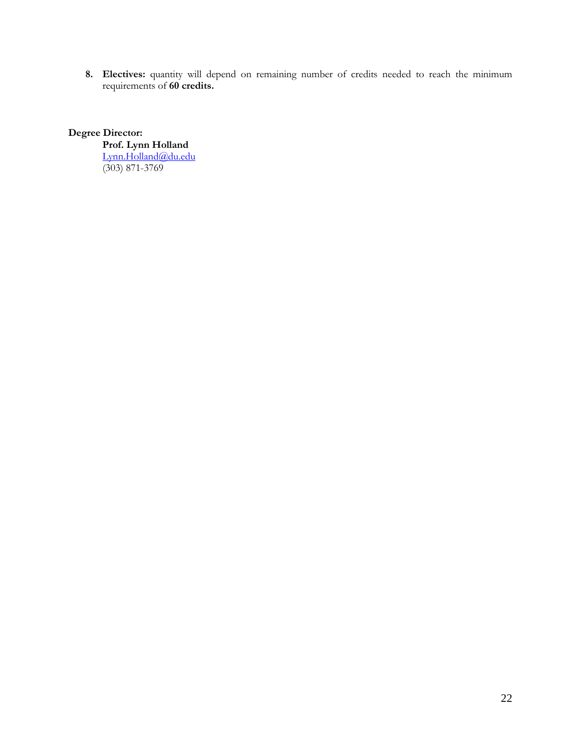**8. Electives:** quantity will depend on remaining number of credits needed to reach the minimum requirements of **60 credits.**

# **Degree Director:**

**Prof. Lynn Holland** [Lynn.Holland@du.edu](mailto:Lynn.Holland@du.edu) (303) 871-3769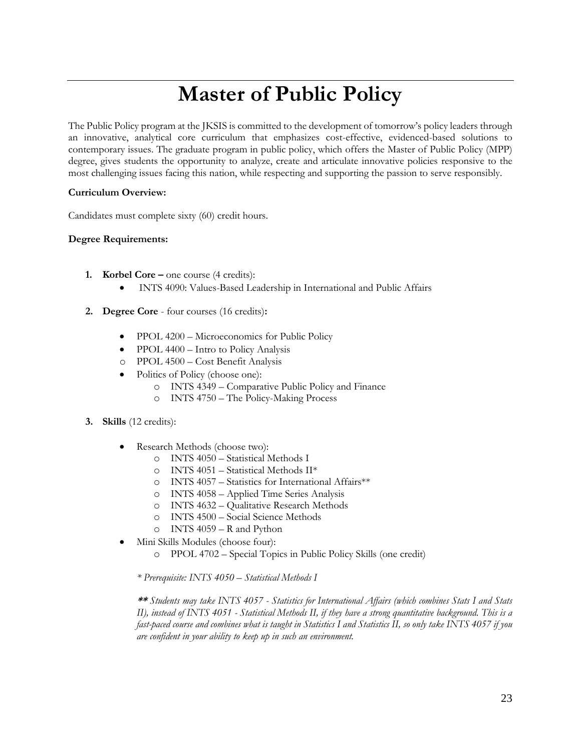# **Master of Public Policy**

<span id="page-22-0"></span>The Public Policy program at the JKSIS is committed to the development of tomorrow's policy leaders through an innovative, analytical core curriculum that emphasizes cost-effective, evidenced-based solutions to contemporary issues. The graduate program in public policy, which offers the Master of Public Policy (MPP) degree, gives students the opportunity to analyze, create and articulate innovative policies responsive to the most challenging issues facing this nation, while respecting and supporting the passion to serve responsibly.

# **Curriculum Overview:**

Candidates must complete sixty (60) credit hours.

# **Degree Requirements:**

- **1. Korbel Core –** one course (4 credits):
	- INTS 4090: Values-Based Leadership in International and Public Affairs
- **2. Degree Core**  four courses (16 credits)**:**
	- PPOL 4200 Microeconomics for Public Policy
	- PPOL 4400 Intro to Policy Analysis
	- o PPOL 4500 Cost Benefit Analysis
	- Politics of Policy (choose one):
		- o INTS 4349 Comparative Public Policy and Finance
		- o INTS 4750 The Policy-Making Process
- **3. Skills** (12 credits):
	- Research Methods (choose two):
		- o INTS 4050 Statistical Methods I
		- o INTS 4051 Statistical Methods II\*
		- o INTS 4057 Statistics for International Affairs\*\*
		- o INTS 4058 Applied Time Series Analysis
		- o INTS 4632 Qualitative Research Methods
		- o INTS 4500 Social Science Methods
		- o INTS 4059 R and Python
	- Mini Skills Modules (choose four):
		- o PPOL 4702 Special Topics in Public Policy Skills (one credit)

*\* Prerequisite: INTS 4050 – Statistical Methods I*

**\*\*** *Students may take INTS 4057 - Statistics for International Affairs (which combines Stats I and Stats II), instead of INTS 4051 - Statistical Methods II, if they have a strong quantitative background. This is a fast-paced course and combines what is taught in Statistics I and Statistics II, so only take INTS 4057 if you are confident in your ability to keep up in such an environment.*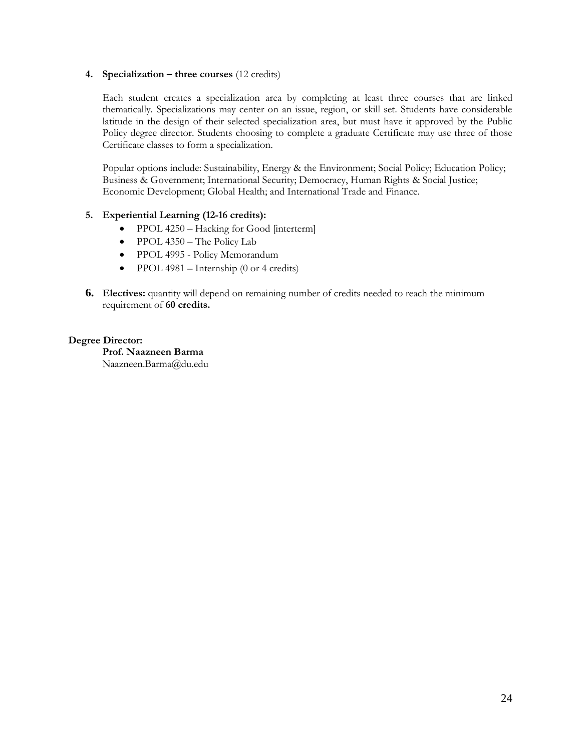### **4. Specialization – three courses** (12 credits)

Each student creates a specialization area by completing at least three courses that are linked thematically. Specializations may center on an issue, region, or skill set. Students have considerable latitude in the design of their selected specialization area, but must have it approved by the Public Policy degree director. Students choosing to complete a graduate Certificate may use three of those Certificate classes to form a specialization.

Popular options include: Sustainability, Energy & the Environment; Social Policy; Education Policy; Business & Government; International Security; Democracy, Human Rights & Social Justice; Economic Development; Global Health; and International Trade and Finance.

# **5. Experiential Learning (12-16 credits):**

- PPOL 4250 Hacking for Good [interterm]
- PPOL 4350 The Policy Lab
- PPOL 4995 Policy Memorandum
- PPOL 4981 Internship  $(0 \text{ or } 4 \text{ credits})$
- **6. Electives:** quantity will depend on remaining number of credits needed to reach the minimum requirement of **60 credits.**

### **Degree Director:**

**Prof. Naazneen Barma** Naazneen.Barma@du.edu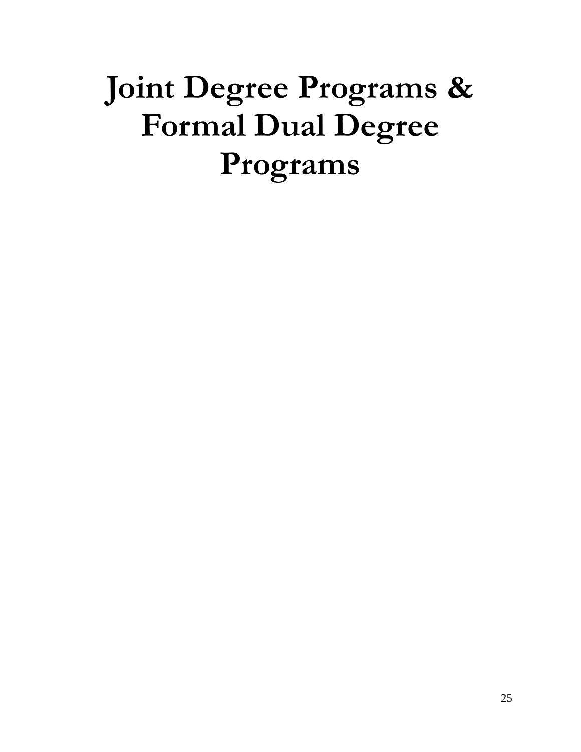# <span id="page-24-0"></span>**Joint Degree Programs & Formal Dual Degree Programs**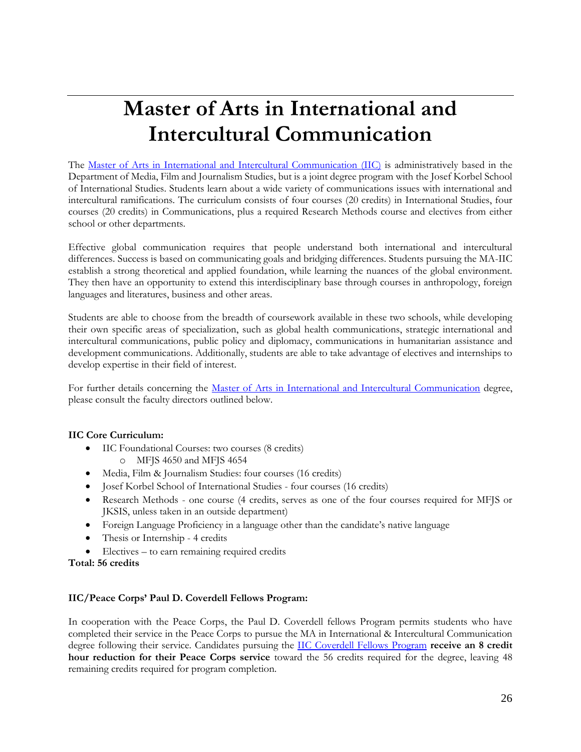# <span id="page-25-0"></span>**Master of Arts in International and Intercultural Communication**

The [Master of Arts in International and Intercultural Communication](http://www.du.edu/ahss/mfjs/programs/graduate/iic.html) (IIC) is administratively based in the Department of Media, Film and Journalism Studies, but is a joint degree program with the Josef Korbel School of International Studies. Students learn about a wide variety of communications issues with international and intercultural ramifications. The curriculum consists of four courses (20 credits) in International Studies, four courses (20 credits) in Communications, plus a required Research Methods course and electives from either school or other departments.

Effective global communication requires that people understand both international and intercultural differences. Success is based on communicating goals and bridging differences. Students pursuing the MA-IIC establish a strong theoretical and applied foundation, while learning the nuances of the global environment. They then have an opportunity to extend this interdisciplinary base through courses in anthropology, foreign languages and literatures, business and other areas.

Students are able to choose from the breadth of coursework available in these two schools, while developing their own specific areas of specialization, such as global health communications, strategic international and intercultural communications, public policy and diplomacy, communications in humanitarian assistance and development communications. Additionally, students are able to take advantage of electives and internships to develop expertise in their field of interest.

For further details concerning the [Master of Arts in International and Intercultural Communication](http://www.du.edu/ahss/mfjs/programs/graduate/iic.html) degree, please consult the faculty directors outlined below.

# **IIC Core Curriculum:**

- IIC Foundational Courses: two courses (8 credits)
	- o MFJS 4650 and MFJS 4654
- Media, Film & Journalism Studies: four courses (16 credits)
- Josef Korbel School of International Studies four courses (16 credits)
- Research Methods one course (4 credits, serves as one of the four courses required for MFJS or JKSIS, unless taken in an outside department)
- Foreign Language Proficiency in a language other than the candidate's native language
- Thesis or Internship 4 credits
- Electives to earn remaining required credits
- **Total: 56 credits**

# **IIC/Peace Corps' Paul D. Coverdell Fellows Program:**

In cooperation with the Peace Corps, the Paul D. Coverdell fellows Program permits students who have completed their service in the Peace Corps to pursue the MA in International & Intercultural Communication degree following their service. Candidates pursuing the [IIC Coverdell Fellows Program](http://www.du.edu/ahss/mfjs/programs/graduate/iic_peacecorps.html) **receive an 8 credit hour reduction for their Peace Corps service** toward the 56 credits required for the degree, leaving 48 remaining credits required for program completion.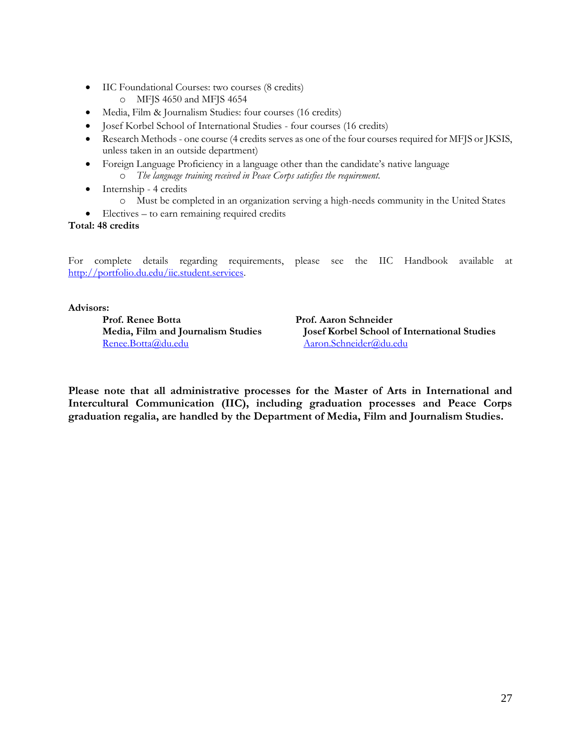- IIC Foundational Courses: two courses (8 credits)
	- o MFJS 4650 and MFJS 4654
- Media, Film & Journalism Studies: four courses (16 credits)
- Josef Korbel School of International Studies four courses (16 credits)
- Research Methods one course (4 credits serves as one of the four courses required for MFJS or JKSIS, unless taken in an outside department)
- Foreign Language Proficiency in a language other than the candidate's native language o *The language training received in Peace Corps satisfies the requirement.*
- Internship 4 credits
	- o Must be completed in an organization serving a high-needs community in the United States
- Electives to earn remaining required credits

**Total: 48 credits**

For complete details regarding requirements, please see the IIC Handbook available at [http://portfolio.du.edu/iic.student.services.](http://portfolio.du.edu/iic.student.services)

### **Advisors:**

Prof. Renee Botta Prof. Aaron Schneider [Renee.Botta@du.edu](mailto:Renee.Botta@du.edu) [Aaron.Schneider@du.edu](mailto:Aaron.Schneider@du.edu)

**Media, Film and Journalism Studies Josef Korbel School of International Studies**

**Please note that all administrative processes for the Master of Arts in International and Intercultural Communication (IIC), including graduation processes and Peace Corps graduation regalia, are handled by the Department of Media, Film and Journalism Studies.**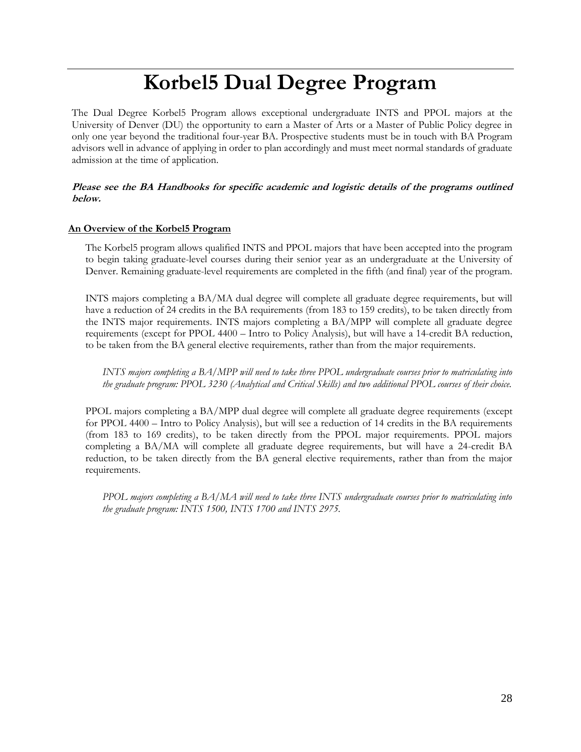# **Korbel5 Dual Degree Program**

<span id="page-27-0"></span>The Dual Degree Korbel5 Program allows exceptional undergraduate INTS and PPOL majors at the University of Denver (DU) the opportunity to earn a Master of Arts or a Master of Public Policy degree in only one year beyond the traditional four-year BA. Prospective students must be in touch with BA Program advisors well in advance of applying in order to plan accordingly and must meet normal standards of graduate admission at the time of application.

# **Please see the BA Handbooks for specific academic and logistic details of the programs outlined below.**

### **An Overview of the Korbel5 Program**

The Korbel5 program allows qualified INTS and PPOL majors that have been accepted into the program to begin taking graduate-level courses during their senior year as an undergraduate at the University of Denver. Remaining graduate-level requirements are completed in the fifth (and final) year of the program.

INTS majors completing a BA/MA dual degree will complete all graduate degree requirements, but will have a reduction of 24 credits in the BA requirements (from 183 to 159 credits), to be taken directly from the INTS major requirements. INTS majors completing a BA/MPP will complete all graduate degree requirements (except for PPOL 4400 – Intro to Policy Analysis), but will have a 14-credit BA reduction, to be taken from the BA general elective requirements, rather than from the major requirements.

*INTS majors completing a BA/MPP will need to take three PPOL undergraduate courses prior to matriculating into the graduate program: PPOL 3230 (Analytical and Critical Skills) and two additional PPOL courses of their choice.*

PPOL majors completing a BA/MPP dual degree will complete all graduate degree requirements (except for PPOL 4400 – Intro to Policy Analysis), but will see a reduction of 14 credits in the BA requirements (from 183 to 169 credits), to be taken directly from the PPOL major requirements. PPOL majors completing a BA/MA will complete all graduate degree requirements, but will have a 24-credit BA reduction, to be taken directly from the BA general elective requirements, rather than from the major requirements.

*PPOL majors completing a BA/MA will need to take three INTS undergraduate courses prior to matriculating into the graduate program: INTS 1500, INTS 1700 and INTS 2975.*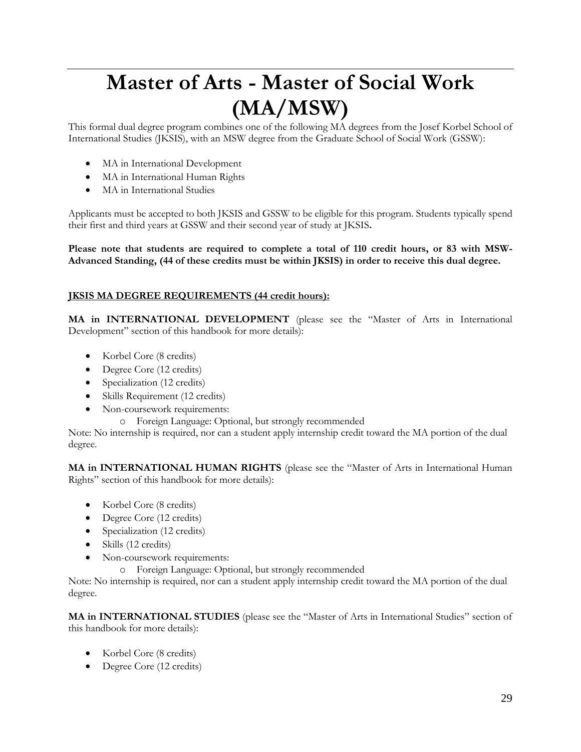# <span id="page-28-0"></span>**Master of Arts - Master of Social Work (MA/MSW)**

This formal dual degree program combines one of the following MA degrees from the Josef Korbel School of International Studies (JKSIS), with an MSW degree from the Graduate School of Social Work (GSSW):

- MA in International Development
- MA in International Human Rights
- MA in International Studies

Applicants must be accepted to both JKSIS and GSSW to be eligible for this program. Students typically spend their first and third years at GSSW and their second year of study at JKSIS**.**

**Please note that students are required to complete a total of 110 credit hours, or 83 with MSW-Advanced Standing, (44 of these credits must be within JKSIS) in order to receive this dual degree.**

# **JKSIS MA DEGREE REQUIREMENTS (44 credit hours):**

**MA in INTERNATIONAL DEVELOPMENT** (please see the "Master of Arts in International Development" section of this handbook for more details):

- Korbel Core (8 credits)
- Degree Core (12 credits)
- Specialization (12 credits)
- Skills Requirement (12 credits)
- Non-coursework requirements:
	- o Foreign Language: Optional, but strongly recommended

Note: No internship is required, nor can a student apply internship credit toward the MA portion of the dual degree.

**MA in INTERNATIONAL HUMAN RIGHTS** (please see the "Master of Arts in International Human Rights" section of this handbook for more details):

- Korbel Core (8 credits)
- Degree Core (12 credits)
- Specialization (12 credits)
- Skills (12 credits)
- Non-coursework requirements:
	- o Foreign Language: Optional, but strongly recommended

Note: No internship is required, nor can a student apply internship credit toward the MA portion of the dual degree.

**MA in INTERNATIONAL STUDIES** (please see the "Master of Arts in International Studies" section of this handbook for more details):

- Korbel Core (8 credits)
- Degree Core (12 credits)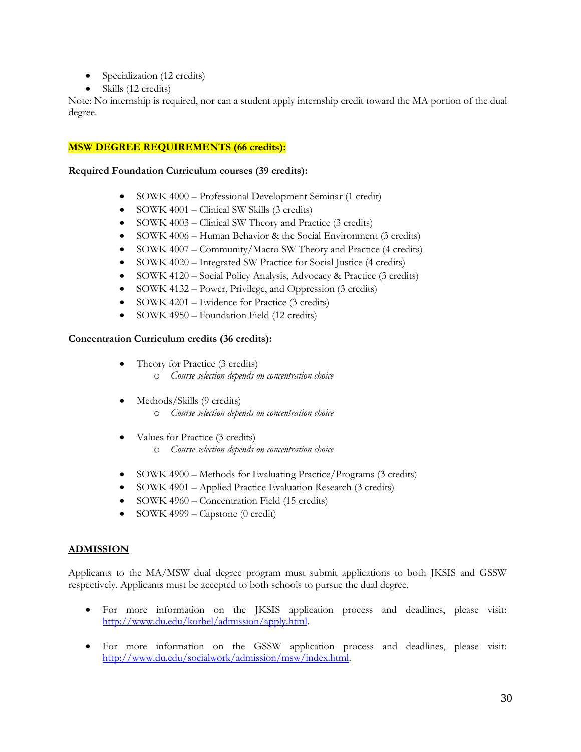- Specialization (12 credits)
- Skills (12 credits)

Note: No internship is required, nor can a student apply internship credit toward the MA portion of the dual degree.

# **MSW DEGREE REQUIREMENTS (66 credits):**

### **Required Foundation Curriculum courses (39 credits):**

- SOWK 4000 Professional Development Seminar (1 credit)
- SOWK 4001 Clinical SW Skills (3 credits)
- SOWK 4003 Clinical SW Theory and Practice (3 credits)
- SOWK 4006 Human Behavior & the Social Environment (3 credits)
- SOWK 4007 Community/Macro SW Theory and Practice (4 credits)
- SOWK 4020 Integrated SW Practice for Social Justice (4 credits)
- SOWK 4120 Social Policy Analysis, Advocacy & Practice (3 credits)
- SOWK 4132 Power, Privilege, and Oppression (3 credits)
- SOWK 4201 Evidence for Practice (3 credits)
- SOWK 4950 Foundation Field (12 credits)

# **Concentration Curriculum credits (36 credits):**

- Theory for Practice (3 credits)
	- o *Course selection depends on concentration choice*
- Methods/Skills (9 credits)
	- o *Course selection depends on concentration choice*
- Values for Practice (3 credits) o *Course selection depends on concentration choice*
- SOWK 4900 Methods for Evaluating Practice/Programs (3 credits)
- SOWK 4901 Applied Practice Evaluation Research (3 credits)
- SOWK 4960 Concentration Field (15 credits)
- SOWK 4999 Capstone (0 credit)

# **ADMISSION**

Applicants to the MA/MSW dual degree program must submit applications to both JKSIS and GSSW respectively. Applicants must be accepted to both schools to pursue the dual degree.

- For more information on the JKSIS application process and deadlines, please visit: [http://www.du.edu/korbel/admission/apply.html.](http://www.du.edu/korbel/admission/apply.html)
- For more information on the GSSW application process and deadlines, please visit: [http://www.du.edu/socialwork/admission/msw/index.html.](http://www.du.edu/socialwork/admission/msw/index.html)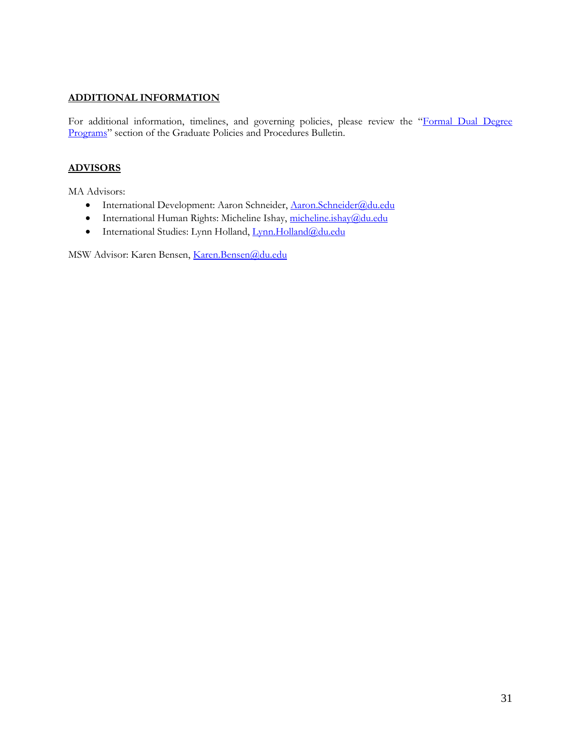# **ADDITIONAL INFORMATION**

For additional information, timelines, and governing policies, please review the "Formal Dual Degree [Programs](http://bulletin.du.edu/graduate/dual-degrees/formal-dual-graduate-degrees/)" section of the Graduate Policies and Procedures Bulletin.

# **ADVISORS**

MA Advisors:

- International Development: Aaron Schneider, [Aaron.Schneider@du.edu](mailto:Aaron.Schneider@du.edu)
- International Human Rights: Micheline Ishay, [micheline.ishay@du.edu](mailto:Claude.dEstree@du.edu)
- · International Studies: Lynn Holland, [Lynn.Holland@du.edu](mailto:Lynn.Holland@du.edu)

MSW Advisor: Karen Bensen, [Karen.Bensen@du.edu](mailto:Karen.Bensen@du.edu)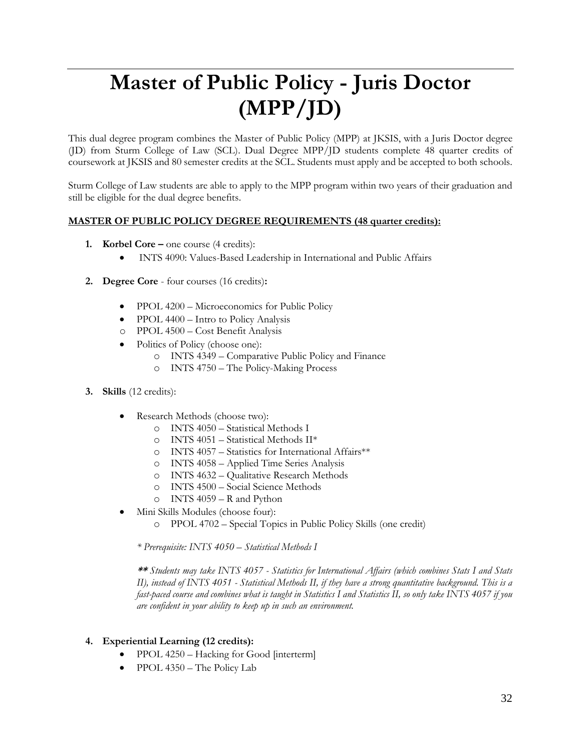# <span id="page-31-0"></span>**Master of Public Policy - Juris Doctor (MPP/JD)**

This dual degree program combines the Master of Public Policy (MPP) at JKSIS, with a Juris Doctor degree (JD) from Sturm College of Law (SCL). Dual Degree MPP/JD students complete 48 quarter credits of coursework at JKSIS and 80 semester credits at the SCL. Students must apply and be accepted to both schools.

Sturm College of Law students are able to apply to the MPP program within two years of their graduation and still be eligible for the dual degree benefits.

# **MASTER OF PUBLIC POLICY DEGREE REQUIREMENTS (48 quarter credits):**

- **1. Korbel Core –** one course (4 credits):
	- INTS 4090: Values-Based Leadership in International and Public Affairs
- **2. Degree Core**  four courses (16 credits)**:**
	- PPOL 4200 Microeconomics for Public Policy
	- PPOL 4400 Intro to Policy Analysis
	- o PPOL 4500 Cost Benefit Analysis
	- Politics of Policy (choose one):
		- o INTS 4349 Comparative Public Policy and Finance
		- o INTS 4750 The Policy-Making Process
- **3. Skills** (12 credits):
	- Research Methods (choose two):
		- o INTS 4050 Statistical Methods I
		- o INTS 4051 Statistical Methods II\*
		- o INTS 4057 Statistics for International Affairs\*\*
		- o INTS 4058 Applied Time Series Analysis
		- o INTS 4632 Qualitative Research Methods
		- o INTS 4500 Social Science Methods
		- o INTS 4059 R and Python
	- Mini Skills Modules (choose four):
		- o PPOL 4702 Special Topics in Public Policy Skills (one credit)

*\* Prerequisite: INTS 4050 – Statistical Methods I*

**\*\*** *Students may take INTS 4057 - Statistics for International Affairs (which combines Stats I and Stats II), instead of INTS 4051 - Statistical Methods II, if they have a strong quantitative background. This is a fast-paced course and combines what is taught in Statistics I and Statistics II, so only take INTS 4057 if you are confident in your ability to keep up in such an environment.* 

# **4. Experiential Learning (12 credits):**

- PPOL 4250 Hacking for Good [interterm]
- PPOL 4350 The Policy Lab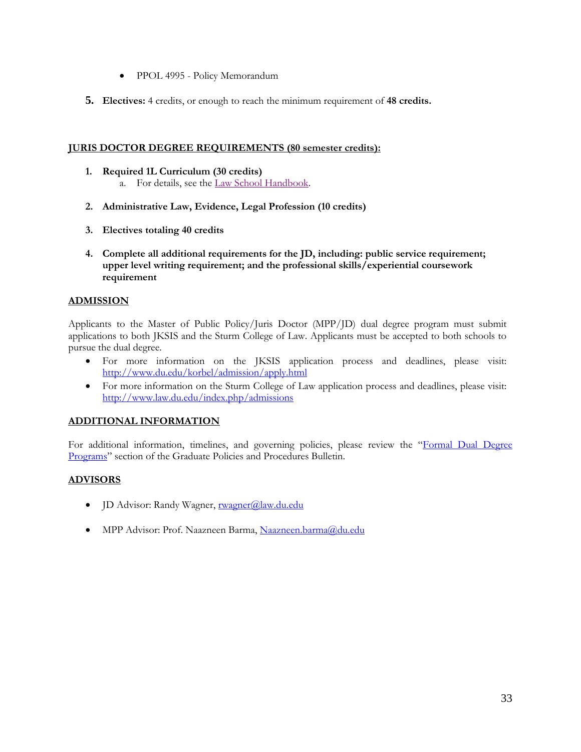- PPOL 4995 Policy Memorandum
- **5. Electives:** 4 credits, or enough to reach the minimum requirement of **48 credits.**

# **JURIS DOCTOR DEGREE REQUIREMENTS (80 semester credits):**

- **1. Required 1L Curriculum (30 credits)** a. For details, see the [Law School Handbook.](http://www.law.du.edu/index.php/student-handbook)
- **2. Administrative Law, Evidence, Legal Profession (10 credits)**
- **3. Electives totaling 40 credits**
- **4. Complete all additional requirements for the JD, including: public service requirement; upper level writing requirement; and the professional skills/experiential coursework requirement**

# **ADMISSION**

Applicants to the Master of Public Policy/Juris Doctor (MPP/JD) dual degree program must submit applications to both JKSIS and the Sturm College of Law. Applicants must be accepted to both schools to pursue the dual degree.

- For more information on the JKSIS application process and deadlines, please visit: <http://www.du.edu/korbel/admission/apply.html>
- For more information on the Sturm College of Law application process and deadlines, please visit: <http://www.law.du.edu/index.php/admissions>

# **ADDITIONAL INFORMATION**

For additional information, timelines, and governing policies, please review the "Formal Dual Degree [Programs](http://bulletin.du.edu/graduate/dual-degrees/formal-dual-graduate-degrees/)" section of the Graduate Policies and Procedures Bulletin.

# **ADVISORS**

- JD Advisor: Randy Wagner, [rwagner@law.du.edu](mailto:rwagner@law.du.edu)
- MPP Advisor: Prof. Naazneen Barma, [Naazneen.barma@du.edu](mailto:Naazneen.barma@du.edu)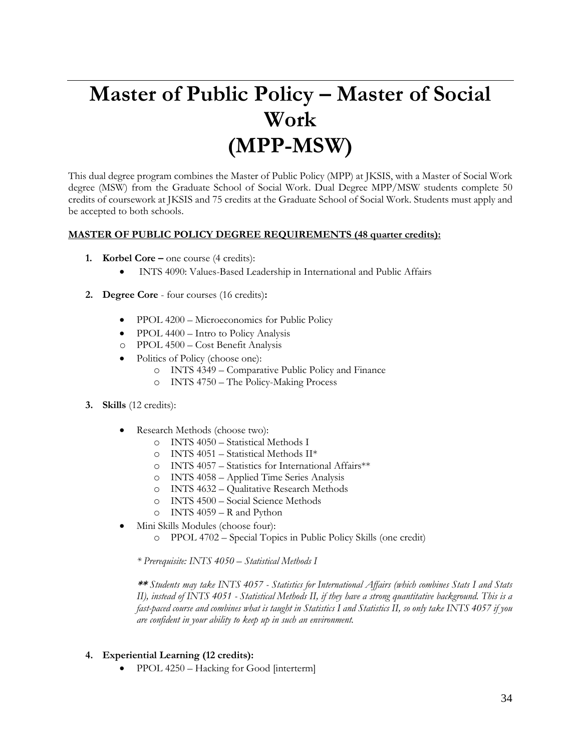# <span id="page-33-0"></span>**Master of Public Policy – Master of Social Work (MPP-MSW)**

This dual degree program combines the Master of Public Policy (MPP) at JKSIS, with a Master of Social Work degree (MSW) from the Graduate School of Social Work. Dual Degree MPP/MSW students complete 50 credits of coursework at JKSIS and 75 credits at the Graduate School of Social Work. Students must apply and be accepted to both schools.

# **MASTER OF PUBLIC POLICY DEGREE REQUIREMENTS (48 quarter credits):**

- **1. Korbel Core –** one course (4 credits):
	- INTS 4090: Values-Based Leadership in International and Public Affairs
- **2. Degree Core**  four courses (16 credits)**:**
	- PPOL 4200 Microeconomics for Public Policy
	- PPOL 4400 Intro to Policy Analysis
	- o PPOL 4500 Cost Benefit Analysis
	- Politics of Policy (choose one):
		- o INTS 4349 Comparative Public Policy and Finance
			- o INTS 4750 The Policy-Making Process
- **3. Skills** (12 credits):
	- Research Methods (choose two):
		- o INTS 4050 Statistical Methods I
		- $\circ$  INTS 4051 Statistical Methods II\*
		- o INTS 4057 Statistics for International Affairs\*\*
		- o INTS 4058 Applied Time Series Analysis
		- o INTS 4632 Qualitative Research Methods
		- o INTS 4500 Social Science Methods
		- o INTS 4059 R and Python
	- Mini Skills Modules (choose four):
		- o PPOL 4702 Special Topics in Public Policy Skills (one credit)

*\* Prerequisite: INTS 4050 – Statistical Methods I*

**\*\*** *Students may take INTS 4057 - Statistics for International Affairs (which combines Stats I and Stats II), instead of INTS 4051 - Statistical Methods II, if they have a strong quantitative background. This is a fast-paced course and combines what is taught in Statistics I and Statistics II, so only take INTS 4057 if you are confident in your ability to keep up in such an environment.* 

- **4. Experiential Learning (12 credits):**
	- PPOL 4250 Hacking for Good [interterm]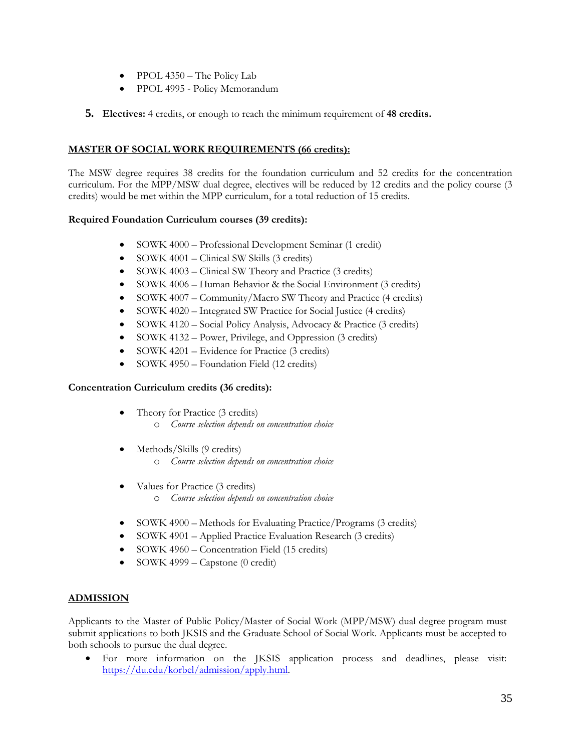- PPOL 4350 The Policy Lab
- PPOL 4995 Policy Memorandum
- **5. Electives:** 4 credits, or enough to reach the minimum requirement of **48 credits.**

# **MASTER OF SOCIAL WORK REQUIREMENTS (66 credits):**

The MSW degree requires 38 credits for the foundation curriculum and 52 credits for the concentration curriculum. For the MPP/MSW dual degree, electives will be reduced by 12 credits and the policy course (3 credits) would be met within the MPP curriculum, for a total reduction of 15 credits.

# **Required Foundation Curriculum courses (39 credits):**

- SOWK 4000 Professional Development Seminar (1 credit)
- SOWK 4001 Clinical SW Skills (3 credits)
- SOWK 4003 Clinical SW Theory and Practice (3 credits)
- SOWK 4006 Human Behavior & the Social Environment (3 credits)
- SOWK 4007 Community/Macro SW Theory and Practice (4 credits)
- SOWK 4020 Integrated SW Practice for Social Justice (4 credits)
- SOWK 4120 Social Policy Analysis, Advocacy & Practice (3 credits)
- SOWK 4132 Power, Privilege, and Oppression (3 credits)
- SOWK 4201 Evidence for Practice (3 credits)
- SOWK 4950 Foundation Field (12 credits)

# **Concentration Curriculum credits (36 credits):**

- Theory for Practice (3 credits)
	- o *Course selection depends on concentration choice*
- Methods/Skills (9 credits)
	- o *Course selection depends on concentration choice*
- Values for Practice (3 credits) o *Course selection depends on concentration choice*
- SOWK 4900 Methods for Evaluating Practice/Programs (3 credits)
- SOWK 4901 Applied Practice Evaluation Research (3 credits)
- SOWK 4960 Concentration Field (15 credits)
- SOWK 4999 Capstone (0 credit)

# **ADMISSION**

Applicants to the Master of Public Policy/Master of Social Work (MPP/MSW) dual degree program must submit applications to both JKSIS and the Graduate School of Social Work. Applicants must be accepted to both schools to pursue the dual degree.

• For more information on the JKSIS application process and deadlines, please visit: [https://du.edu/korbel/admission/apply.html.](https://du.edu/korbel/admission/apply.html)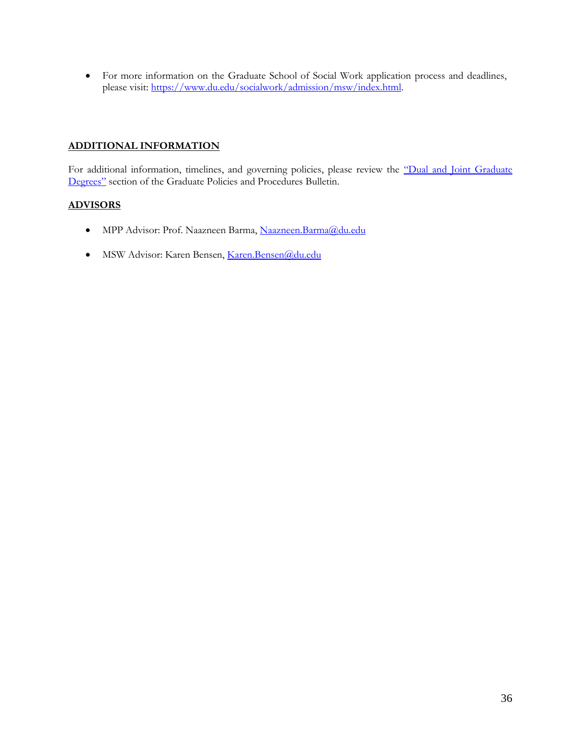• For more information on the Graduate School of Social Work application process and deadlines, please visit: [https://www.du.edu/socialwork/admission/msw/index.html.](https://www.du.edu/socialwork/admission/msw/index.html)

# **ADDITIONAL INFORMATION**

For additional information, timelines, and governing policies, please review the "Dual and Joint Graduate [Degrees"](http://bulletin.du.edu/graduate/dual-degrees/) section of the Graduate Policies and Procedures Bulletin.

### **ADVISORS**

- MPP Advisor: Prof. Naazneen Barma, [Naazneen.Barma@du.edu](mailto:Naazneen.Barma@du.edu)
- MSW Advisor: Karen Bensen, [Karen.Bensen@du.edu](mailto:Karen.Bensen@du.edu)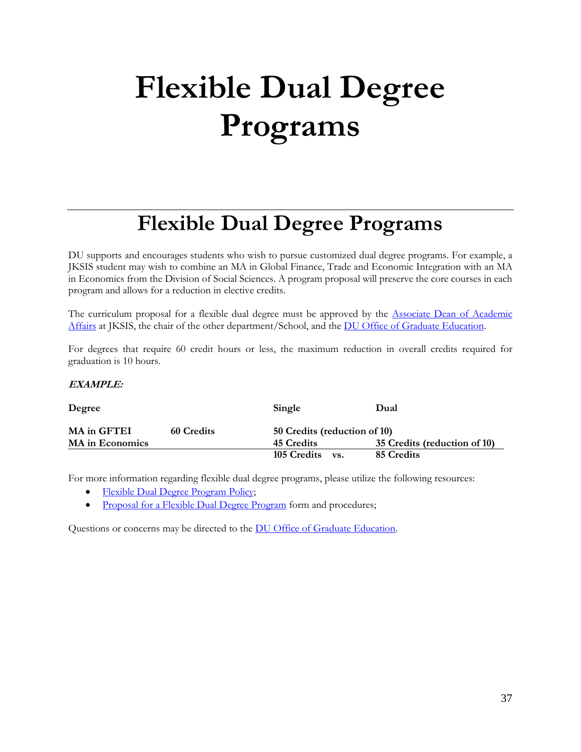# **Flexible Dual Degree Programs**

# **Flexible Dual Degree Programs**

DU supports and encourages students who wish to pursue customized dual degree programs. For example, a JKSIS student may wish to combine an MA in Global Finance, Trade and Economic Integration with an MA in Economics from the Division of Social Sciences. A program proposal will preserve the core courses in each program and allows for a reduction in elective credits.

The curriculum proposal for a flexible dual degree must be approved by the [Associate Dean of Academic](mailto:AssocDean.Korbel@du.edu)  [Affairs](mailto:AssocDean.Korbel@du.edu) at JKSIS, the chair of the other department/School, and the DU Office of [Graduate Education.](mailto:graduatestudies@du.edu)

For degrees that require 60 credit hours or less, the maximum reduction in overall credits required for graduation is 10 hours.

#### **EXAMPLE:**

| Degree                 |                   | Single                       | Dual                         |
|------------------------|-------------------|------------------------------|------------------------------|
| MA in GFTEI            | <b>60 Credits</b> | 50 Credits (reduction of 10) |                              |
| <b>MA</b> in Economics |                   | 45 Credits                   | 35 Credits (reduction of 10) |
|                        |                   | 105 Credits<br>VS.           | 85 Credits                   |

For more information regarding flexible dual degree programs, please utilize the following resources:

- [Flexible Dual Degree Program Policy;](http://bulletin.du.edu/graduate/dual-degrees/flexible-dual-degree-programs/)
- [Proposal for a Flexible Dual Degree Program](http://www.du.edu/media/documents/graduates/flexdual.pdf) form and procedures;

Questions or concerns may be directed to the [DU Office of Graduate Education.](mailto:gststu@du.edu)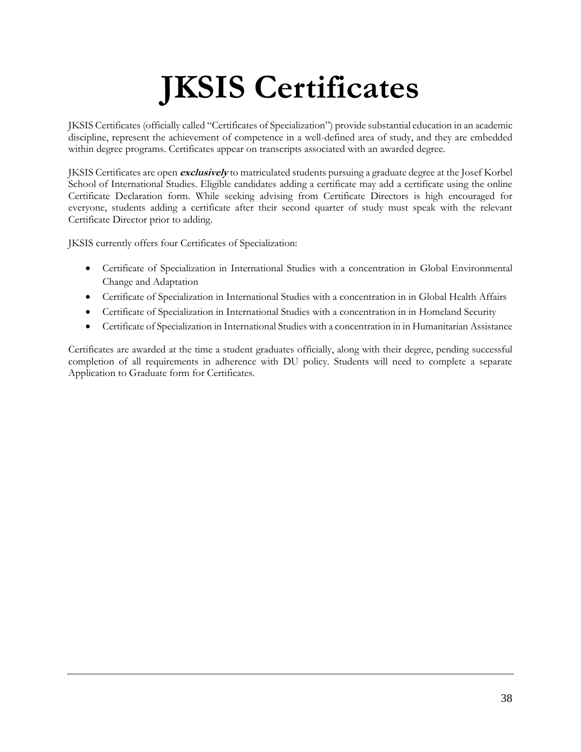# **JKSIS Certificates**

JKSIS Certificates (officially called "Certificates of Specialization") provide substantial education in an academic discipline, represent the achievement of competence in a well-defined area of study, and they are embedded within degree programs. Certificates appear on transcripts associated with an awarded degree.

JKSIS Certificates are open **exclusively** to matriculated students pursuing a graduate degree at the Josef Korbel School of International Studies. Eligible candidates adding a certificate may add a certificate using the online Certificate Declaration form. While seeking advising from Certificate Directors is high encouraged for everyone, students adding a certificate after their second quarter of study must speak with the relevant Certificate Director prior to adding.

JKSIS currently offers four Certificates of Specialization:

- Certificate of Specialization in International Studies with a concentration in Global Environmental Change and Adaptation
- Certificate of Specialization in International Studies with a concentration in in Global Health Affairs
- Certificate of Specialization in International Studies with a concentration in in Homeland Security
- Certificate of Specialization in International Studies with a concentration in in Humanitarian Assistance

Certificates are awarded at the time a student graduates officially, along with their degree, pending successful completion of all requirements in adherence with DU policy. Students will need to complete a separate Application to Graduate form for Certificates.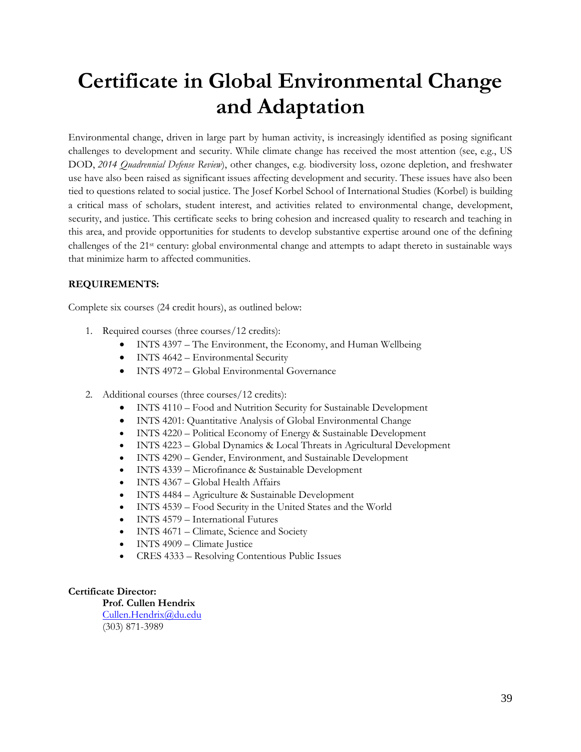# **Certificate in Global Environmental Change and Adaptation**

Environmental change, driven in large part by human activity, is increasingly identified as posing significant challenges to development and security. While climate change has received the most attention (see, e.g., US DOD, *2014 Quadrennial Defense Review*), other changes, e.g. biodiversity loss, ozone depletion, and freshwater use have also been raised as significant issues affecting development and security. These issues have also been tied to questions related to social justice. The Josef Korbel School of International Studies (Korbel) is building a critical mass of scholars, student interest, and activities related to environmental change, development, security, and justice. This certificate seeks to bring cohesion and increased quality to research and teaching in this area, and provide opportunities for students to develop substantive expertise around one of the defining challenges of the 21st century: global environmental change and attempts to adapt thereto in sustainable ways that minimize harm to affected communities.

#### **REQUIREMENTS:**

Complete six courses (24 credit hours), as outlined below:

- 1. Required courses (three courses/12 credits):
	- INTS 4397 The Environment, the Economy, and Human Wellbeing
	- INTS 4642 Environmental Security
	- INTS 4972 Global Environmental Governance
- 2. Additional courses (three courses/12 credits):
	- INTS 4110 Food and Nutrition Security for Sustainable Development
	- INTS 4201: Quantitative Analysis of Global Environmental Change
	- INTS 4220 Political Economy of Energy & Sustainable Development
	- INTS 4223 Global Dynamics & Local Threats in Agricultural Development
	- INTS 4290 Gender, Environment, and Sustainable Development
	- INTS 4339 Microfinance & Sustainable Development
	- INTS 4367 Global Health Affairs
	- INTS 4484 Agriculture & Sustainable Development
	- INTS 4539 Food Security in the United States and the World
	- INTS 4579 International Futures
	- INTS 4671 Climate, Science and Society
	- INTS 4909 Climate Justice
	- CRES 4333 Resolving Contentious Public Issues

#### **Certificate Director:**

**Prof. Cullen Hendrix** [Cullen.Hendrix@du.edu](mailto:Cullen.Hendrix@du.edu) (303) 871-3989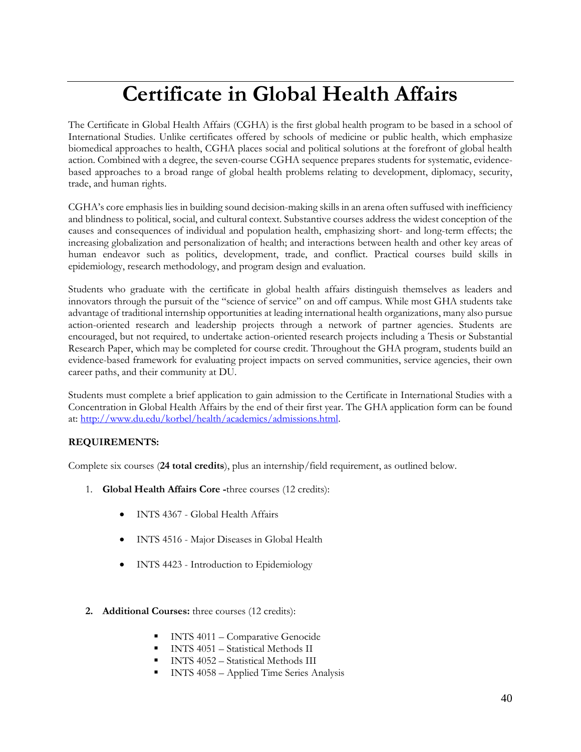# **Certificate in Global Health Affairs**

The Certificate in Global Health Affairs (CGHA) is the first global health program to be based in a school of International Studies. Unlike certificates offered by schools of medicine or public health, which emphasize biomedical approaches to health, CGHA places social and political solutions at the forefront of global health action. Combined with a degree, the seven-course CGHA sequence prepares students for systematic, evidencebased approaches to a broad range of global health problems relating to development, diplomacy, security, trade, and human rights.

CGHA's core emphasis lies in building sound decision-making skills in an arena often suffused with inefficiency and blindness to political, social, and cultural context. Substantive courses address the widest conception of the causes and consequences of individual and population health, emphasizing short- and long-term effects; the increasing globalization and personalization of health; and interactions between health and other key areas of human endeavor such as politics, development, trade, and conflict. Practical courses build skills in epidemiology, research methodology, and program design and evaluation.

Students who graduate with the certificate in global health affairs distinguish themselves as leaders and innovators through the pursuit of the "science of service" on and off campus. While most GHA students take advantage of traditional internship opportunities at leading international health organizations, many also pursue action-oriented research and leadership projects through a network of partner agencies. Students are encouraged, but not required, to undertake action-oriented research projects including a Thesis or Substantial Research Paper, which may be completed for course credit. Throughout the GHA program, students build an evidence-based framework for evaluating project impacts on served communities, service agencies, their own career paths, and their community at DU.

Students must complete a brief application to gain admission to the Certificate in International Studies with a Concentration in Global Health Affairs by the end of their first year. The GHA application form can be found at: [http://www.du.edu/korbel/health/academics/admissions.html.](http://www.du.edu/korbel/health/academics/admissions.html) 

#### **REQUIREMENTS:**

Complete six courses (**24 total credits**), plus an internship/field requirement, as outlined below.

- 1. **Global Health Affairs Core -**three courses (12 credits):
	- INTS 4367 Global Health Affairs
	- INTS 4516 Major Diseases in Global Health
	- INTS 4423 Introduction to Epidemiology
- **2. Additional Courses:** three courses (12 credits):
	- INTS 4011 Comparative Genocide
	- **■** INTS 4051 Statistical Methods II
	- INTS 4052 Statistical Methods III
	- INTS 4058 Applied Time Series Analysis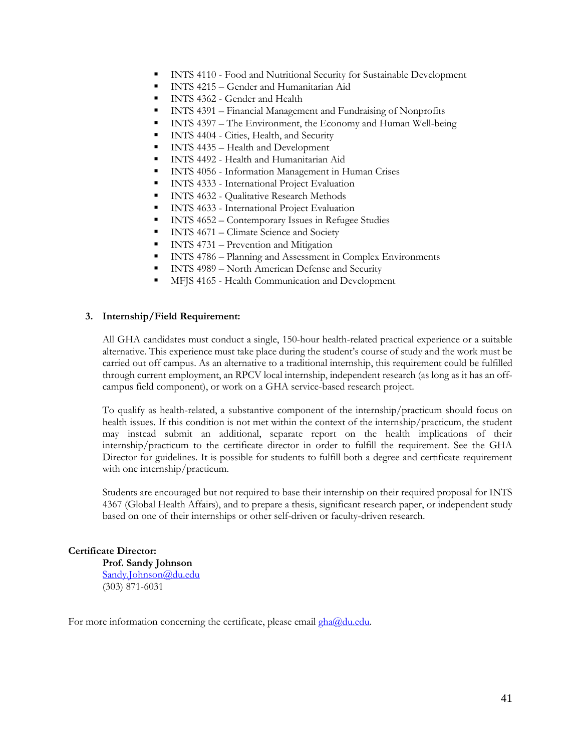- INTS 4110 Food and Nutritional Security for Sustainable Development
- INTS 4215 Gender and Humanitarian Aid
- **■** INTS 4362 Gender and Health
- **EXECUTE:** INTS 4391 Financial Management and Fundraising of Nonprofits
- **•** INTS 4397 The Environment, the Economy and Human Well-being
- **INTS 4404 Cities, Health, and Security**
- INTS 4435 Health and Development
- INTS 4492 Health and Humanitarian Aid
- **EXECUTE:** INTS 4056 Information Management in Human Crises
- INTS 4333 International Project Evaluation
- **INTS 4632 Qualitative Research Methods**
- **EXECUTE:** INTS 4633 International Project Evaluation
- INTS 4652 Contemporary Issues in Refugee Studies
- **INTS 4671 Climate Science and Society**
- **INTS 4731 Prevention and Mitigation**
- INTS 4786 Planning and Assessment in Complex Environments
- INTS 4989 North American Defense and Security
- MFJS 4165 Health Communication and Development

#### **3. Internship/Field Requirement:**

All GHA candidates must conduct a single, 150-hour health-related practical experience or a suitable alternative. This experience must take place during the student's course of study and the work must be carried out off campus. As an alternative to a traditional internship, this requirement could be fulfilled through current employment, an RPCV local internship, independent research (as long as it has an offcampus field component), or work on a GHA service-based research project.

To qualify as health-related, a substantive component of the internship/practicum should focus on health issues. If this condition is not met within the context of the internship/practicum, the student may instead submit an additional, separate report on the health implications of their internship/practicum to the certificate director in order to fulfill the requirement. See the GHA Director for guidelines. It is possible for students to fulfill both a degree and certificate requirement with one internship/practicum.

Students are encouraged but not required to base their internship on their required proposal for INTS 4367 (Global Health Affairs), and to prepare a thesis, significant research paper, or independent study based on one of their internships or other self-driven or faculty-driven research.

#### **Certificate Director:**

**Prof. Sandy Johnson** [Sandy.Johnson@du.edu](mailto:Randall.Kuhn@du.edu) (303) 871-6031

For more information concerning the certificate, please email gha@du.edu.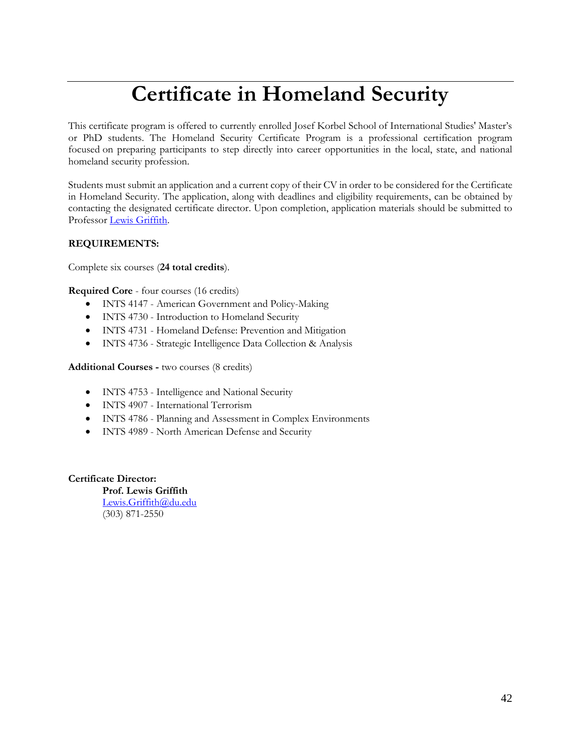# **Certificate in Homeland Security**

This certificate program is offered to currently enrolled Josef Korbel School of International Studies' Master's or PhD students. The Homeland Security Certificate Program is a professional certification program focused on preparing participants to step directly into career opportunities in the local, state, and national homeland security profession.

Students must submit an application and a current copy of their CV in order to be considered for the Certificate in Homeland Security. The application, along with deadlines and eligibility requirements, can be obtained by contacting the designated certificate director. Upon completion, application materials should be submitted to Professor [Lewis Griffith.](mailto:lewis.griffith@du.edu)

#### **REQUIREMENTS:**

Complete six courses (**24 total credits**).

**Required Core** - four courses (16 credits)

- INTS 4147 American Government and Policy-Making
- INTS 4730 Introduction to Homeland Security
- INTS 4731 Homeland Defense: Prevention and Mitigation
- INTS 4736 Strategic Intelligence Data Collection & Analysis

**Additional Courses -** two courses (8 credits)

- INTS 4753 Intelligence and National Security
- INTS 4907 International Terrorism
- INTS 4786 Planning and Assessment in Complex Environments
- INTS 4989 North American Defense and Security

**Certificate Director:** 

**Prof. Lewis Griffith** [Lewis.Griffith@du.edu](mailto:Lewis.Griffith@du.edu) (303) 871-2550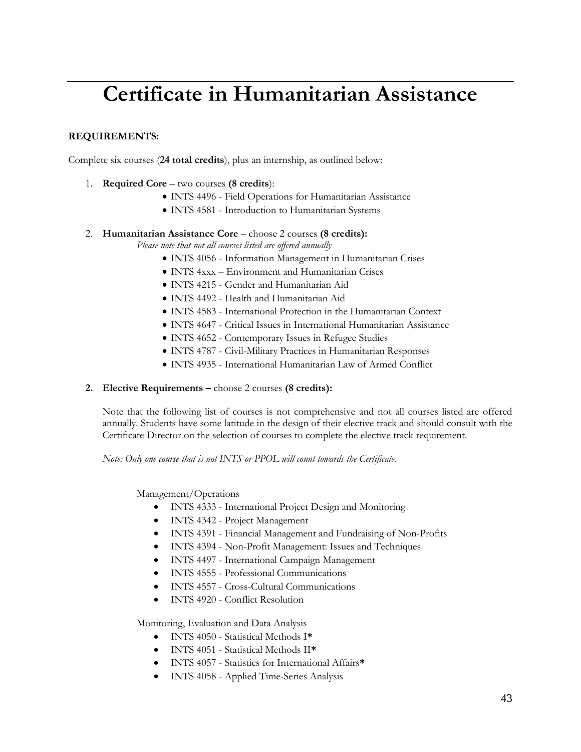# **Certificate in Humanitarian Assistance**

#### **REQUIREMENTS:**

Complete six courses (**24 total credits**), plus an internship, as outlined below:

- 1. **Required Core** two courses **(8 credits**):
	- INTS 4496 Field Operations for Humanitarian Assistance
	- INTS 4581 Introduction to Humanitarian Systems

#### 2. **Humanitarian Assistance Core** – choose 2 courses **(8 credits):**

*Please note that not all courses listed are offered annually*

- INTS 4056 Information Management in Humanitarian Crises
- INTS 4xxx Environment and Humanitarian Crises
- INTS 4215 Gender and Humanitarian Aid
- INTS 4492 Health and Humanitarian Aid
- INTS 4583 International Protection in the Humanitarian Context
- INTS 4647 Critical Issues in International Humanitarian Assistance
- INTS 4652 Contemporary Issues in Refugee Studies
- INTS 4787 Civil-Military Practices in Humanitarian Responses
- INTS 4935 International Humanitarian Law of Armed Conflict

#### **2. Elective Requirements –** choose 2 courses **(8 credits):**

Note that the following list of courses is not comprehensive and not all courses listed are offered annually. Students have some latitude in the design of their elective track and should consult with the Certificate Director on the selection of courses to complete the elective track requirement.

*Note: Only one course that is not INTS or PPOL will count towards the Certificate.* 

Management/Operations

- INTS 4333 International Project Design and Monitoring
- INTS 4342 Project Management
- INTS 4391 Financial Management and Fundraising of Non-Profits
- INTS 4394 Non-Profit Management: Issues and Techniques
- INTS 4497 International Campaign Management
- INTS 4555 Professional Communications
- INTS 4557 Cross-Cultural Communications
- INTS 4920 Conflict Resolution

Monitoring, Evaluation and Data Analysis

- INTS 4050 Statistical Methods I**\***
- INTS 4051 Statistical Methods II**\***
- INTS 4057 Statistics for International Affairs**\***
- INTS 4058 Applied Time-Series Analysis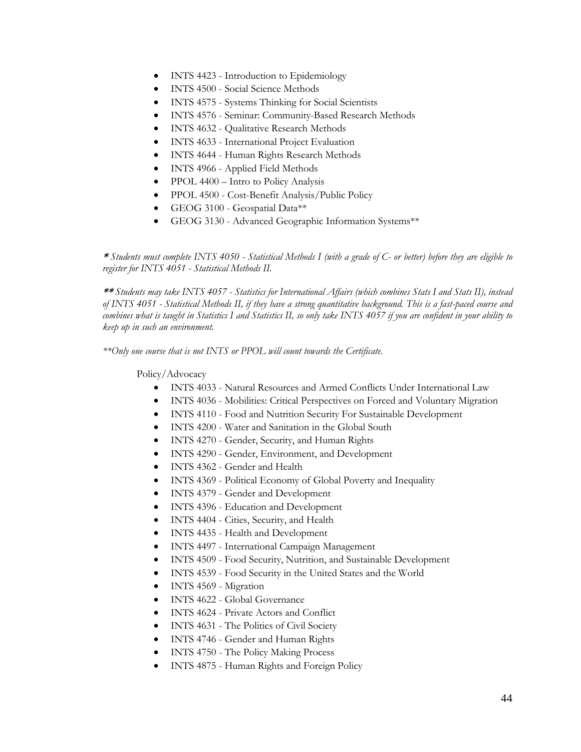- INTS 4423 Introduction to Epidemiology
- INTS 4500 Social Science Methods
- INTS 4575 Systems Thinking for Social Scientists
- INTS 4576 Seminar: Community-Based Research Methods
- INTS 4632 Qualitative Research Methods
- INTS 4633 International Project Evaluation
- INTS 4644 Human Rights Research Methods
- INTS 4966 Applied Field Methods
- PPOL 4400 Intro to Policy Analysis
- PPOL 4500 Cost-Benefit Analysis/Public Policy
- GEOG 3100 Geospatial Data\*\*
- GEOG 3130 Advanced Geographic Information Systems\*\*

**\*** *Students must complete INTS 4050 - Statistical Methods I (with a grade of C- or better) before they are eligible to register for INTS 4051 - Statistical Methods II.* 

**\*\*** *Students may take INTS 4057 - Statistics for International Affairs (which combines Stats I and Stats II), instead of INTS 4051 - Statistical Methods II, if they have a strong quantitative background. This is a fast-paced course and combines what is taught in Statistics I and Statistics II, so only take INTS 4057 if you are confident in your ability to keep up in such an environment.* 

*\*\*Only one course that is not INTS or PPOL will count towards the Certificate.* 

Policy/Advocacy

- INTS 4033 Natural Resources and Armed Conflicts Under International Law
- INTS 4036 Mobilities: Critical Perspectives on Forced and Voluntary Migration
- INTS 4110 Food and Nutrition Security For Sustainable Development
- INTS 4200 Water and Sanitation in the Global South
- INTS 4270 Gender, Security, and Human Rights
- INTS 4290 Gender, Environment, and Development
- INTS 4362 Gender and Health
- INTS 4369 Political Economy of Global Poverty and Inequality
- INTS 4379 Gender and Development
- INTS 4396 Education and Development
- INTS 4404 Cities, Security, and Health
- INTS 4435 Health and Development
- INTS 4497 International Campaign Management
- INTS 4509 Food Security, Nutrition, and Sustainable Development
- INTS 4539 Food Security in the United States and the World
- INTS 4569 Migration
- INTS 4622 Global Governance
- INTS 4624 Private Actors and Conflict
- INTS 4631 The Politics of Civil Society
- INTS 4746 Gender and Human Rights
- INTS 4750 The Policy Making Process
- INTS 4875 Human Rights and Foreign Policy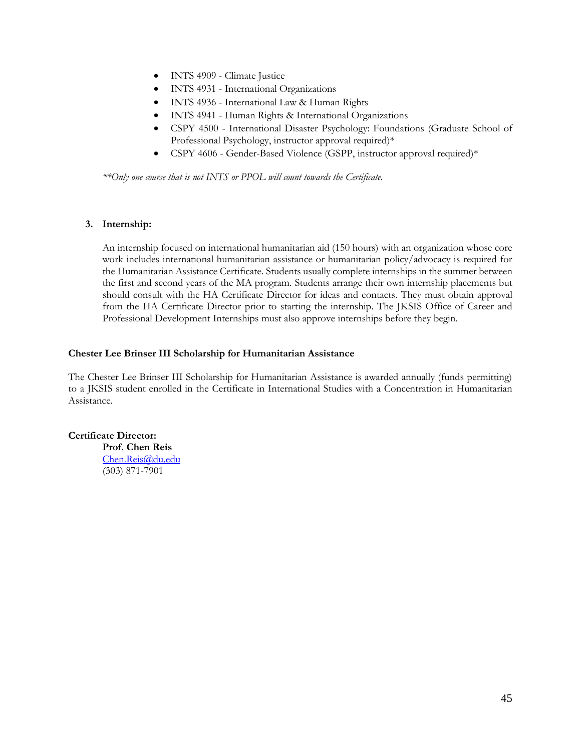- INTS 4909 Climate Justice
- INTS 4931 International Organizations
- INTS 4936 International Law & Human Rights
- INTS 4941 Human Rights & International Organizations
- CSPY 4500 International Disaster Psychology: Foundations (Graduate School of Professional Psychology, instructor approval required)\*
- CSPY 4606 Gender-Based Violence (GSPP, instructor approval required)\*

*\*\*Only one course that is not INTS or PPOL will count towards the Certificate.* 

#### **3. Internship:**

An internship focused on international humanitarian aid (150 hours) with an organization whose core work includes international humanitarian assistance or humanitarian policy/advocacy is required for the Humanitarian Assistance Certificate. Students usually complete internships in the summer between the first and second years of the MA program. Students arrange their own internship placements but should consult with the HA Certificate Director for ideas and contacts. They must obtain approval from the HA Certificate Director prior to starting the internship. The JKSIS Office of Career and Professional Development Internships must also approve internships before they begin.

#### **Chester Lee Brinser III Scholarship for Humanitarian Assistance**

The Chester Lee Brinser III Scholarship for Humanitarian Assistance is awarded annually (funds permitting) to a JKSIS student enrolled in the Certificate in International Studies with a Concentration in Humanitarian Assistance.

**Certificate Director: Prof. Chen Reis**

[Chen.Reis@du.edu](mailto:Chen.Reis@du.edu) (303) 871-7901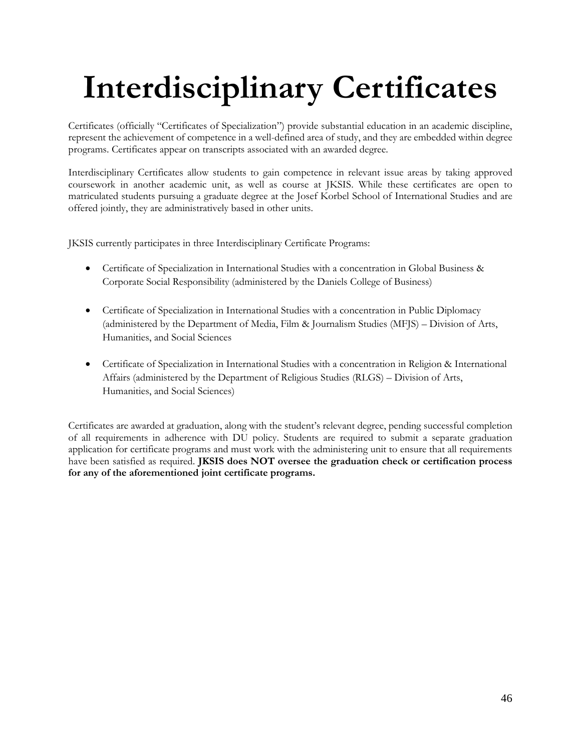# **Interdisciplinary Certificates**

Certificates (officially "Certificates of Specialization") provide substantial education in an academic discipline, represent the achievement of competence in a well-defined area of study, and they are embedded within degree programs. Certificates appear on transcripts associated with an awarded degree.

Interdisciplinary Certificates allow students to gain competence in relevant issue areas by taking approved coursework in another academic unit, as well as course at JKSIS. While these certificates are open to matriculated students pursuing a graduate degree at the Josef Korbel School of International Studies and are offered jointly, they are administratively based in other units.

JKSIS currently participates in three Interdisciplinary Certificate Programs:

- Certificate of Specialization in International Studies with a concentration in Global Business & Corporate Social Responsibility (administered by the Daniels College of Business)
- Certificate of Specialization in International Studies with a concentration in Public Diplomacy (administered by the Department of Media, Film & Journalism Studies (MFJS) – Division of Arts, Humanities, and Social Sciences
- Certificate of Specialization in International Studies with a concentration in Religion & International Affairs (administered by the Department of Religious Studies (RLGS) – Division of Arts, Humanities, and Social Sciences)

Certificates are awarded at graduation, along with the student's relevant degree, pending successful completion of all requirements in adherence with DU policy. Students are required to submit a separate graduation application for certificate programs and must work with the administering unit to ensure that all requirements have been satisfied as required. **JKSIS does NOT oversee the graduation check or certification process for any of the aforementioned joint certificate programs.**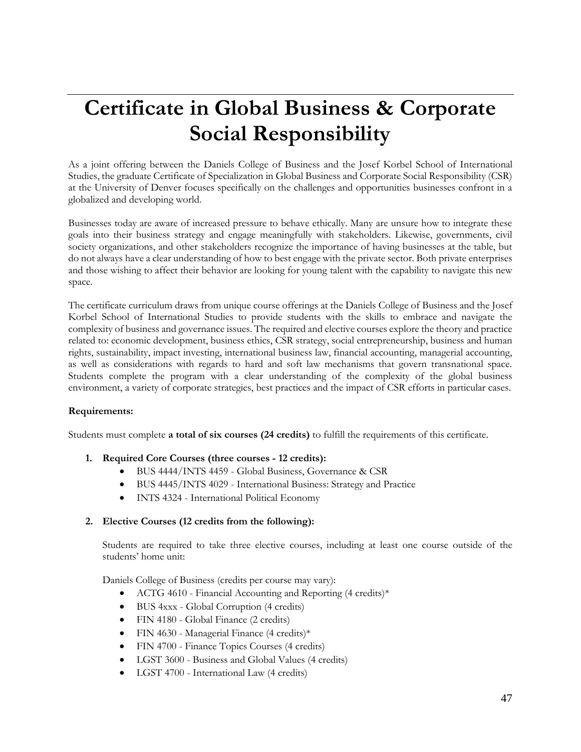## **Certificate in Global Business & Corporate Social Responsibility**

As a joint offering between the Daniels College of Business and the Josef Korbel School of International Studies, the graduate Certificate of Specialization in Global Business and Corporate Social Responsibility (CSR) at the University of Denver focuses specifically on the challenges and opportunities businesses confront in a globalized and developing world.

Businesses today are aware of increased pressure to behave ethically. Many are unsure how to integrate these goals into their business strategy and engage meaningfully with stakeholders. Likewise, governments, civil society organizations, and other stakeholders recognize the importance of having businesses at the table, but do not always have a clear understanding of how to best engage with the private sector. Both private enterprises and those wishing to affect their behavior are looking for young talent with the capability to navigate this new space.

The certificate curriculum draws from unique course offerings at the Daniels College of Business and the Josef Korbel School of International Studies to provide students with the skills to embrace and navigate the complexity of business and governance issues. The required and elective courses explore the theory and practice related to: economic development, business ethics, CSR strategy, social entrepreneurship, business and human rights, sustainability, impact investing, international business law, financial accounting, managerial accounting, as well as considerations with regards to hard and soft law mechanisms that govern transnational space. Students complete the program with a clear understanding of the complexity of the global business environment, a variety of corporate strategies, best practices and the impact of CSR efforts in particular cases.

#### **Requirements:**

Students must complete **a total of six courses (24 credits)** to fulfill the requirements of this certificate.

#### **1. Required Core Courses (three courses - 12 credits):**

- BUS 4444/INTS 4459 Global Business, Governance & CSR
- BUS 4445/INTS 4029 International Business: Strategy and Practice
- INTS 4324 International Political Economy

#### **2. Elective Courses (12 credits from the following):**

Students are required to take three elective courses, including at least one course outside of the students' home unit:

Daniels College of Business (credits per course may vary):

- ACTG 4610 Financial Accounting and Reporting (4 credits)\*
- BUS 4xxx Global Corruption (4 credits)
- FIN 4180 Global Finance (2 credits)
- FIN 4630 Managerial Finance (4 credits)\*
- FIN 4700 Finance Topics Courses (4 credits)
- LGST 3600 Business and Global Values (4 credits)
- LGST 4700 International Law (4 credits)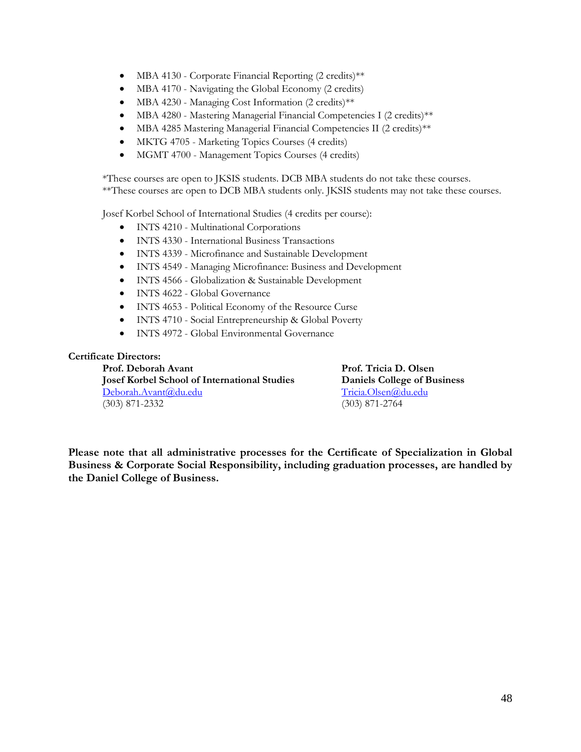- MBA 4130 Corporate Financial Reporting (2 credits)\*\*
- MBA 4170 Navigating the Global Economy (2 credits)
- MBA 4230 Managing Cost Information (2 credits)\*\*
- MBA 4280 Mastering Managerial Financial Competencies I (2 credits)\*\*
- MBA 4285 Mastering Managerial Financial Competencies II (2 credits)\*\*
- MKTG 4705 Marketing Topics Courses (4 credits)
- MGMT 4700 Management Topics Courses (4 credits)

\*These courses are open to JKSIS students. DCB MBA students do not take these courses. \*\*These courses are open to DCB MBA students only. JKSIS students may not take these courses.

Josef Korbel School of International Studies (4 credits per course):

- INTS 4210 Multinational Corporations
- INTS 4330 International Business Transactions
- INTS 4339 Microfinance and Sustainable Development
- INTS 4549 Managing Microfinance: Business and Development
- INTS 4566 Globalization & Sustainable Development
- INTS 4622 Global Governance
- INTS 4653 Political Economy of the Resource Curse
- INTS 4710 Social Entrepreneurship & Global Poverty
- INTS 4972 Global Environmental Governance

#### **Certificate Directors:**

**Prof. Deborah Avant Prof. Tricia D. Olsen Josef Korbel School of International Studies Daniels College of Business** [Deborah.Avant@du.edu](mailto:Deborah.Avant@du.edu) [Tricia.Olsen@du.edu](mailto:Tricia.Olsen@du.edu) (303) 871-2332 (303) 871-2764

**Please note that all administrative processes for the Certificate of Specialization in Global Business & Corporate Social Responsibility, including graduation processes, are handled by the Daniel College of Business.**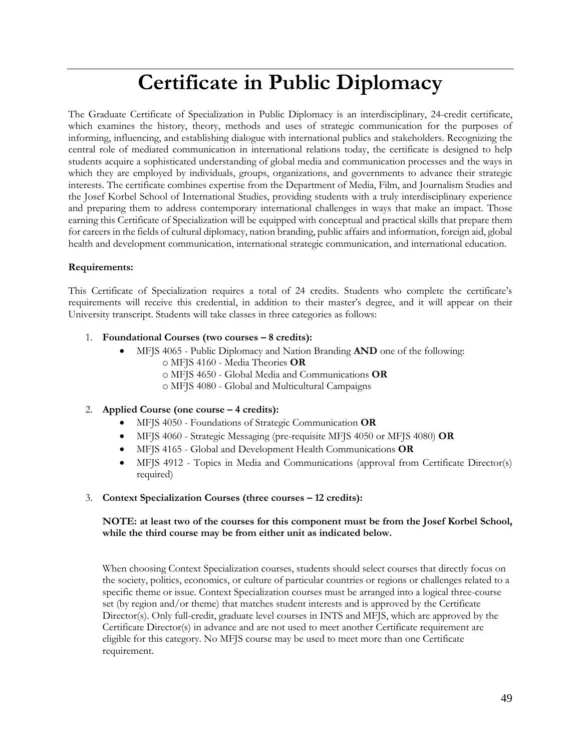### **Certificate in Public Diplomacy**

The Graduate Certificate of Specialization in Public Diplomacy is an interdisciplinary, 24-credit certificate, which examines the history, theory, methods and uses of strategic communication for the purposes of informing, influencing, and establishing dialogue with international publics and stakeholders. Recognizing the central role of mediated communication in international relations today, the certificate is designed to help students acquire a sophisticated understanding of global media and communication processes and the ways in which they are employed by individuals, groups, organizations, and governments to advance their strategic interests. The certificate combines expertise from the Department of Media, Film, and Journalism Studies and the Josef Korbel School of International Studies, providing students with a truly interdisciplinary experience and preparing them to address contemporary international challenges in ways that make an impact. Those earning this Certificate of Specialization will be equipped with conceptual and practical skills that prepare them for careers in the fields of cultural diplomacy, nation branding, public affairs and information, foreign aid, global health and development communication, international strategic communication, and international education.

#### **Requirements:**

This Certificate of Specialization requires a total of 24 credits. Students who complete the certificate's requirements will receive this credential, in addition to their master's degree, and it will appear on their University transcript. Students will take classes in three categories as follows:

#### 1. **Foundational Courses (two courses – 8 credits):**

- MFJS 4065 Public Diplomacy and Nation Branding **AND** one of the following:
	- o MFJS 4160 Media Theories **OR**
	- o MFJS 4650 Global Media and Communications **OR**
	- o MFJS 4080 Global and Multicultural Campaigns

#### 2. **Applied Course (one course – 4 credits):**

- MFJS 4050 Foundations of Strategic Communication **OR**
- MFJS 4060 Strategic Messaging (pre-requisite MFJS 4050 or MFJS 4080) **OR**
- MFJS 4165 Global and Development Health Communications **OR**
- MFJS 4912 Topics in Media and Communications (approval from Certificate Director(s) required)

#### 3. **Context Specialization Courses (three courses – 12 credits):**

#### **NOTE: at least two of the courses for this component must be from the Josef Korbel School, while the third course may be from either unit as indicated below.**

When choosing Context Specialization courses, students should select courses that directly focus on the society, politics, economics, or culture of particular countries or regions or challenges related to a specific theme or issue. Context Specialization courses must be arranged into a logical three-course set (by region and/or theme) that matches student interests and is approved by the Certificate Director(s). Only full-credit, graduate level courses in INTS and MFJS, which are approved by the Certificate Director(s) in advance and are not used to meet another Certificate requirement are eligible for this category. No MFJS course may be used to meet more than one Certificate requirement.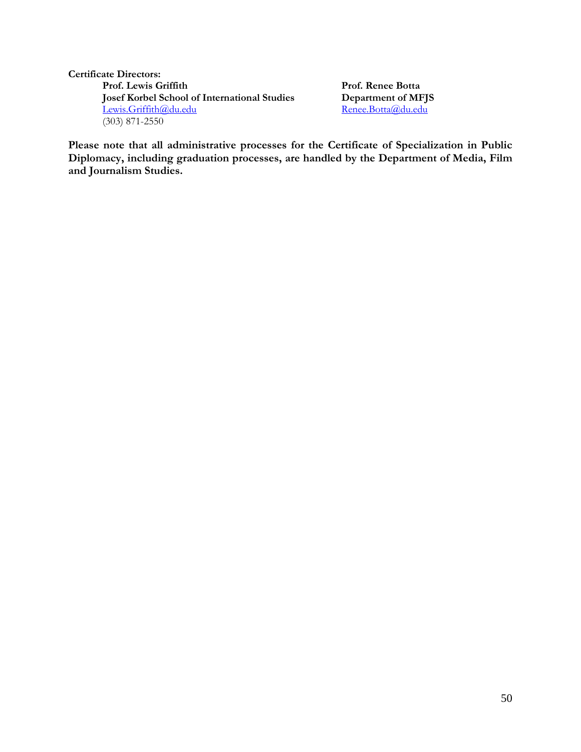#### **Certificate Directors: Prof. Lewis Griffith Prof. Renee Botta Josef Korbel School of International Studies Department of MFJS**<br><u>Lewis.Griffith@du.edu</u> Renee.Botta@du.edu [Lewis.Griffith@du.edu](mailto:Lewis.Griffith@du.edu) (303) 871-2550

**Please note that all administrative processes for the Certificate of Specialization in Public Diplomacy, including graduation processes, are handled by the Department of Media, Film and Journalism Studies.**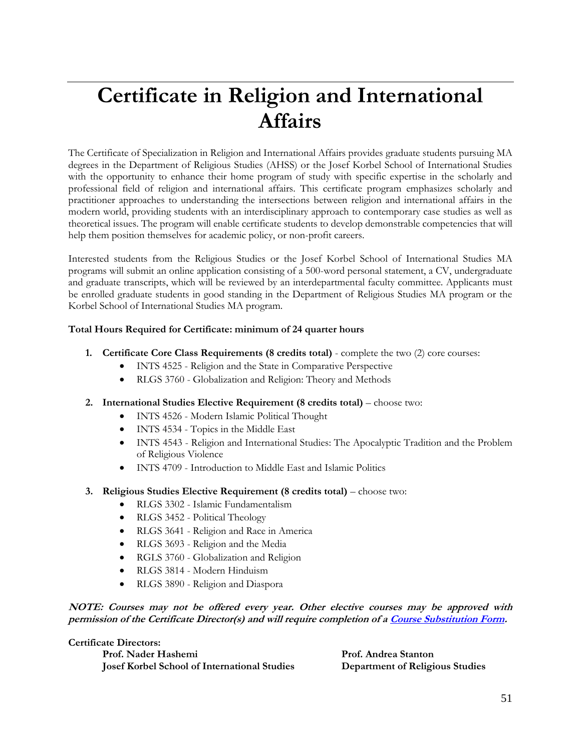# **Certificate in Religion and International Affairs**

The Certificate of Specialization in Religion and International Affairs provides graduate students pursuing MA degrees in the Department of Religious Studies (AHSS) or the Josef Korbel School of International Studies with the opportunity to enhance their home program of study with specific expertise in the scholarly and professional field of religion and international affairs. This certificate program emphasizes scholarly and practitioner approaches to understanding the intersections between religion and international affairs in the modern world, providing students with an interdisciplinary approach to contemporary case studies as well as theoretical issues. The program will enable certificate students to develop demonstrable competencies that will help them position themselves for academic policy, or non-profit careers.

Interested students from the Religious Studies or the Josef Korbel School of International Studies MA programs will submit an online application consisting of a 500-word personal statement, a CV, undergraduate and graduate transcripts, which will be reviewed by an interdepartmental faculty committee. Applicants must be enrolled graduate students in good standing in the Department of Religious Studies MA program or the Korbel School of International Studies MA program.

#### **Total Hours Required for Certificate: minimum of 24 quarter hours**

- **1. Certificate Core Class Requirements (8 credits total)** complete the two (2) core courses:
	- INTS 4525 Religion and the State in Comparative Perspective
	- RLGS 3760 Globalization and Religion: Theory and Methods
- **2. International Studies Elective Requirement (8 credits total)** choose two:
	- INTS 4526 Modern Islamic Political Thought
	- INTS 4534 Topics in the Middle East
	- INTS 4543 Religion and International Studies: The Apocalyptic Tradition and the Problem of Religious Violence
	- INTS 4709 Introduction to Middle East and Islamic Politics
- **3. Religious Studies Elective Requirement (8 credits total)** choose two:
	- RLGS 3302 Islamic Fundamentalism
	- RLGS 3452 Political Theology
	- RLGS 3641 Religion and Race in America
	- RLGS 3693 Religion and the Media
	- RGLS 3760 Globalization and Religion
	- RLGS 3814 Modern Hinduism
	- RLGS 3890 Religion and Diaspora

#### **NOTE: Courses may not be offered every year. Other elective courses may be approved with permission of the Certificate Director(s) and will require completion of [a Course Substitution Form.](http://www.du.edu/media/documents/graduates/graduatesubstitutionwaiver.pdf)**

**Certificate Directors: Prof. Nader Hashemi Prof. Andrea Stanton Josef Korbel School of International Studies Department of Religious Studies**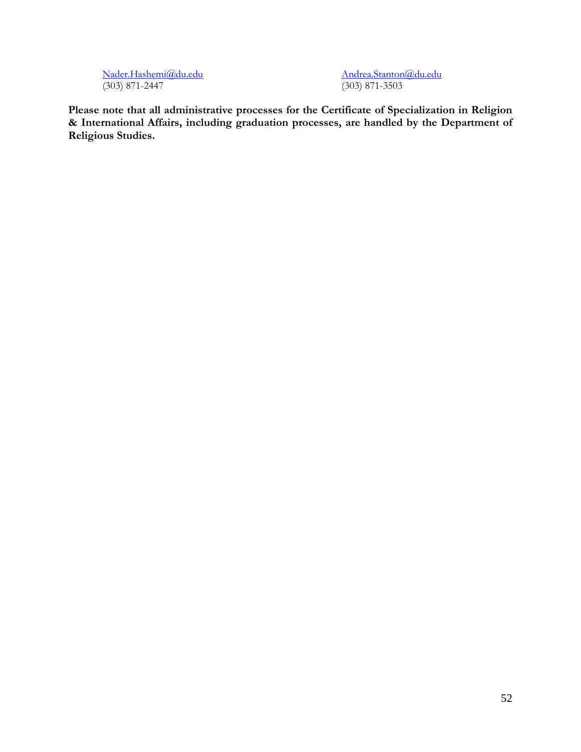[Nader.Hashemi@du.edu](mailto:Nader.Hashemi@du.edu) [Andrea.Stanton@du.edu](mailto:Andrea.Stanton@du.edu) (303) 871-2447

**Please note that all administrative processes for the Certificate of Specialization in Religion & International Affairs, including graduation processes, are handled by the Department of Religious Studies.**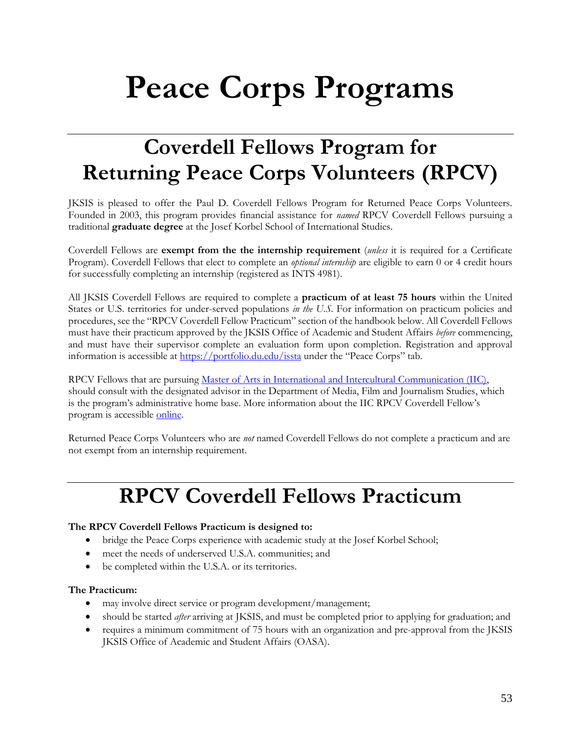# **Peace Corps Programs**

## **Coverdell Fellows Program for Returning Peace Corps Volunteers (RPCV)**

JKSIS is pleased to offer the Paul D. Coverdell Fellows Program for Returned Peace Corps Volunteers. Founded in 2003, this program provides financial assistance for *named* RPCV Coverdell Fellows pursuing a traditional **graduate degree** at the Josef Korbel School of International Studies.

Coverdell Fellows are **exempt from the the internship requirement** (*unless* it is required for a Certificate Program). Coverdell Fellows that elect to complete an *optional internship* are eligible to earn 0 or 4 credit hours for successfully completing an internship (registered as INTS 4981).

All JKSIS Coverdell Fellows are required to complete a **practicum of at least 75 hours** within the United States or U.S. territories for under-served populations *in the U.S.* For information on practicum policies and procedures, see the "RPCV Coverdell Fellow Practicum" section of the handbook below. All Coverdell Fellows must have their practicum approved by the JKSIS Office of Academic and Student Affairs *before* commencing, and must have their supervisor complete an evaluation form upon completion. Registration and approval information is accessible at<https://portfolio.du.edu/issta> under the "Peace Corps" tab.

RPCV Fellows that are pursuing [Master of Arts in International and Intercultural Communication \(IIC\),](http://www.du.edu/ahss/mfjs/programs/graduate/iic.html) should consult with the designated advisor in the Department of Media, Film and Journalism Studies, which is the program's administrative home base. More information about the IIC RPCV Coverdell Fellow's program is accessibl[e online.](http://www.du.edu/ahss/mfjs/programs/graduate/iic_peacecorps.html)

Returned Peace Corps Volunteers who are *not* named Coverdell Fellows do not complete a practicum and are not exempt from an internship requirement.

### **RPCV Coverdell Fellows Practicum**

#### **The RPCV Coverdell Fellows Practicum is designed to:**

- bridge the Peace Corps experience with academic study at the Josef Korbel School;
- meet the needs of underserved U.S.A. communities; and
- be completed within the U.S.A. or its territories.

#### **The Practicum:**

- may involve direct service or program development/management;
- should be started *after* arriving at JKSIS, and must be completed prior to applying for graduation; and
- requires a minimum commitment of 75 hours with an organization and pre-approval from the JKSIS JKSIS Office of Academic and Student Affairs (OASA).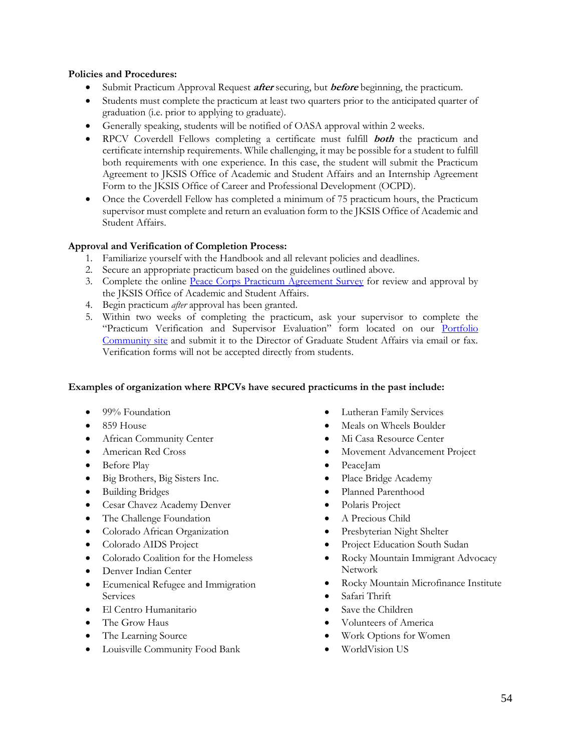#### **Policies and Procedures:**

- Submit Practicum Approval Request **after** securing, but **before** beginning, the practicum.
- Students must complete the practicum at least two quarters prior to the anticipated quarter of graduation (i.e. prior to applying to graduate).
- Generally speaking, students will be notified of OASA approval within 2 weeks.
- RPCV Coverdell Fellows completing a certificate must fulfill **both** the practicum and certificate internship requirements. While challenging, it may be possible for a student to fulfill both requirements with one experience. In this case, the student will submit the Practicum Agreement to JKSIS Office of Academic and Student Affairs and an Internship Agreement Form to the JKSIS Office of Career and Professional Development (OCPD).
- Once the Coverdell Fellow has completed a minimum of 75 practicum hours, the Practicum supervisor must complete and return an evaluation form to the JKSIS Office of Academic and Student Affairs.

#### **Approval and Verification of Completion Process:**

- 1. Familiarize yourself with the Handbook and all relevant policies and deadlines.
- 2. Secure an appropriate practicum based on the guidelines outlined above.
- 3. Complete the online [Peace Corps Practicum Agreement Survey](https://udenver.qualtrics.com/SE/?SID=SV_ah1OMI5jFdyFLSI) for review and approval by the JKSIS Office of Academic and Student Affairs.
- 4. Begin practicum *after* approval has been granted.
- 5. Within two weeks of completing the practicum, ask your supervisor to complete the "Practicum Verification and Supervisor Evaluation" form located on our [Portfolio](http://portfolio.du.edu/issta/page/43793)  [Community site](http://portfolio.du.edu/issta/page/43793) and submit it to the Director of Graduate Student Affairs via email or fax. Verification forms will not be accepted directly from students.

#### **Examples of organization where RPCVs have secured practicums in the past include:**

- 99% Foundation
- 859 House
- African Community Center
- American Red Cross
- Before Play
- Big Brothers, Big Sisters Inc.
- Building Bridges
- Cesar Chavez Academy Denver
- The Challenge Foundation
- Colorado African Organization
- Colorado AIDS Project
- Colorado Coalition for the Homeless
- Denver Indian Center
- Ecumenical Refugee and Immigration **Services**
- El Centro Humanitario
- The Grow Haus
- The Learning Source
- Louisville Community Food Bank
- Lutheran Family Services
- Meals on Wheels Boulder
- Mi Casa Resource Center
- Movement Advancement Project
- PeaceJam
- Place Bridge Academy
- Planned Parenthood
- Polaris Project
- A Precious Child
- Presbyterian Night Shelter
- Project Education South Sudan
- Rocky Mountain Immigrant Advocacy Network
- Rocky Mountain Microfinance Institute
- Safari Thrift
- Save the Children
- Volunteers of America
- Work Options for Women
- WorldVision US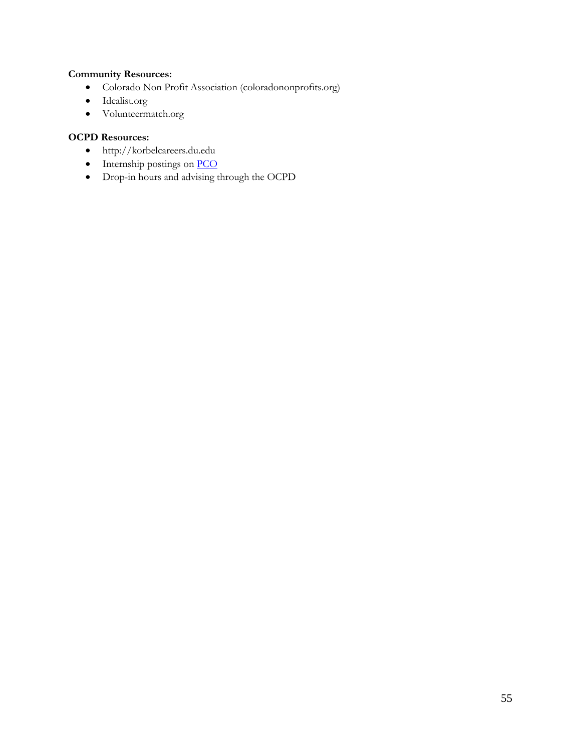#### **Community Resources:**

- Colorado Non Profit Association (coloradononprofits.org)
- Idealist.org
- Volunteermatch.org

#### **OCPD Resources:**

- http://korbelcareers.du.edu
- Internship postings on **PCO**
- Drop-in hours and advising through the OCPD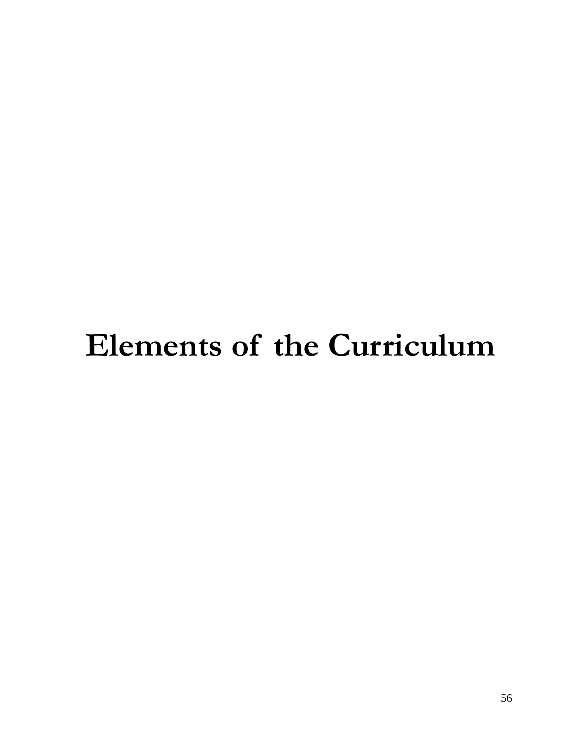# **Elements of the Curriculum**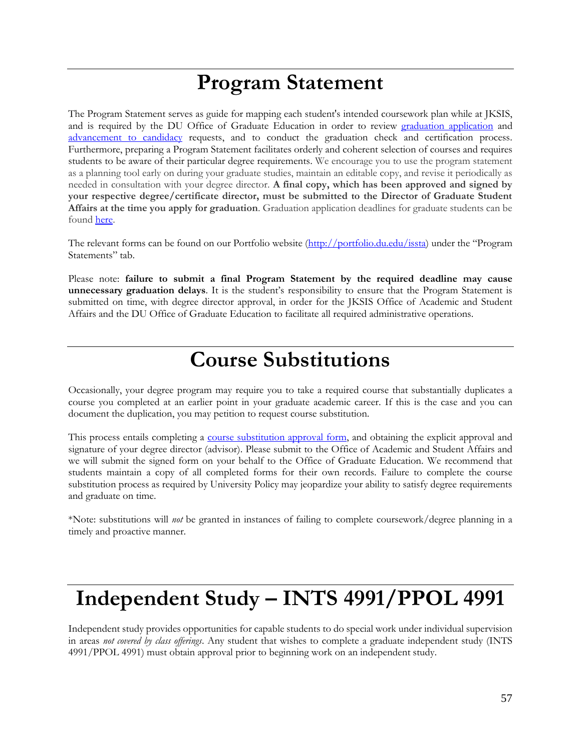### **Program Statement**

The Program Statement serves as guide for mapping each student's intended coursework plan while at JKSIS, and is required by the DU Office of Graduate Education in order to review [graduation application](http://bulletin.du.edu/graduate/academic-requirements-policies-and-procedures/graduation-requirements/) and [advancement to candidacy](http://bulletin.du.edu/graduate/academic-requirements-policies-and-procedures/masters-degree-requirements/requirements/) requests, and to conduct the graduation check and certification process. Furthermore, preparing a Program Statement facilitates orderly and coherent selection of courses and requires students to be aware of their particular degree requirements. We encourage you to use the program statement as a planning tool early on during your graduate studies, maintain an editable copy, and revise it periodically as needed in consultation with your degree director. **A final copy, which has been approved and signed by your respective degree/certificate director, must be submitted to the Director of Graduate Student Affairs at the time you apply for graduation**. Graduation application deadlines for graduate students can be found [here.](http://www.du.edu/currentstudents/graduates/graduationinformation.html)

The relevant forms can be found on our Portfolio website [\(http://portfolio.du.edu/issta](http://portfolio.du.edu/issta)) under the "Program Statements" tab.

Please note: **failure to submit a final Program Statement by the required deadline may cause unnecessary graduation delays**. It is the student's responsibility to ensure that the Program Statement is submitted on time, with degree director approval, in order for the JKSIS Office of Academic and Student Affairs and the DU Office of Graduate Education to facilitate all required administrative operations.

### **Course Substitutions**

Occasionally, your degree program may require you to take a required course that substantially duplicates a course you completed at an earlier point in your graduate academic career. If this is the case and you can document the duplication, you may petition to request course substitution.

This process entails completing a [course substitution approval form,](https://www.du.edu/sites/default/files/2020-04/Graduate%20Course%20Substitution%20or%20Waiver%20Approval%20Form.pdf) and obtaining the explicit approval and signature of your degree director (advisor). Please submit to the Office of Academic and Student Affairs and we will submit the signed form on your behalf to the Office of Graduate Education. We recommend that students maintain a copy of all completed forms for their own records. Failure to complete the course substitution process as required by University Policy may jeopardize your ability to satisfy degree requirements and graduate on time.

\*Note: substitutions will *not* be granted in instances of failing to complete coursework/degree planning in a timely and proactive manner.

### **Independent Study – INTS 4991/PPOL 4991**

Independent study provides opportunities for capable students to do special work under individual supervision in areas *not covered by class offerings*. Any student that wishes to complete a graduate independent study (INTS 4991/PPOL 4991) must obtain approval prior to beginning work on an independent study.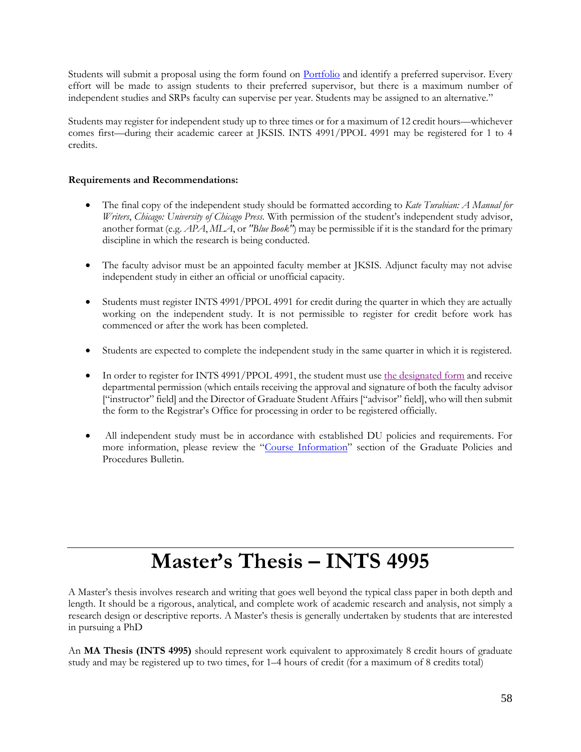Students will submit a proposal using the form found on [Portfolio](https://portfolio.du.edu/issta/page/55845) and identify a preferred supervisor. Every effort will be made to assign students to their preferred supervisor, but there is a maximum number of independent studies and SRPs faculty can supervise per year. Students may be assigned to an alternative."

Students may register for independent study up to three times or for a maximum of 12 credit hours—whichever comes first—during their academic career at JKSIS. INTS 4991/PPOL 4991 may be registered for 1 to 4 credits.

#### **Requirements and Recommendations:**

- The final copy of the independent study should be formatted according to *Kate Turabian: A Manual for Writers*, *Chicago: University of Chicago Press*. With permission of the student's independent study advisor, another format (e.g. *APA*, *MLA*, or *"Blue Book"*) may be permissible if it is the standard for the primary discipline in which the research is being conducted.
- The faculty advisor must be an appointed faculty member at JKSIS. Adjunct faculty may not advise independent study in either an official or unofficial capacity.
- Students must register INTS 4991/PPOL 4991 for credit during the quarter in which they are actually working on the independent study. It is not permissible to register for credit before work has commenced or after the work has been completed.
- Students are expected to complete the independent study in the same quarter in which it is registered.
- In order to register for INTS 4991/PPOL 4991, the student must use [the designated form](http://www.du.edu/registrar/media/documents/independentstudy.pdf) and receive departmental permission (which entails receiving the approval and signature of both the faculty advisor ["instructor" field] and the Director of Graduate Student Affairs ["advisor" field], who will then submit the form to the Registrar's Office for processing in order to be registered officially.
- All independent study must be in accordance with established DU policies and requirements. For more information, please review the "[Course Information](http://bulletin.du.edu/graduate/academic-requirements-policies-and-procedures/registration/course-information/)" section of the Graduate Policies and Procedures Bulletin.

# **Master's Thesis – INTS 4995**

A Master's thesis involves research and writing that goes well beyond the typical class paper in both depth and length. It should be a rigorous, analytical, and complete work of academic research and analysis, not simply a research design or descriptive reports. A Master's thesis is generally undertaken by students that are interested in pursuing a PhD

An **MA Thesis (INTS 4995)** should represent work equivalent to approximately 8 credit hours of graduate study and may be registered up to two times, for 1–4 hours of credit (for a maximum of 8 credits total)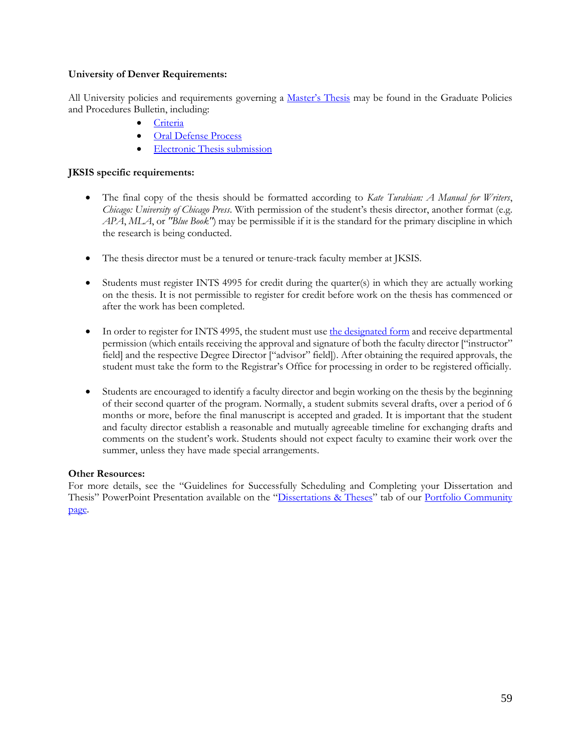#### **University of Denver Requirements:**

All University policies and requirements governing a [Master's Thesis](http://bulletin.du.edu/graduate/academic-requirements-policies-and-procedures/masters-degree-requirements/masters-thesis/) may be found in the Graduate Policies and Procedures Bulletin, including:

- [Criteria](http://bulletin.du.edu/graduate/academic-requirements-policies-and-procedures/masters-degree-requirements/masters-thesis/)
- [Oral Defense Process](http://bulletin.du.edu/graduate/academic-requirements-policies-and-procedures/masters-degree-requirements/masters-thesis-oral-defense/)
- [Electronic Thesis submission](http://bulletin.du.edu/graduate/academic-requirements-policies-and-procedures/electronic-thesis-and-dissertation/)

#### **JKSIS specific requirements:**

- The final copy of the thesis should be formatted according to *Kate Turabian: A Manual for Writers*, *Chicago: University of Chicago Press*. With permission of the student's thesis director, another format (e.g. *APA*, *MLA*, or *"Blue Book"*) may be permissible if it is the standard for the primary discipline in which the research is being conducted.
- The thesis director must be a tenured or tenure-track faculty member at JKSIS.
- Students must register INTS 4995 for credit during the quarter(s) in which they are actually working on the thesis. It is not permissible to register for credit before work on the thesis has commenced or after the work has been completed.
- In order to register for INTS 4995, the student must use [the designated form](http://www.du.edu/registrar/media/documents/independentstudy.pdf) and receive departmental permission (which entails receiving the approval and signature of both the faculty director ["instructor" field] and the respective Degree Director ["advisor" field]). After obtaining the required approvals, the student must take the form to the Registrar's Office for processing in order to be registered officially.
- Students are encouraged to identify a faculty director and begin working on the thesis by the beginning of their second quarter of the program. Normally, a student submits several drafts, over a period of 6 months or more, before the final manuscript is accepted and graded. It is important that the student and faculty director establish a reasonable and mutually agreeable timeline for exchanging drafts and comments on the student's work. Students should not expect faculty to examine their work over the summer, unless they have made special arrangements.

#### **Other Resources:**

For more details, see the "Guidelines for Successfully Scheduling and Completing your Dissertation and Thesis" PowerPoint Presentation available on the "[Dissertations & Theses](http://portfolio.du.edu/issta/page/55845)" tab of our Portfolio Community [page.](http://portfolio.du.edu/issta)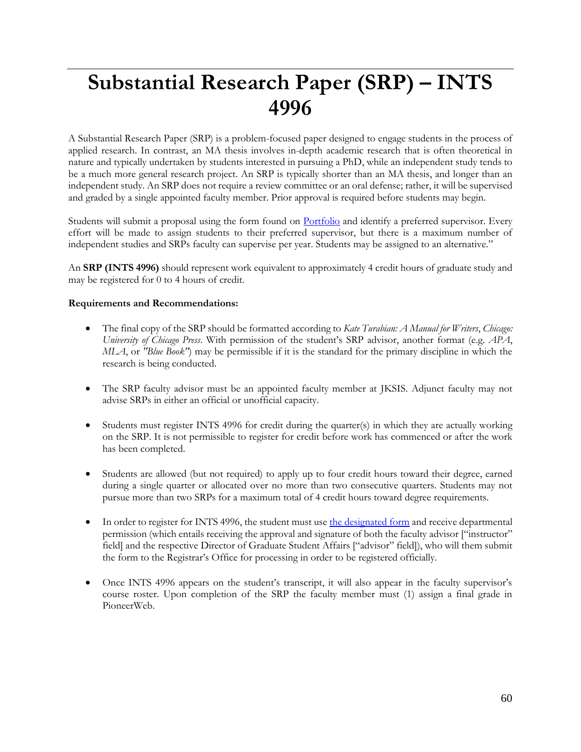# **Substantial Research Paper (SRP) – INTS 4996**

A Substantial Research Paper (SRP) is a problem-focused paper designed to engage students in the process of applied research. In contrast, an MA thesis involves in-depth academic research that is often theoretical in nature and typically undertaken by students interested in pursuing a PhD, while an independent study tends to be a much more general research project. An SRP is typically shorter than an MA thesis, and longer than an independent study. An SRP does not require a review committee or an oral defense; rather, it will be supervised and graded by a single appointed faculty member. Prior approval is required before students may begin.

Students will submit a proposal using the form found on [Portfolio](https://portfolio.du.edu/issta/page/55845) and identify a preferred supervisor. Every effort will be made to assign students to their preferred supervisor, but there is a maximum number of independent studies and SRPs faculty can supervise per year. Students may be assigned to an alternative."

An **SRP (INTS 4996)** should represent work equivalent to approximately 4 credit hours of graduate study and may be registered for 0 to 4 hours of credit.

#### **Requirements and Recommendations:**

- The final copy of the SRP should be formatted according to *Kate Turabian: A Manual for Writers*, *Chicago: University of Chicago Press*. With permission of the student's SRP advisor, another format (e.g. *APA*, *MLA*, or *"Blue Book"*) may be permissible if it is the standard for the primary discipline in which the research is being conducted.
- The SRP faculty advisor must be an appointed faculty member at JKSIS. Adjunct faculty may not advise SRPs in either an official or unofficial capacity.
- Students must register INTS 4996 for credit during the quarter(s) in which they are actually working on the SRP. It is not permissible to register for credit before work has commenced or after the work has been completed.
- Students are allowed (but not required) to apply up to four credit hours toward their degree, earned during a single quarter or allocated over no more than two consecutive quarters. Students may not pursue more than two SRPs for a maximum total of 4 credit hours toward degree requirements.
- In order to register for INTS 4996, the student must use [the designated form](http://www.du.edu/registrar/media/documents/independentstudy.pdf) and receive departmental permission (which entails receiving the approval and signature of both the faculty advisor ["instructor" field] and the respective Director of Graduate Student Affairs ["advisor" field]), who will them submit the form to the Registrar's Office for processing in order to be registered officially.
- Once INTS 4996 appears on the student's transcript, it will also appear in the faculty supervisor's course roster. Upon completion of the SRP the faculty member must (1) assign a final grade in PioneerWeb.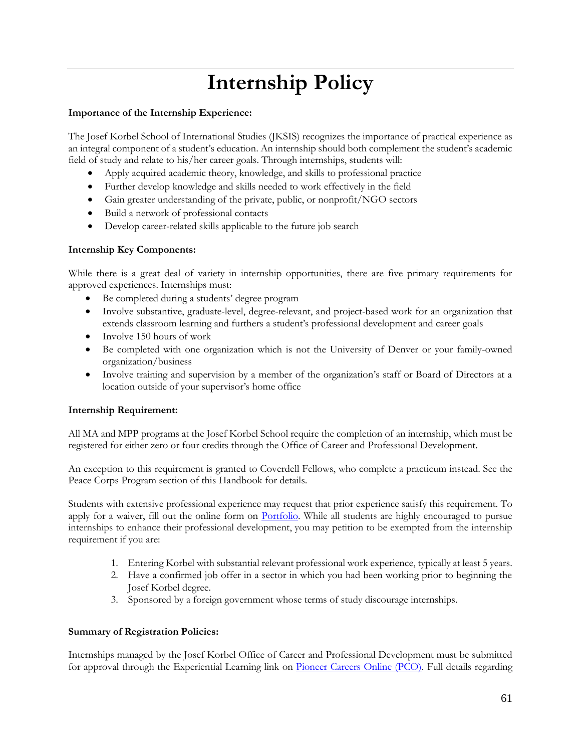# **Internship Policy**

#### **Importance of the Internship Experience:**

The Josef Korbel School of International Studies (JKSIS) recognizes the importance of practical experience as an integral component of a student's education. An internship should both complement the student's academic field of study and relate to his/her career goals. Through internships, students will:

- Apply acquired academic theory, knowledge, and skills to professional practice
- Further develop knowledge and skills needed to work effectively in the field
- Gain greater understanding of the private, public, or nonprofit/NGO sectors
- Build a network of professional contacts
- Develop career-related skills applicable to the future job search

#### **Internship Key Components:**

While there is a great deal of variety in internship opportunities, there are five primary requirements for approved experiences. Internships must:

- Be completed during a students' degree program
- Involve substantive, graduate-level, degree-relevant, and project-based work for an organization that extends classroom learning and furthers a student's professional development and career goals
- Involve 150 hours of work
- Be completed with one organization which is not the University of Denver or your family-owned organization/business
- Involve training and supervision by a member of the organization's staff or Board of Directors at a location outside of your supervisor's home office

#### **Internship Requirement:**

All MA and MPP programs at the Josef Korbel School require the completion of an internship, which must be registered for either zero or four credits through the Office of Career and Professional Development.

An exception to this requirement is granted to Coverdell Fellows, who complete a practicum instead. See the Peace Corps Program section of this Handbook for details.

Students with extensive professional experience may request that prior experience satisfy this requirement. To apply for a waiver, fill out the online form on **Portfolio**. While all students are highly encouraged to pursue internships to enhance their professional development, you may petition to be exempted from the internship requirement if you are:

- 1. Entering Korbel with substantial relevant professional work experience, typically at least 5 years.
- 2. Have a confirmed job offer in a sector in which you had been working prior to beginning the Josef Korbel degree.
- 3. Sponsored by a foreign government whose terms of study discourage internships.

#### **Summary of Registration Policies:**

Internships managed by the Josef Korbel Office of Career and Professional Development must be submitted for approval through the Experiential Learning link on [Pioneer Careers Online \(PCO\).](https://du.edu/pioneercareers) Full details regarding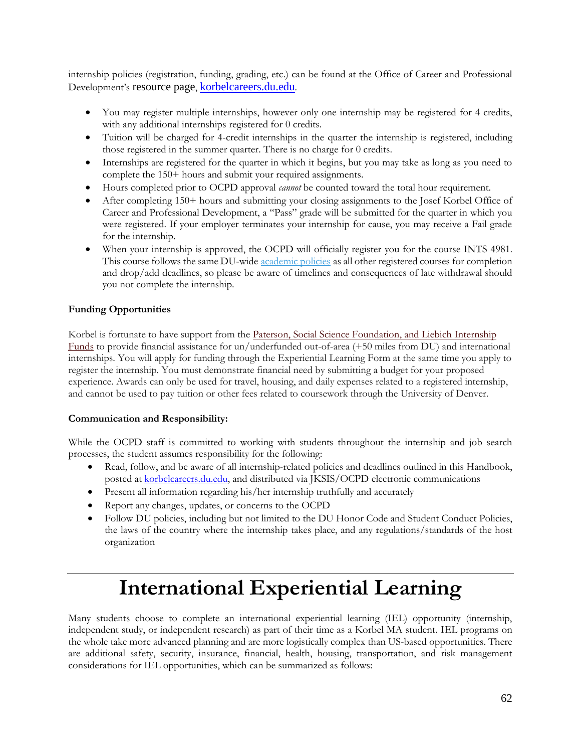internship policies (registration, funding, grading, etc.) can be found at the Office of Career and Professional Development's resource page, [korbelcareers.du.edu](http://korbelcareers.du.edu/).

- You may register multiple internships, however only one internship may be registered for 4 credits, with any additional internships registered for 0 credits.
- Tuition will be charged for 4-credit internships in the quarter the internship is registered, including those registered in the summer quarter. There is no charge for 0 credits.
- Internships are registered for the quarter in which it begins, but you may take as long as you need to complete the 150+ hours and submit your required assignments.
- Hours completed prior to OCPD approval *cannot* be counted toward the total hour requirement.
- After completing 150+ hours and submitting your closing assignments to the Josef Korbel Office of Career and Professional Development, a "Pass" grade will be submitted for the quarter in which you were registered. If your employer terminates your internship for cause, you may receive a Fail grade for the internship.
- When your internship is approved, the OCPD will officially register you for the course INTS 4981. This course follows the same DU-wide *[academic policies](http://www.du.edu/registrar/)* as all other registered courses for completion and drop/add deadlines, so please be aware of timelines and consequences of late withdrawal should you not complete the internship.

#### **Funding Opportunities**

Korbel is fortunate to have support from the Paterson, Social Science Foundation, and Liebich Internship [Funds](http://www.du.edu/korbel/careers/students/internships.html) to provide financial assistance for un/underfunded out-of-area (+50 miles from DU) and international internships. You will apply for funding through the Experiential Learning Form at the same time you apply to register the internship. You must demonstrate financial need by submitting a budget for your proposed experience. Awards can only be used for travel, housing, and daily expenses related to a registered internship, and cannot be used to pay tuition or other fees related to coursework through the University of Denver.

#### **Communication and Responsibility:**

While the OCPD staff is committed to working with students throughout the internship and job search processes, the student assumes responsibility for the following:

- Read, follow, and be aware of all internship-related policies and deadlines outlined in this Handbook, posted at [korbelcareers.du.edu,](http://korbelcareers.du.edu/internships) and distributed via JKSIS/OCPD electronic communications
- Present all information regarding his/her internship truthfully and accurately
- Report any changes, updates, or concerns to the OCPD
- Follow DU policies, including but not limited to the DU Honor Code and Student Conduct Policies, the laws of the country where the internship takes place, and any regulations/standards of the host organization

### **International Experiential Learning**

Many students choose to complete an international experiential learning (IEL) opportunity (internship, independent study, or independent research) as part of their time as a Korbel MA student. IEL programs on the whole take more advanced planning and are more logistically complex than US-based opportunities. There are additional safety, security, insurance, financial, health, housing, transportation, and risk management considerations for IEL opportunities, which can be summarized as follows: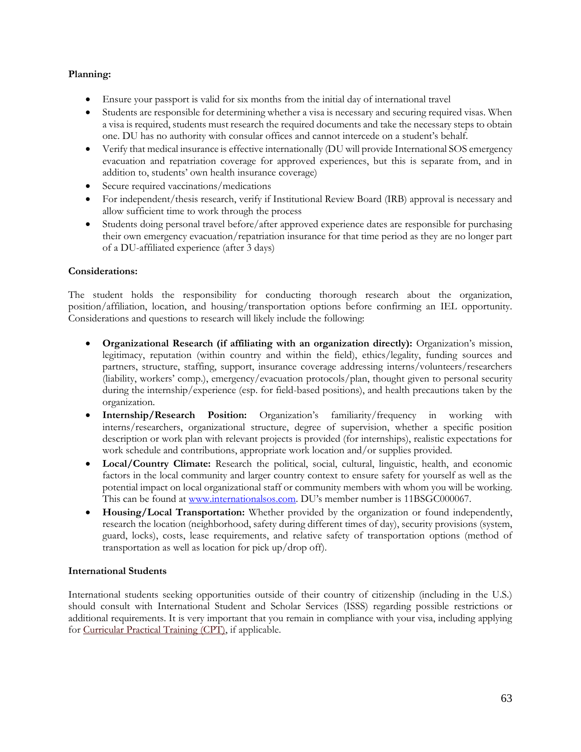#### **Planning:**

- Ensure your passport is valid for six months from the initial day of international travel
- Students are responsible for determining whether a visa is necessary and securing required visas. When a visa is required, students must research the required documents and take the necessary steps to obtain one. DU has no authority with consular offices and cannot intercede on a student's behalf.
- Verify that medical insurance is effective internationally (DU will provide International SOS emergency evacuation and repatriation coverage for approved experiences, but this is separate from, and in addition to, students' own health insurance coverage)
- Secure required vaccinations/medications
- For independent/thesis research, verify if Institutional Review Board (IRB) approval is necessary and allow sufficient time to work through the process
- Students doing personal travel before/after approved experience dates are responsible for purchasing their own emergency evacuation/repatriation insurance for that time period as they are no longer part of a DU-affiliated experience (after 3 days)

#### **Considerations:**

The student holds the responsibility for conducting thorough research about the organization, position/affiliation, location, and housing/transportation options before confirming an IEL opportunity. Considerations and questions to research will likely include the following:

- **Organizational Research (if affiliating with an organization directly):** Organization's mission, legitimacy, reputation (within country and within the field), ethics/legality, funding sources and partners, structure, staffing, support, insurance coverage addressing interns/volunteers/researchers (liability, workers' comp.), emergency/evacuation protocols/plan, thought given to personal security during the internship/experience (esp. for field-based positions), and health precautions taken by the organization.
- **Internship/Research Position:** Organization's familiarity/frequency in working with interns/researchers, organizational structure, degree of supervision, whether a specific position description or work plan with relevant projects is provided (for internships), realistic expectations for work schedule and contributions, appropriate work location and/or supplies provided.
- **Local/Country Climate:** Research the political, social, cultural, linguistic, health, and economic factors in the local community and larger country context to ensure safety for yourself as well as the potential impact on local organizational staff or community members with whom you will be working. This can be found at [www.internationalsos.com](http://www.internationalsos.com/). DU's member number is 11BSGC000067.
- **Housing/Local Transportation:** Whether provided by the organization or found independently, research the location (neighborhood, safety during different times of day), security provisions (system, guard, locks), costs, lease requirements, and relative safety of transportation options (method of transportation as well as location for pick up/drop off).

#### **International Students**

International students seeking opportunities outside of their country of citizenship (including in the U.S.) should consult with International Student and Scholar Services (ISSS) regarding possible restrictions or additional requirements. It is very important that you remain in compliance with your visa, including applying for [Curricular Practical Training \(CPT\),](http://www.du.edu/isss/employment/curricular-practical-training.html) if applicable.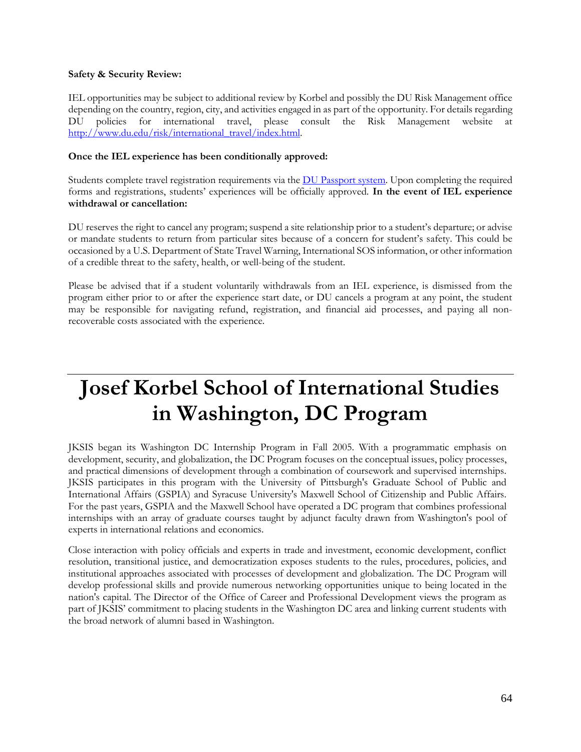#### **Safety & Security Review:**

IEL opportunities may be subject to additional review by Korbel and possibly the DU Risk Management office depending on the country, region, city, and activities engaged in as part of the opportunity. For details regarding DU policies for international travel, please consult the Risk Management website at [http://www.du.edu/risk/international\\_travel/index.html.](http://www.du.edu/risk/international_travel/index.html) 

#### **Once the IEL experience has been conditionally approved:**

Students complete travel registration requirements via the [DU Passport system.](http://abroad.du.edu/) Upon completing the required forms and registrations, students' experiences will be officially approved. **In the event of IEL experience withdrawal or cancellation:**

DU reserves the right to cancel any program; suspend a site relationship prior to a student's departure; or advise or mandate students to return from particular sites because of a concern for student's safety. This could be occasioned by a U.S. Department of State Travel Warning, International SOS information, or other information of a credible threat to the safety, health, or well-being of the student.

Please be advised that if a student voluntarily withdrawals from an IEL experience, is dismissed from the program either prior to or after the experience start date, or DU cancels a program at any point, the student may be responsible for navigating refund, registration, and financial aid processes, and paying all nonrecoverable costs associated with the experience.

## **Josef Korbel School of International Studies in Washington, DC Program**

JKSIS began its Washington DC Internship Program in Fall 2005. With a programmatic emphasis on development, security, and globalization, the DC Program focuses on the conceptual issues, policy processes, and practical dimensions of development through a combination of coursework and supervised internships. JKSIS participates in this program with the University of Pittsburgh's Graduate School of Public and International Affairs (GSPIA) and Syracuse University's Maxwell School of Citizenship and Public Affairs. For the past years, GSPIA and the Maxwell School have operated a DC program that combines professional internships with an array of graduate courses taught by adjunct faculty drawn from Washington's pool of experts in international relations and economics.

Close interaction with policy officials and experts in trade and investment, economic development, conflict resolution, transitional justice, and democratization exposes students to the rules, procedures, policies, and institutional approaches associated with processes of development and globalization. The DC Program will develop professional skills and provide numerous networking opportunities unique to being located in the nation's capital. The Director of the Office of Career and Professional Development views the program as part of JKSIS' commitment to placing students in the Washington DC area and linking current students with the broad network of alumni based in Washington.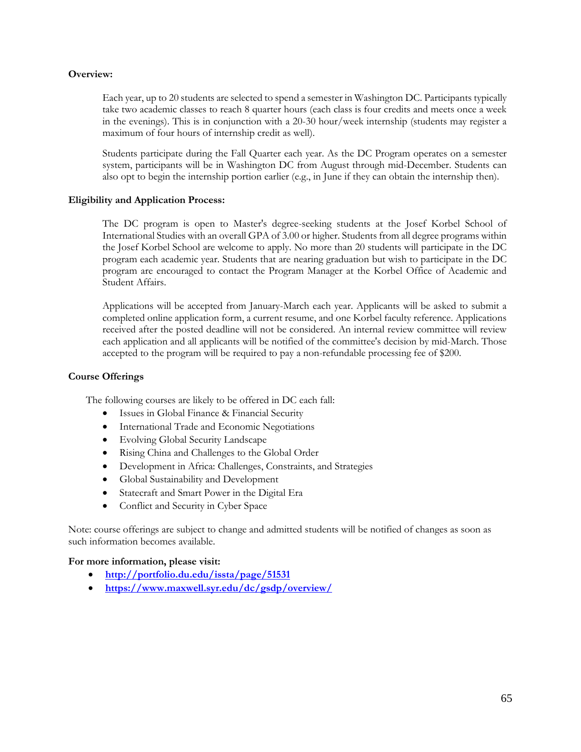#### **Overview:**

Each year, up to 20 students are selected to spend a semester in Washington DC. Participants typically take two academic classes to reach 8 quarter hours (each class is four credits and meets once a week in the evenings). This is in conjunction with a 20-30 hour/week internship (students may register a maximum of four hours of internship credit as well).

Students participate during the Fall Quarter each year. As the DC Program operates on a semester system, participants will be in Washington DC from August through mid-December. Students can also opt to begin the internship portion earlier (e.g., in June if they can obtain the internship then).

#### **Eligibility and Application Process:**

The DC program is open to Master's degree-seeking students at the Josef Korbel School of International Studies with an overall GPA of 3.00 or higher. Students from all degree programs within the Josef Korbel School are welcome to apply. No more than 20 students will participate in the DC program each academic year. Students that are nearing graduation but wish to participate in the DC program are encouraged to contact the Program Manager at the Korbel Office of Academic and Student Affairs.

Applications will be accepted from January-March each year. Applicants will be asked to submit a completed online application form, a current resume, and one Korbel faculty reference. Applications received after the posted deadline will not be considered. An internal review committee will review each application and all applicants will be notified of the committee's decision by mid-March. Those accepted to the program will be required to pay a non-refundable processing fee of \$200.

#### **Course Offerings**

The following courses are likely to be offered in DC each fall:

- Issues in Global Finance & Financial Security
- International Trade and Economic Negotiations
- Evolving Global Security Landscape
- Rising China and Challenges to the Global Order
- Development in Africa: Challenges, Constraints, and Strategies
- Global Sustainability and Development
- Statecraft and Smart Power in the Digital Era
- Conflict and Security in Cyber Space

Note: course offerings are subject to change and admitted students will be notified of changes as soon as such information becomes available.

#### **For more information, please visit:**

- **<http://portfolio.du.edu/issta/page/51531>**
- **<https://www.maxwell.syr.edu/dc/gsdp/overview/>**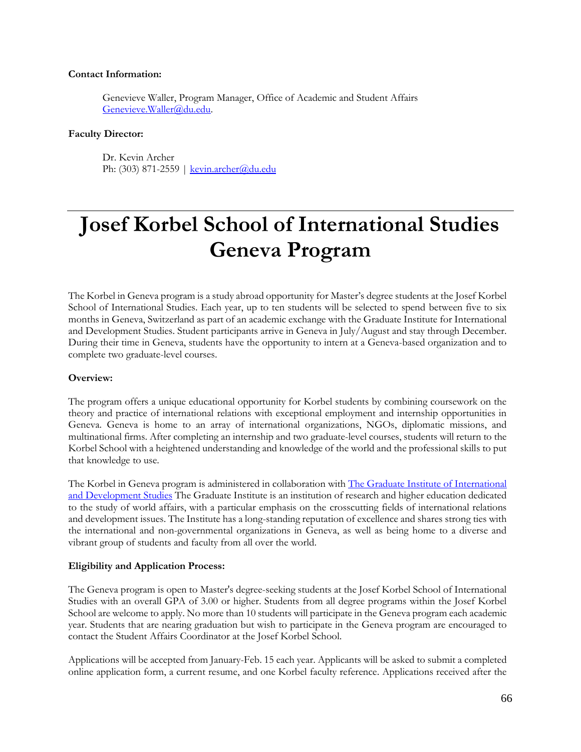#### **Contact Information:**

Genevieve Waller, Program Manager, Office of Academic and Student Affairs [Genevieve.Waller@du.edu.](mailto:Genevieve.Waller@du.edu)

#### **Faculty Director:**

Dr. Kevin Archer Ph: (303) 871-2559 | [kevin.archer@du.edu](mailto:kevin.archer@du.edu)

# **Josef Korbel School of International Studies Geneva Program**

The Korbel in Geneva program is a study abroad opportunity for Master's degree students at the Josef Korbel School of International Studies. Each year, up to ten students will be selected to spend between five to six months in Geneva, Switzerland as part of an academic exchange with the Graduate Institute for International and Development Studies. Student participants arrive in Geneva in July/August and stay through December. During their time in Geneva, students have the opportunity to intern at a Geneva-based organization and to complete two graduate-level courses.

#### **Overview:**

The program offers a unique educational opportunity for Korbel students by combining coursework on the theory and practice of international relations with exceptional employment and internship opportunities in Geneva. Geneva is home to an array of international organizations, NGOs, diplomatic missions, and multinational firms. After completing an internship and two graduate-level courses, students will return to the Korbel School with a heightened understanding and knowledge of the world and the professional skills to put that knowledge to use.

The Korbel in Geneva program is administered in collaboration with [The Graduate Institute of International](http://graduateinstitute.ch/home.html)  [and Development Studies](http://graduateinstitute.ch/home.html) The Graduate Institute is an institution of research and higher education dedicated to the study of world affairs, with a particular emphasis on the crosscutting fields of international relations and development issues. The Institute has a long-standing reputation of excellence and shares strong ties with the international and non-governmental organizations in Geneva, as well as being home to a diverse and vibrant group of students and faculty from all over the world.

#### **Eligibility and Application Process:**

The Geneva program is open to Master's degree-seeking students at the Josef Korbel School of International Studies with an overall GPA of 3.00 or higher. Students from all degree programs within the Josef Korbel School are welcome to apply. No more than 10 students will participate in the Geneva program each academic year. Students that are nearing graduation but wish to participate in the Geneva program are encouraged to contact the Student Affairs Coordinator at the Josef Korbel School.

Applications will be accepted from January-Feb. 15 each year. Applicants will be asked to submit a completed online application form, a current resume, and one Korbel faculty reference. Applications received after the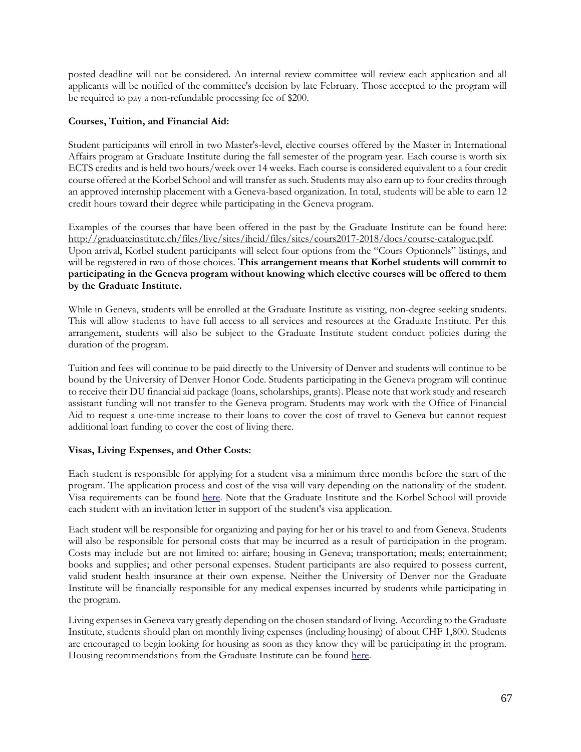posted deadline will not be considered. An internal review committee will review each application and all applicants will be notified of the committee's decision by late February. Those accepted to the program will be required to pay a non-refundable processing fee of \$200.

#### **Courses, Tuition, and Financial Aid:**

Student participants will enroll in two Master's-level, elective courses offered by the Master in International Affairs program at Graduate Institute during the fall semester of the program year. Each course is worth six ECTS credits and is held two hours/week over 14 weeks. Each course is considered equivalent to a four credit course offered at the Korbel School and will transfer as such. Students may also earn up to four credits through an approved internship placement with a Geneva-based organization. In total, students will be able to earn 12 credit hours toward their degree while participating in the Geneva program.

Examples of the courses that have been offered in the past by the Graduate Institute can be found here: [http://graduateinstitute.ch/files/live/sites/iheid/files/sites/cours2017-2018/docs/course-catalogue.pdf.](http://graduateinstitute.ch/files/live/sites/iheid/files/sites/cours2017-2018/docs/course-catalogue.pdf) Upon arrival, Korbel student participants will select four options from the "Cours Optionnels" listings, and will be registered in two of those choices. **This arrangement means that Korbel students will commit to participating in the Geneva program without knowing which elective courses will be offered to them by the Graduate Institute.**

While in Geneva, students will be enrolled at the Graduate Institute as visiting, non-degree seeking students. This will allow students to have full access to all services and resources at the Graduate Institute. Per this arrangement, students will also be subject to the Graduate Institute student conduct policies during the duration of the program.

Tuition and fees will continue to be paid directly to the University of Denver and students will continue to be bound by the University of Denver Honor Code. Students participating in the Geneva program will continue to receive their DU financial aid package (loans, scholarships, grants). Please note that work study and research assistant funding will not transfer to the Geneva program. Students may work with the Office of Financial Aid to request a one-time increase to their loans to cover the cost of travel to Geneva but cannot request additional loan funding to cover the cost of living there.

#### **Visas, Living Expenses, and Other Costs:**

Each student is responsible for applying for a student visa a minimum three months before the start of the program. The application process and cost of the visa will vary depending on the nationality of the student. Visa requirements can be found [here.](https://www.eda.admin.ch/countries/usa/en/home/visa/entry-ch/more-90-days.html) Note that the Graduate Institute and the Korbel School will provide each student with an invitation letter in support of the student's visa application.

Each student will be responsible for organizing and paying for her or his travel to and from Geneva. Students will also be responsible for personal costs that may be incurred as a result of participation in the program. Costs may include but are not limited to: airfare; housing in Geneva; transportation; meals; entertainment; books and supplies; and other personal expenses. Student participants are also required to possess current, valid student health insurance at their own expense. Neither the University of Denver nor the Graduate Institute will be financially responsible for any medical expenses incurred by students while participating in the program.

Living expenses in Geneva vary greatly depending on the chosen standard of living. According to the Graduate Institute, students should plan on monthly living expenses (including housing) of about CHF 1,800. Students are encouraged to begin looking for housing as soon as they know they will be participating in the program. Housing recommendations from the Graduate Institute can be found [here.](http://www.du.edu/korbel/sie/media/documents/geneva/2014_accommodation.pdf)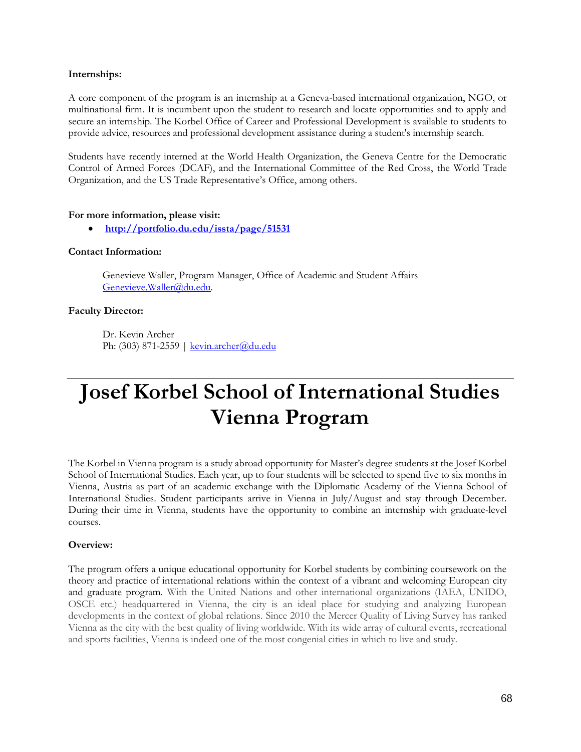#### **Internships:**

A core component of the program is an internship at a Geneva-based international organization, NGO, or multinational firm. It is incumbent upon the student to research and locate opportunities and to apply and secure an internship. The Korbel Office of Career and Professional Development is available to students to provide advice, resources and professional development assistance during a student's internship search.

Students have recently interned at the World Health Organization, the Geneva Centre for the Democratic Control of Armed Forces (DCAF), and the International Committee of the Red Cross, the World Trade Organization, and the US Trade Representative's Office, among others.

#### **For more information, please visit:**

• **<http://portfolio.du.edu/issta/page/51531>**

#### **Contact Information:**

Genevieve Waller, Program Manager, Office of Academic and Student Affairs [Genevieve.Waller@du.edu.](mailto:Genevieve.Waller@du.edu)

#### **Faculty Director:**

Dr. Kevin Archer Ph: (303) 871-2559 | [kevin.archer@du.edu](mailto:kevin.archer@du.edu)

## **Josef Korbel School of International Studies Vienna Program**

The Korbel in Vienna program is a study abroad opportunity for Master's degree students at the Josef Korbel School of International Studies. Each year, up to four students will be selected to spend five to six months in Vienna, Austria as part of an academic exchange with the Diplomatic Academy of the Vienna School of International Studies. Student participants arrive in Vienna in July/August and stay through December. During their time in Vienna, students have the opportunity to combine an internship with graduate-level courses.

#### **Overview:**

The program offers a unique educational opportunity for Korbel students by combining coursework on the theory and practice of international relations within the context of a vibrant and welcoming European city and graduate program. With the United Nations and other international organizations (IAEA, UNIDO, OSCE etc.) headquartered in Vienna, the city is an ideal place for studying and analyzing European developments in the context of global relations. Since 2010 the Mercer Quality of Living Survey has ranked Vienna as the city with the best quality of living worldwide. With its wide array of cultural events, recreational and sports facilities, Vienna is indeed one of the most congenial cities in which to live and study.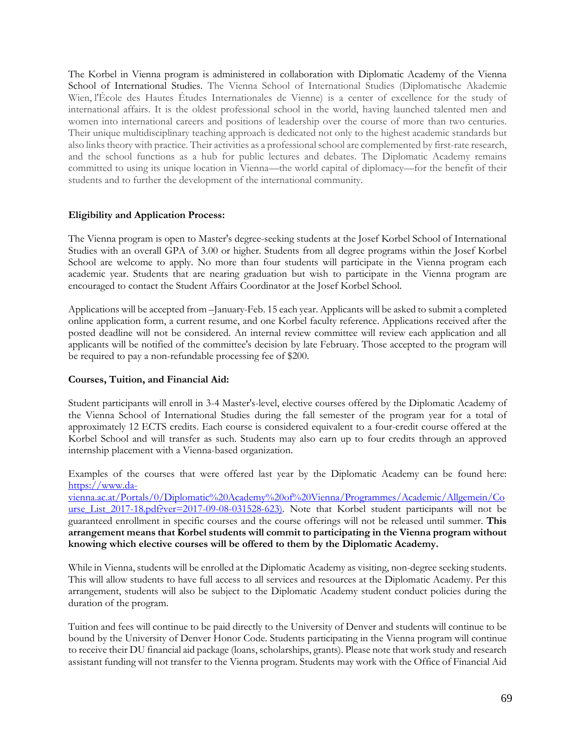The Korbel in Vienna program is administered in collaboration with Diplomatic Academy of the Vienna School of International Studies. The Vienna School of International Studies (Diplomatische Akademie Wien, l'École des Hautes Études Internationales de Vienne) is a center of excellence for the study of international affairs. It is the oldest professional school in the world, having launched talented men and women into international careers and positions of leadership over the course of more than two centuries. Their unique multidisciplinary teaching approach is dedicated not only to the highest academic standards but also links theory with practice. Their activities as a professional school are complemented by first-rate research, and the school functions as a hub for public lectures and debates. The Diplomatic Academy remains committed to using its unique location in Vienna—the world capital of diplomacy—for the benefit of their students and to further the development of the international community.

#### **Eligibility and Application Process:**

The Vienna program is open to Master's degree-seeking students at the Josef Korbel School of International Studies with an overall GPA of 3.00 or higher. Students from all degree programs within the Josef Korbel School are welcome to apply. No more than four students will participate in the Vienna program each academic year. Students that are nearing graduation but wish to participate in the Vienna program are encouraged to contact the Student Affairs Coordinator at the Josef Korbel School.

Applications will be accepted from –January-Feb. 15 each year. Applicants will be asked to submit a completed online application form, a current resume, and one Korbel faculty reference. Applications received after the posted deadline will not be considered. An internal review committee will review each application and all applicants will be notified of the committee's decision by late February. Those accepted to the program will be required to pay a non-refundable processing fee of \$200.

#### **Courses, Tuition, and Financial Aid:**

Student participants will enroll in 3-4 Master's-level, elective courses offered by the Diplomatic Academy of the Vienna School of International Studies during the fall semester of the program year for a total of approximately 12 ECTS credits. Each course is considered equivalent to a four-credit course offered at the Korbel School and will transfer as such. Students may also earn up to four credits through an approved internship placement with a Vienna-based organization.

Examples of the courses that were offered last year by the Diplomatic Academy can be found here: https://www.da-

vienna.ac.at/Portals/0/Diplomatic%20Academy%20of%20Vienna/Programmes/Academic/Allgemein/Co urse List 2017-18.pdf?ver=2017-09-08-031528-623). Note that Korbel student participants will not be guaranteed enrollment in specific courses and the course offerings will not be released until summer. **This arrangement means that Korbel students will commit to participating in the Vienna program without knowing which elective courses will be offered to them by the Diplomatic Academy.**

While in Vienna, students will be enrolled at the Diplomatic Academy as visiting, non-degree seeking students. This will allow students to have full access to all services and resources at the Diplomatic Academy. Per this arrangement, students will also be subject to the Diplomatic Academy student conduct policies during the duration of the program.

Tuition and fees will continue to be paid directly to the University of Denver and students will continue to be bound by the University of Denver Honor Code. Students participating in the Vienna program will continue to receive their DU financial aid package (loans, scholarships, grants). Please note that work study and research assistant funding will not transfer to the Vienna program. Students may work with the Office of Financial Aid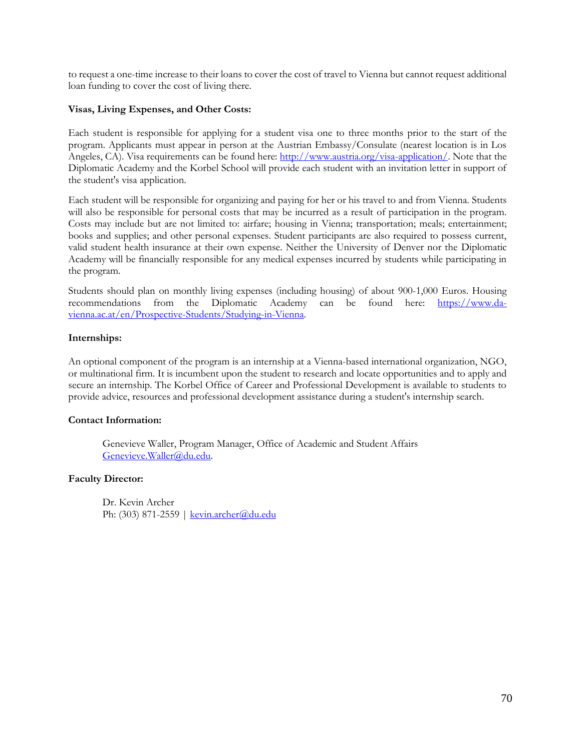to request a one-time increase to their loans to cover the cost of travel to Vienna but cannot request additional loan funding to cover the cost of living there.

#### **Visas, Living Expenses, and Other Costs:**

Each student is responsible for applying for a student visa one to three months prior to the start of the program. Applicants must appear in person at the Austrian Embassy/Consulate (nearest location is in Los Angeles, CA). Visa requirements can be found here: http://www.austria.org/visa-application/. Note that the Diplomatic Academy and the Korbel School will provide each student with an invitation letter in support of the student's visa application.

Each student will be responsible for organizing and paying for her or his travel to and from Vienna. Students will also be responsible for personal costs that may be incurred as a result of participation in the program. Costs may include but are not limited to: airfare; housing in Vienna; transportation; meals; entertainment; books and supplies; and other personal expenses. Student participants are also required to possess current, valid student health insurance at their own expense. Neither the University of Denver nor the Diplomatic Academy will be financially responsible for any medical expenses incurred by students while participating in the program.

Students should plan on monthly living expenses (including housing) of about 900-1,000 Euros. Housing recommendations from the Diplomatic Academy can be found here: https://www.davienna.ac.at/en/Prospective-Students/Studying-in-Vienna.

#### **Internships:**

An optional component of the program is an internship at a Vienna-based international organization, NGO, or multinational firm. It is incumbent upon the student to research and locate opportunities and to apply and secure an internship. The Korbel Office of Career and Professional Development is available to students to provide advice, resources and professional development assistance during a student's internship search.

#### **Contact Information:**

Genevieve Waller, Program Manager, Office of Academic and Student Affairs [Genevieve.Waller@du.edu.](mailto:Genevieve.Waller@du.edu)

#### **Faculty Director:**

Dr. Kevin Archer Ph: (303) 871-2559 | [kevin.archer@du.edu](mailto:kevin.archer@du.edu)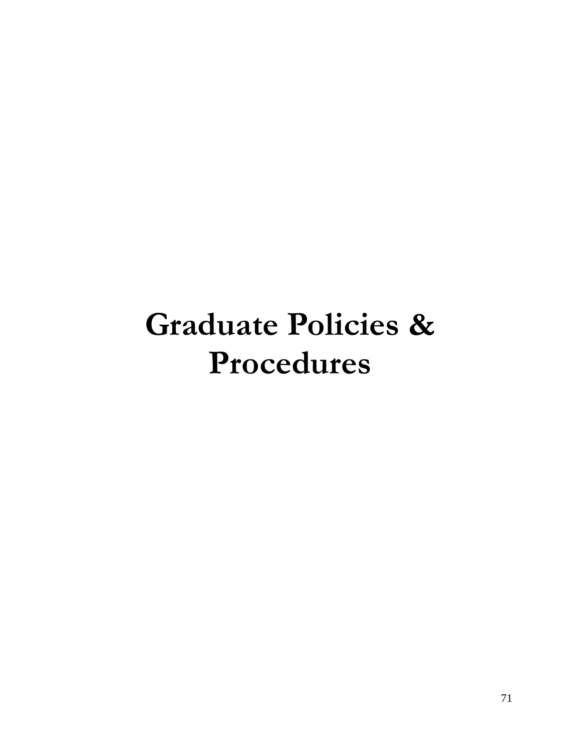# **Graduate Policies & Procedures**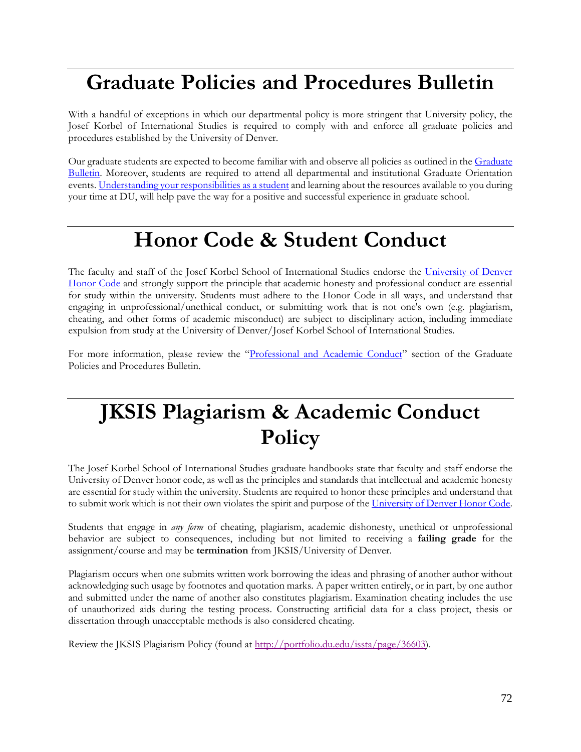### **Graduate Policies and Procedures Bulletin**

With a handful of exceptions in which our departmental policy is more stringent that University policy, the Josef Korbel of International Studies is required to comply with and enforce all graduate policies and procedures established by the University of Denver.

Our graduate students are expected to become familiar with and observe all policies as outlined in the Graduate [Bulletin.](http://bulletin.du.edu/graduate/) Moreover, students are required to attend all departmental and institutional Graduate Orientation events. [Understanding your responsibilities as a](http://bulletin.du.edu/graduate/academic-requirements-policies-and-procedures/student-responsibility-for-policies-and-procedures/) student and learning about the resources available to you during your time at DU, will help pave the way for a positive and successful experience in graduate school.

### **Honor Code & Student Conduct**

The faculty and staff of the Josef Korbel School of International Studies endorse the University of Denver [Honor Code](http://www.du.edu/studentlife/studentconduct/honorcode.html) and strongly support the principle that academic honesty and professional conduct are essential for study within the university. Students must adhere to the Honor Code in all ways, and understand that engaging in unprofessional/unethical conduct, or submitting work that is not one's own (e.g. plagiarism, cheating, and other forms of academic misconduct) are subject to disciplinary action, including immediate expulsion from study at the University of Denver/Josef Korbel School of International Studies.

For more information, please review the "[Professional and Academic Conduct](http://bulletin.du.edu/graduate/academic-and-student-support-services-policies-and-procedures/student-conduct/)" section of the Graduate Policies and Procedures Bulletin.

## **JKSIS Plagiarism & Academic Conduct Policy**

The Josef Korbel School of International Studies graduate handbooks state that faculty and staff endorse the University of Denver honor code, as well as the principles and standards that intellectual and academic honesty are essential for study within the university. Students are required to honor these principles and understand that to submit work which is not their own violates the spirit and purpose of th[e University of Denver Honor Code.](http://www.du.edu/studentlife/studentconduct/honorcode.html)

Students that engage in *any form* of cheating, plagiarism, academic dishonesty, unethical or unprofessional behavior are subject to consequences, including but not limited to receiving a **failing grade** for the assignment/course and may be **termination** from JKSIS/University of Denver.

Plagiarism occurs when one submits written work borrowing the ideas and phrasing of another author without acknowledging such usage by footnotes and quotation marks. A paper written entirely, or in part, by one author and submitted under the name of another also constitutes plagiarism. Examination cheating includes the use of unauthorized aids during the testing process. Constructing artificial data for a class project, thesis or dissertation through unacceptable methods is also considered cheating.

Review the JKSIS Plagiarism Policy (found at [http://portfolio.du.edu/issta/page/36603\)](http://portfolio.du.edu/issta/page/36603).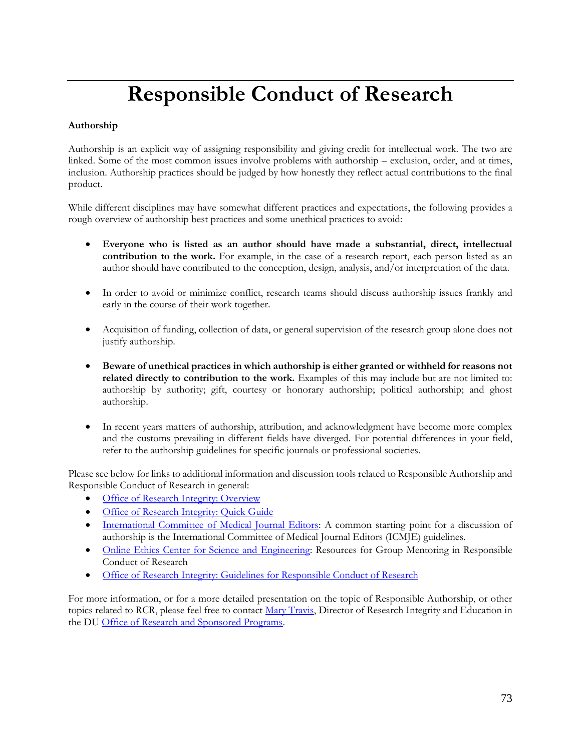# **Responsible Conduct of Research**

#### **Authorship**

Authorship is an explicit way of assigning responsibility and giving credit for intellectual work. The two are linked. Some of the most common issues involve problems with authorship – exclusion, order, and at times, inclusion. Authorship practices should be judged by how honestly they reflect actual contributions to the final product.

While different disciplines may have somewhat different practices and expectations, the following provides a rough overview of authorship best practices and some unethical practices to avoid:

- **Everyone who is listed as an author should have made a substantial, direct, intellectual contribution to the work.** For example, in the case of a research report, each person listed as an author should have contributed to the conception, design, analysis, and/or interpretation of the data.
- In order to avoid or minimize conflict, research teams should discuss authorship issues frankly and early in the course of their work together.
- Acquisition of funding, collection of data, or general supervision of the research group alone does not justify authorship.
- **Beware of unethical practices in which authorship is either granted or withheld for reasons not related directly to contribution to the work.** Examples of this may include but are not limited to: authorship by authority; gift, courtesy or honorary authorship; political authorship; and ghost authorship.
- In recent years matters of authorship, attribution, and acknowledgment have become more complex and the customs prevailing in different fields have diverged. For potential differences in your field, refer to the authorship guidelines for specific journals or professional societies.

Please see below for links to additional information and discussion tools related to Responsible Authorship and Responsible Conduct of Research in general:

- **[Office of Research Integrity: Overview](https://ori.hhs.gov/publicationsauthorship)**
- [Office of Research Integrity: Quick Guide](http://ori.hhs.gov/education/products/niu_authorship/index.htm)
- [International Committee of Medical Journal Editors:](http://www.icmje.org/recommendations/browse/) A common starting point for a discussion of authorship is the International Committee of Medical Journal Editors (ICMJE) guidelines.
- [Online Ethics Center for Science and Engineering:](http://www.onlineethics.org/cms/11865.aspx) Resources for Group Mentoring in Responsible Conduct of Research
- [Office of Research Integrity: Guidelines for Responsible Conduct of Research](http://www.provost.pitt.edu/documents/GUIDELINES%20FOR%20ETHICAL%20PRACTICES%20IN%20RESEARCH-FINALrevised2-March%202011.pdf)

For more information, or for a more detailed presentation on the topic of Responsible Authorship, or other topics related to RCR, please feel free to contact [Mary Travis,](mailto:mary.travis@du.edu) Director of Research Integrity and Education in the DU [Office of Research and Sponsored Programs.](http://www.du.edu/orsp/)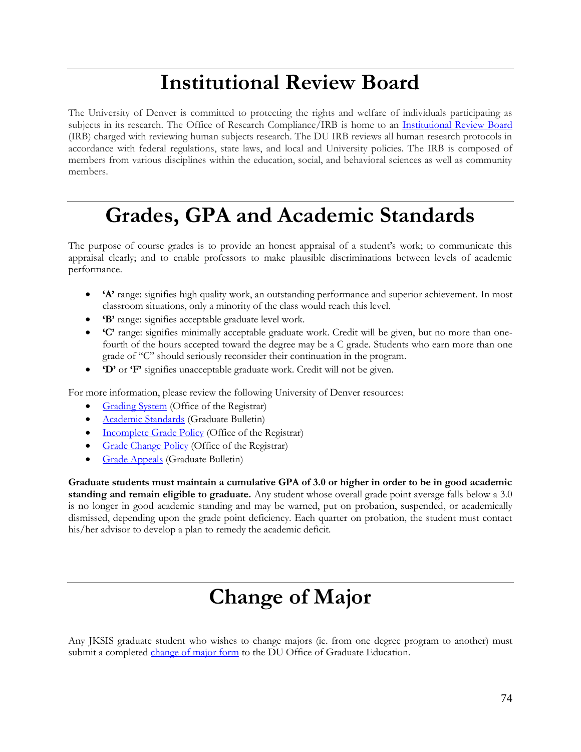# **Institutional Review Board**

The University of Denver is committed to protecting the rights and welfare of individuals participating as subjects in its research. The Office of Research Compliance/IRB is home to an [Institutional Review Board](http://www.du.edu/orsp/research-compliance/human-subjects/) (IRB) charged with reviewing human subjects research. The DU IRB reviews all human research protocols in accordance with federal regulations, state laws, and local and University policies. The IRB is composed of members from various disciplines within the education, social, and behavioral sciences as well as community members.

### **Grades, GPA and Academic Standards**

The purpose of course grades is to provide an honest appraisal of a student's work; to communicate this appraisal clearly; and to enable professors to make plausible discriminations between levels of academic performance.

- **'A'** range: signifies high quality work, an outstanding performance and superior achievement. In most classroom situations, only a minority of the class would reach this level.
- **'B'** range: signifies acceptable graduate level work.
- **'C'** range: signifies minimally acceptable graduate work. Credit will be given, but no more than onefourth of the hours accepted toward the degree may be a C grade. Students who earn more than one grade of "C" should seriously reconsider their continuation in the program.
- **'D'** or **'F'** signifies unacceptable graduate work. Credit will not be given.

For more information, please review the following University of Denver resources:

- [Grading System](http://www.du.edu/registrar/records/gradesystem.html) (Office of the Registrar)
- [Academic Standards](http://bulletin.du.edu/graduate/academic-requirements-policies-and-procedures/academic-standards/) (Graduate Bulletin)
- [Incomplete Grade Policy](http://www.du.edu/registrar/records/incompletegrade.html) (Office of the Registrar)
- [Grade Change Policy](http://www.du.edu/registrar/records/gradechangepolicy.html) (Office of the Registrar)
- **[Grade Appeals](http://bulletin.du.edu/graduate/academic-and-student-support-services-policies-and-procedures/academic-exceptions-complaints-grievances-and-appeals/procedures-for-grade-appeals/)** (Graduate Bulletin)

**Graduate students must maintain a cumulative GPA of 3.0 or higher in order to be in good academic standing and remain eligible to graduate.** Any student whose overall grade point average falls below a 3.0 is no longer in good academic standing and may be warned, put on probation, suspended, or academically dismissed, depending upon the grade point deficiency. Each quarter on probation, the student must contact his/her advisor to develop a plan to remedy the academic deficit.

# **Change of Major**

Any JKSIS graduate student who wishes to change majors (ie. from one degree program to another) must submit a complete[d change of major](https://www.du.edu/_assets/documents/core/changeofmajor.pdf) form to the DU Office of Graduate Education.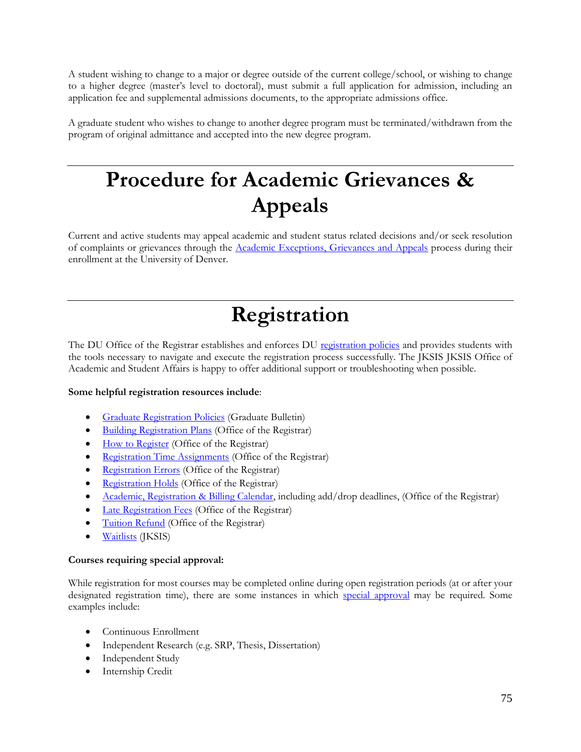A student wishing to change to a major or degree outside of the current college/school, or wishing to change to a higher degree (master's level to doctoral), must submit a full application for admission, including an application fee and supplemental admissions documents, to the appropriate admissions office.

A graduate student who wishes to change to another degree program must be terminated/withdrawn from the program of original admittance and accepted into the new degree program.

# **Procedure for Academic Grievances & Appeals**

Current and active students may appeal academic and student status related decisions and/or seek resolution of complaints or grievances through the [Academic Exceptions, Grievances](http://bulletin.du.edu/graduate/academic-and-student-support-services-policies-and-procedures/academic-exceptions-complaints-grievances-and-appeals/) and Appeals process during their enrollment at the University of Denver.

# **Registration**

The DU Office of the Registrar establishes and enforces DU [registration policies](http://www.du.edu/registrar/registration/index.html) and provides students with the tools necessary to navigate and execute the registration process successfully. The JKSIS JKSIS Office of Academic and Student Affairs is happy to offer additional support or troubleshooting when possible.

#### **Some helpful registration resources include**:

- **[Graduate Registration Policies](http://bulletin.du.edu/graduate/academic-requirements-policies-and-procedures/registration/course-information/)** (Graduate Bulletin)
- [Building Registration Plans](http://www.du.edu/registrar/media/documents/registrationplan.pdf) (Office of the Registrar)
- [How to Register](http://www.du.edu/registrar/registration/howtoregister.html) (Office of the Registrar)
- [Registration Time Assignments](http://www.du.edu/registrar/registration/timeassignment.html) (Office of the Registrar)
- [Registration Errors](http://www.du.edu/registrar/registration/registrationerror.html) (Office of the Registrar)
- [Registration Holds](http://www.du.edu/registrar/registration/regholds.html) (Office of the Registrar)
- [Academic, Registration & Billing Calendar,](http://www.du.edu/registrar/calendar/index.html) including add/drop deadlines, (Office of the Registrar)
- [Late Registration Fees](http://www.du.edu/registrar/registration/lateregistration.html) (Office of the Registrar)
- [Tuition Refund](http://www.du.edu/registrar/calendar/tuitionrefunddates.html) (Office of the Registrar)
- **[Waitlists](http://portfolio.du.edu/issta/page/54540)** (JKSIS)

#### **Courses requiring special approval:**

While registration for most courses may be completed online during open registration periods (at or after your designated registration time), there are some instances in which [special approval](http://www.du.edu/registrar/registration/courseapproval.html) may be required. Some examples include:

- Continuous Enrollment
- Independent Research (e.g. SRP, Thesis, Dissertation)
- Independent Study
- Internship Credit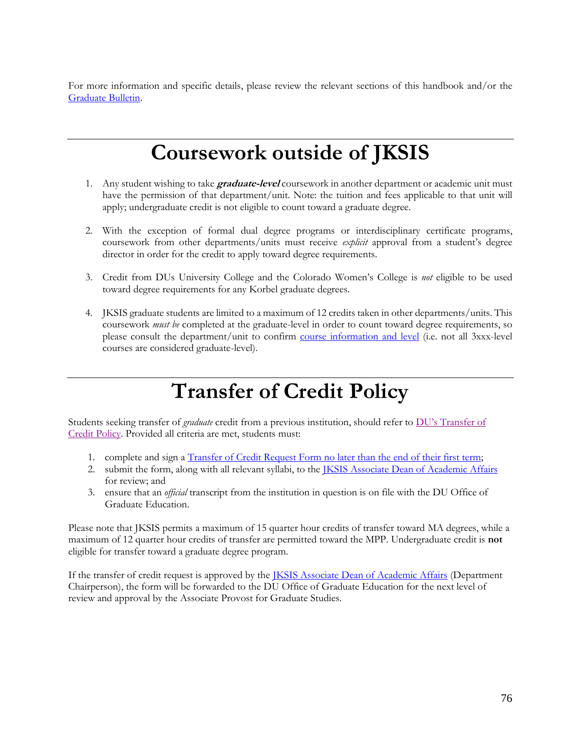For more information and specific details, please review the relevant sections of this handbook and/or the [Graduate Bulletin.](http://bulletin.du.edu/graduate/)

### **Coursework outside of JKSIS**

- 1. Any student wishing to take **graduate-level** coursework in another department or academic unit must have the permission of that department/unit. Note: the tuition and fees applicable to that unit will apply; undergraduate credit is not eligible to count toward a graduate degree.
- 2. With the exception of formal dual degree programs or interdisciplinary certificate programs, coursework from other departments/units must receive *explicit* approval from a student's degree director in order for the credit to apply toward degree requirements.
- 3. Credit from DUs University College and the Colorado Women's College is *not* eligible to be used toward degree requirements for any Korbel graduate degrees.
- 4. JKSIS graduate students are limited to a maximum of 12 credits taken in other departments/units. This coursework *must be* completed at the graduate-level in order to count toward degree requirements, so please consult the department/unit to confirm [course information and level](http://bulletin.du.edu/graduate/academic-requirements-policies-and-procedures/registration/course-information/) (i.e. not all 3xxx-level courses are considered graduate-level).

# **Transfer of Credit Policy**

Students seeking transfer of *graduate* credit from a previous institution, should refer to [DU's Transfer of](http://bulletin.du.edu/graduate/academic-requirements-policies-and-procedures/transfer-of-credit/)  [Credit Policy.](http://bulletin.du.edu/graduate/academic-requirements-policies-and-procedures/transfer-of-credit/) Provided all criteria are met, students must:

- 1. complete and sign a [Transfer of Credit Request Form](http://www.du.edu/media/documents/graduates/transfer.pdf) no later than the end of their first term;
- 2. submit the form, along with all relevant syllabi, to the [JKSIS Associate Dean of Academic Affairs](mailto:AssocDean.Korbel@du.edu) for review; and
- 3. ensure that an *official* transcript from the institution in question is on file with the DU Office of Graduate Education.

Please note that JKSIS permits a maximum of 15 quarter hour credits of transfer toward MA degrees, while a maximum of 12 quarter hour credits of transfer are permitted toward the MPP. Undergraduate credit is **not** eligible for transfer toward a graduate degree program.

If the transfer of credit request is approved by the **IKSIS** Associate Dean of Academic Affairs (Department Chairperson), the form will be forwarded to the DU Office of Graduate Education for the next level of review and approval by the Associate Provost for Graduate Studies.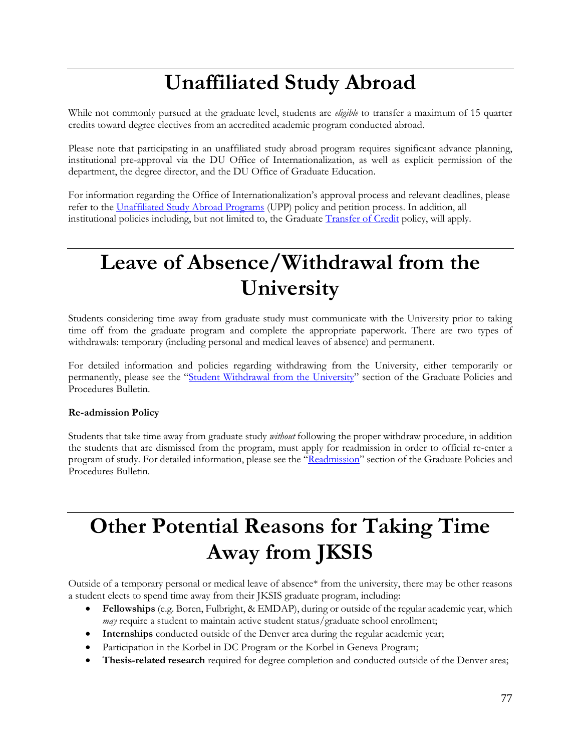# **Unaffiliated Study Abroad**

While not commonly pursued at the graduate level, students are *eligible* to transfer a maximum of 15 quarter credits toward degree electives from an accredited academic program conducted abroad.

Please note that participating in an unaffiliated study abroad program requires significant advance planning, institutional pre-approval via the DU Office of Internationalization, as well as explicit permission of the department, the degree director, and the DU Office of Graduate Education.

For information regarding the Office of Internationalization's approval process and relevant deadlines, please refer to the [Unaffiliated Study Abroad Programs](http://www.du.edu/abroad/graduate-students.html) (UPP) policy and petition process. In addition, all institutional policies including, but not limited to, the Graduate [Transfer of Credit](http://bulletin.du.edu/graduate/academic-requirements-policies-and-procedures/transfer-of-credit/) policy, will apply.

# **Leave of Absence/Withdrawal from the University**

Students considering time away from graduate study must communicate with the University prior to taking time off from the graduate program and complete the appropriate paperwork. There are two types of withdrawals: temporary (including personal and medical leaves of absence) and permanent.

For detailed information and policies regarding withdrawing from the University, either temporarily or permanently, please see the "[Student Withdrawal from the University](http://bulletin.du.edu/graduate/academic-requirements-policies-and-procedures/student-withdrawal-from-the-university/)" section of the Graduate Policies and Procedures Bulletin.

#### **Re-admission Policy**

Students that take time away from graduate study *without* following the proper withdraw procedure, in addition the students that are dismissed from the program, must apply for readmission in order to official re-enter a program of study. For detailed information, please see the "[Readmission](http://bulletin.du.edu/graduate/academic-requirements-policies-and-procedures/readmission/)" section of the Graduate Policies and Procedures Bulletin.

# **Other Potential Reasons for Taking Time Away from JKSIS**

Outside of a temporary personal or medical leave of absence\* from the university, there may be other reasons a student elects to spend time away from their JKSIS graduate program, including:

- **Fellowships** (e.g. Boren, Fulbright, & EMDAP), during or outside of the regular academic year, which *may* require a student to maintain active student status/graduate school enrollment;
- **Internships** conducted outside of the Denver area during the regular academic year;
- Participation in the Korbel in DC Program or the Korbel in Geneva Program;
- **Thesis-related research** required for degree completion and conducted outside of the Denver area;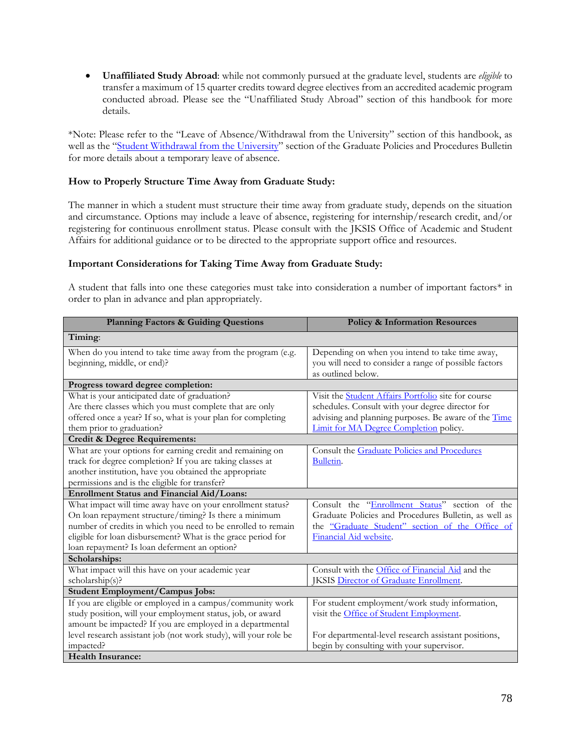• **Unaffiliated Study Abroad**: while not commonly pursued at the graduate level, students are *eligible* to transfer a maximum of 15 quarter credits toward degree electives from an accredited academic program conducted abroad. Please see the "Unaffiliated Study Abroad" section of this handbook for more details.

\*Note: Please refer to the "Leave of Absence/Withdrawal from the University" section of this handbook, as well as the "[Student Withdrawal from the University](http://bulletin.du.edu/graduate/academic-requirements-policies-and-procedures/student-withdrawal-from-the-university/)" section of the Graduate Policies and Procedures Bulletin for more details about a temporary leave of absence.

#### **How to Properly Structure Time Away from Graduate Study:**

The manner in which a student must structure their time away from graduate study, depends on the situation and circumstance. Options may include a leave of absence, registering for internship/research credit, and/or registering for continuous enrollment status. Please consult with the JKSIS Office of Academic and Student Affairs for additional guidance or to be directed to the appropriate support office and resources.

#### **Important Considerations for Taking Time Away from Graduate Study:**

A student that falls into one these categories must take into consideration a number of important factors\* in order to plan in advance and plan appropriately.

| <b>Planning Factors &amp; Guiding Questions</b>                                                                                                                                                                                                                                                      | <b>Policy &amp; Information Resources</b>                                                                                                                                                                        |
|------------------------------------------------------------------------------------------------------------------------------------------------------------------------------------------------------------------------------------------------------------------------------------------------------|------------------------------------------------------------------------------------------------------------------------------------------------------------------------------------------------------------------|
| Timing:                                                                                                                                                                                                                                                                                              |                                                                                                                                                                                                                  |
| When do you intend to take time away from the program (e.g.<br>beginning, middle, or end)?                                                                                                                                                                                                           | Depending on when you intend to take time away,<br>you will need to consider a range of possible factors<br>as outlined below.                                                                                   |
| Progress toward degree completion:                                                                                                                                                                                                                                                                   |                                                                                                                                                                                                                  |
| What is your anticipated date of graduation?<br>Are there classes which you must complete that are only<br>offered once a year? If so, what is your plan for completing<br>them prior to graduation?                                                                                                 | Visit the <b>Student Affairs Portfolio</b> site for course<br>schedules. Consult with your degree director for<br>advising and planning purposes. Be aware of the Time<br>Limit for MA Degree Completion policy. |
| Credit & Degree Requirements:                                                                                                                                                                                                                                                                        |                                                                                                                                                                                                                  |
| What are your options for earning credit and remaining on<br>track for degree completion? If you are taking classes at<br>another institution, have you obtained the appropriate<br>permissions and is the eligible for transfer?                                                                    | Consult the Graduate Policies and Procedures<br>Bulletin.                                                                                                                                                        |
| Enrollment Status and Financial Aid/Loans:                                                                                                                                                                                                                                                           |                                                                                                                                                                                                                  |
| What impact will time away have on your enrollment status?<br>On loan repayment structure/timing? Is there a minimum<br>number of credits in which you need to be enrolled to remain<br>eligible for loan disbursement? What is the grace period for<br>loan repayment? Is loan deferment an option? | Consult the "Enrollment Status" section of the<br>Graduate Policies and Procedures Bulletin, as well as<br>the "Graduate Student" section of the Office of<br>Financial Aid website.                             |
| Scholarships:                                                                                                                                                                                                                                                                                        |                                                                                                                                                                                                                  |
| What impact will this have on your academic year<br>scholarship(s)?                                                                                                                                                                                                                                  | Consult with the Office of Financial Aid and the<br><b>IKSIS Director of Graduate Enrollment.</b>                                                                                                                |
| Student Employment/Campus Jobs:                                                                                                                                                                                                                                                                      |                                                                                                                                                                                                                  |
| If you are eligible or employed in a campus/community work<br>study position, will your employment status, job, or award<br>amount be impacted? If you are employed in a departmental<br>level research assistant job (not work study), will your role be                                            | For student employment/work study information,<br>visit the Office of Student Employment.<br>For departmental-level research assistant positions,                                                                |
| impacted?                                                                                                                                                                                                                                                                                            | begin by consulting with your supervisor.                                                                                                                                                                        |
| <b>Health Insurance:</b>                                                                                                                                                                                                                                                                             |                                                                                                                                                                                                                  |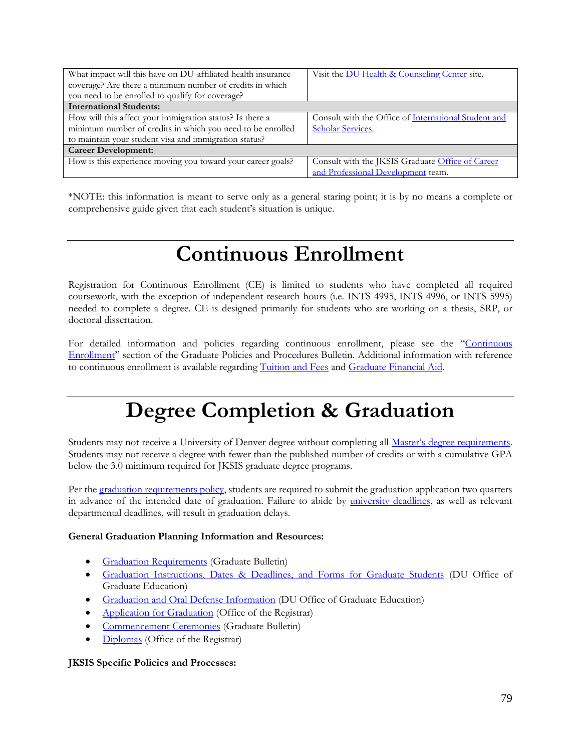| What impact will this have on DU-affiliated health insurance<br>coverage? Are there a minimum number of credits in which | Visit the DU Health & Counseling Center site.        |
|--------------------------------------------------------------------------------------------------------------------------|------------------------------------------------------|
| you need to be enrolled to qualify for coverage?                                                                         |                                                      |
| <b>International Students:</b>                                                                                           |                                                      |
| How will this affect your immigration status? Is there a                                                                 | Consult with the Office of International Student and |
| minimum number of credits in which you need to be enrolled                                                               | Scholar Services.                                    |
| to maintain your student visa and immigration status?                                                                    |                                                      |
| <b>Career Development:</b>                                                                                               |                                                      |
| How is this experience moving you toward your career goals?                                                              | Consult with the JKSIS Graduate Office of Career     |
|                                                                                                                          | and Professional Development team.                   |

\*NOTE: this information is meant to serve only as a general staring point; it is by no means a complete or comprehensive guide given that each student's situation is unique.

### **Continuous Enrollment**

Registration for Continuous Enrollment (CE) is limited to students who have completed all required coursework, with the exception of independent research hours (i.e. INTS 4995, INTS 4996, or INTS 5995) needed to complete a degree. CE is designed primarily for students who are working on a thesis, SRP, or doctoral dissertation.

For detailed information and policies regarding continuous enrollment, please see the "Continuous [Enrollment](http://bulletin.du.edu/graduate/academic-requirements-policies-and-procedures/enrollment-status/continuous-enrollment/)" section of the Graduate Policies and Procedures Bulletin. Additional information with reference to continuous enrollment is available regarding [Tuition and Fees](http://www.du.edu/registrar/registration/tuition.html) and Graduate Financial Aid.

### **Degree Completion & Graduation**

Students may not receive a University of Denver degree without completing all Master's [degree requirements.](http://bulletin.du.edu/graduate/academic-requirements-policies-and-procedures/masters-degree-requirements/) Students may not receive a degree with fewer than the published number of credits or with a cumulative GPA below the 3.0 minimum required for JKSIS graduate degree programs.

Per th[e graduation requirements policy,](http://bulletin.du.edu/graduate/academic-requirements-policies-and-procedures/graduation-requirements/) students are required to submit the graduation application two quarters in advance of the intended date of graduation. Failure to abide by [university deadlines,](http://www.du.edu/currentstudents/graduates/graduationinformation.html) as well as relevant departmental deadlines, will result in graduation delays.

#### **General Graduation Planning Information and Resources:**

- **[Graduation Requirements](http://bulletin.du.edu/graduate/academic-requirements-policies-and-procedures/graduation-requirements/)** (Graduate Bulletin)
- [Graduation Instructions, Dates & Deadlines, and Forms for Graduate Students](http://www.du.edu/currentstudents/graduates/graduationinformation.html) (DU Office of Graduate Education)
- **[Graduation and Oral Defense Information](https://www.du.edu/info-for/current-students.html) (DU Office of Graduate Education)**
- [Application for Graduation](http://www.du.edu/registrar/graduation/graduationapp.html) (Office of the Registrar)
- [Commencement Ceremonies](http://bulletin.du.edu/graduate/academic-requirements-policies-and-procedures/graduation-requirements/commencement-ceremonies/) (Graduate Bulletin)
- [Diplomas](http://www.du.edu/registrar/records/diplomas.html) (Office of the Registrar)

#### **JKSIS Specific Policies and Processes:**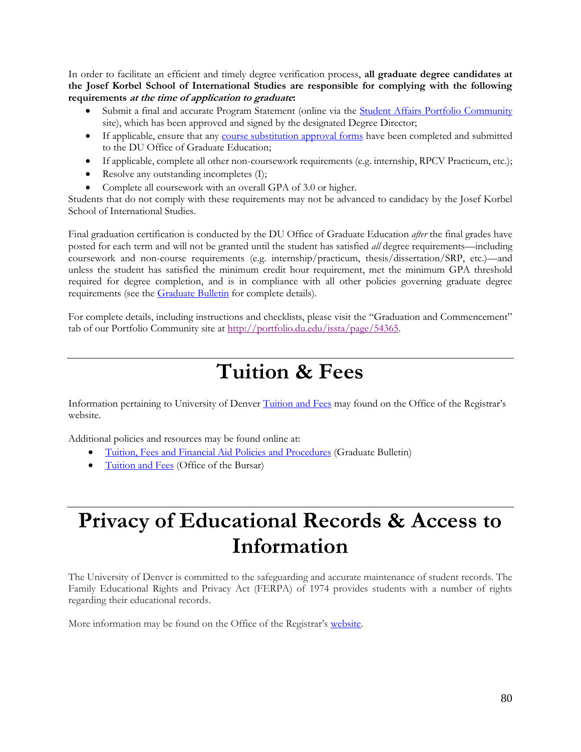In order to facilitate an efficient and timely degree verification process, **all graduate degree candidates at the Josef Korbel School of International Studies are responsible for complying with the following requirements at the time of application to graduate:**

- Submit a final and accurate Program Statement (online via the [Student Affairs Portfolio Community](http://portfolio.du.edu/issta/page/36603) site), which has been approved and signed by the designated Degree Director;
- If applicable, ensure that any [course substitution approval forms](http://www.du.edu/media/documents/graduates/graduatesubstitutionwaiver.pdf) have been completed and submitted to the DU Office of Graduate Education;
- If applicable, complete all other non-coursework requirements (e.g. internship, RPCV Practicum, etc.);
- Resolve any outstanding incompletes (I);
- Complete all coursework with an overall GPA of 3.0 or higher.

Students that do not comply with these requirements may not be advanced to candidacy by the Josef Korbel School of International Studies.

Final graduation certification is conducted by the DU Office of Graduate Education *after* the final grades have posted for each term and will not be granted until the student has satisfied *all* degree requirements—including coursework and non-course requirements (e.g. internship/practicum, thesis/dissertation/SRP, etc.)—and unless the student has satisfied the minimum credit hour requirement, met the minimum GPA threshold required for degree completion, and is in compliance with all other policies governing graduate degree requirements (see th[e Graduate](http://bulletin.du.edu/graduate/) Bulletin for complete details).

For complete details, including instructions and checklists, please visit the "Graduation and Commencement" tab of our Portfolio Community site a[t http://portfolio.du.edu/issta/page/54365.](http://portfolio.du.edu/issta/page/54365)

### **Tuition & Fees**

Information pertaining to University of Denver [Tuition and Fees](http://www.du.edu/registrar/registration/tuition.html) may found on the Office of the Registrar's website.

Additional policies and resources may be found online at:

- [Tuition, Fees and Financial Aid Policies and Procedures](http://bulletin.du.edu/graduate/tuition-fees-and-financial-aid-policies-and-procedures/) (Graduate Bulletin)
- [Tuition and Fees](http://www.du.edu/bursar/tuition/index.html) (Office of the Bursar)

### **Privacy of Educational Records & Access to Information**

The University of Denver is committed to the safeguarding and accurate maintenance of student records. The Family Educational Rights and Privacy Act (FERPA) of 1974 provides students with a number of rights regarding their educational records.

More information may be found on the Office of the Registrar's [website.](http://www.du.edu/registrar/privacy/index.html)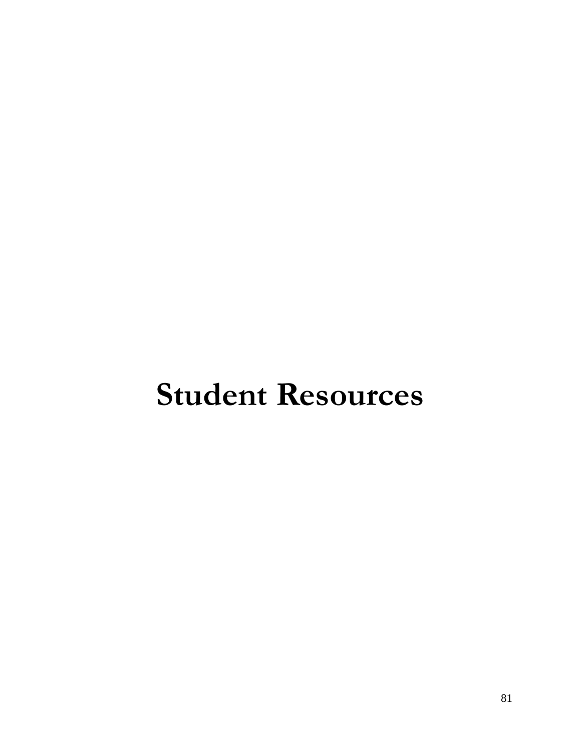# **Student Resources**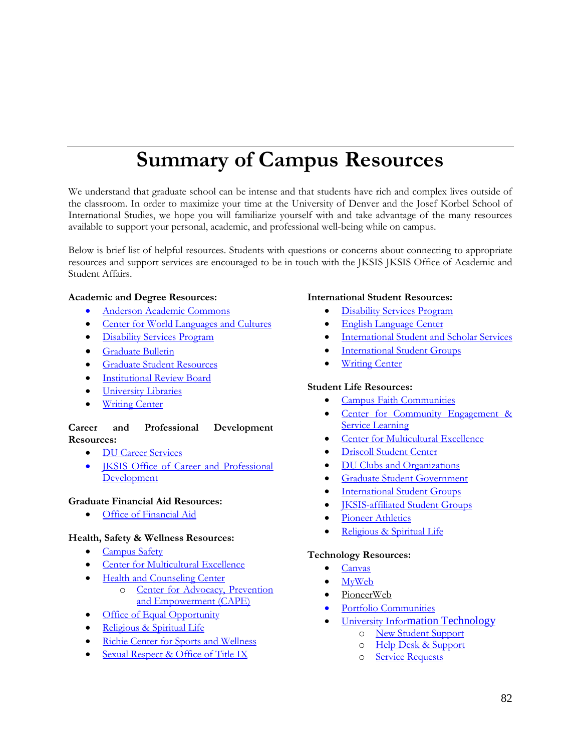# **Summary of Campus Resources**

We understand that graduate school can be intense and that students have rich and complex lives outside of the classroom. In order to maximize your time at the University of Denver and the Josef Korbel School of International Studies, we hope you will familiarize yourself with and take advantage of the many resources available to support your personal, academic, and professional well-being while on campus.

Below is brief list of helpful resources. Students with questions or concerns about connecting to appropriate resources and support services are encouraged to be in touch with the JKSIS JKSIS Office of Academic and Student Affairs.

#### **Academic and Degree Resources:**

- [Anderson Academic Commons](https://www.du.edu/academics/libraries.html)
- [Center for World Languages and Cultures](http://www.du.edu/cwlc/)
- [Disability Services Program](http://www.du.edu/studentlife/disability-services/index.html)
- [Graduate Bulletin](http://bulletin.du.edu/graduate/)
- [Graduate Student Resources](https://www.du.edu/info-for/current-students.html)
- [Institutional Review Board](http://www.du.edu/orsp/research-compliance/human-subjects/)
- **[University Libraries](http://library.du.edu/)**
- **[Writing Center](http://www.du.edu/writing/writingcenter/index.html)**

#### **Career and Professional Development Resources:**

- [DU Career Services](http://www.du.edu/career/)
- **IKSIS** Office of Career and Professional **[Development](https://korbelcareers.du.edu/)**

#### **Graduate Financial Aid Resources:**

• [Office of Financial Aid](http://www.du.edu/financialaid/graduate/index.html)

#### **Health, Safety & Wellness Resources:**

- **[Campus Safety](http://www.du.edu/campussafety/)**
- [Center for Multicultural Excellence](http://www.du.edu/cme/about/)
- [Health and Counseling Center](http://www.du.edu/health-and-counseling-center/index.html)
	- o [Center for Advocacy, Prevention](http://www.du.edu/health-and-counseling-center/cape/)  [and Empowerment \(CAPE\)](http://www.du.edu/health-and-counseling-center/cape/)
- **[Office of Equal Opportunity](http://www.du.edu/equalopportunity/titleix/)**
- [Religious & Spiritual Life](http://www.du.edu/studentlife/religiouslife/)
- [Richie Center for Sports and Wellness](http://www.du.edu/ritchiecenter/)
- [Sexual Respect & Office of Title IX](http://www.du.edu/equalopportunity/titleix/)

#### **International Student Resources:**

- [Disability Services Program](http://www.du.edu/studentlife/disability-services/index.html)
- [English Language Center](http://www.du.edu/elc/)
- [International Student and Scholar Services](http://www.du.edu/isss/)
- **[International Student Groups](http://www.du.edu/isss/du-life/student-groups.html)**
- **[Writing Center](http://www.du.edu/writing/writingcenter/index.html)**

#### **Student Life Resources:**

- **[Campus Faith Communities](http://www.du.edu/studentlife/religiouslife/campus-organizations/index.html)**
- Center for Community Engagement & [Service Learning](http://www.du.edu/ccesl/)
- [Center for Multicultural Excellence](http://www.du.edu/cme/about/)
- [Driscoll Student Center](http://www.du.edu/studentlife/driscoll/)
- [DU Clubs and Organizations](https://www.du.edu/studentlife/engagement/get-involved/organizations-joining.html)
- [Graduate Student Government](http://www.du.edu/gsg/index.html)
- [International Student Groups](http://www.du.edu/isss/du-life/student-groups.html)
- [JKSIS-affiliated Student Groups](https://portfolio.du.edu/issta/page/52059)
- [Pioneer Athletics](http://www.denverpioneers.com/)
- [Religious & Spiritual Life](http://www.du.edu/studentlife/religiouslife/)

#### **Technology Resources:**

- [Canvas](https://canvas.du.edu/)
- [MyWeb](https://myweb.du.edu/)
- [PioneerWeb](https://pioneerweb.du.edu/)
- [Portfolio Communities](https://portfolio.du.edu/)
- University Infor[mation Technology](https://www.du.edu/it/)
	- o [New Student Support](http://www.du.edu/uts/helpdesk/newstudent.html)
	- o [Help Desk & Support](http://www.du.edu/uts/helpdesk/student.html)
	- o [Service Requests](https://univofdenver.service-now.com/techservices_login.do)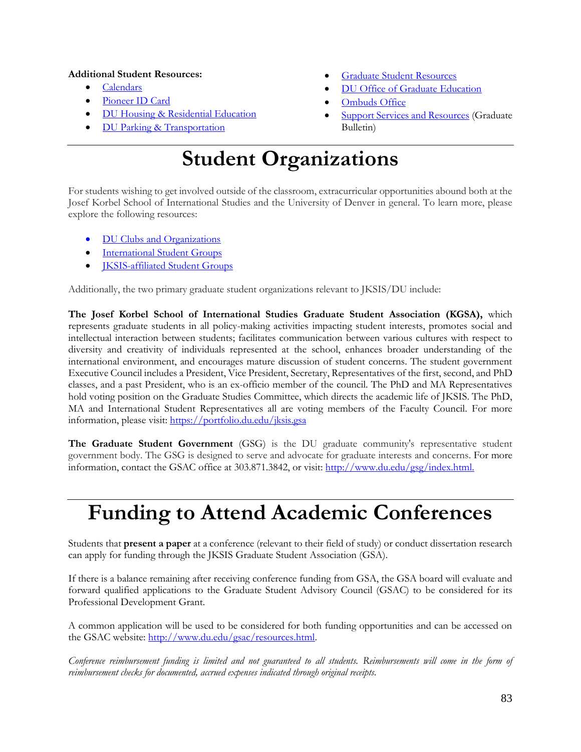#### **Additional Student Resources:**

- [Calendars](http://www.du.edu/calendars/)
- [Pioneer ID Card](https://www.du.edu/pioneercard/)
- [DU Housing & Residential Education](http://www.du.edu/housing/)
- [DU Parking & Transportation](https://www.parking.du.edu/default.aspx)
- [Graduate Student Resources](http://www.du.edu/learn/graduates/studentresources.html)
- [DU Office of Graduate Education](http://www.du.edu/learn/graduates/orientation/online2013.html)
- [Ombuds Office](http://www.du.edu/ombuds/)
- **[Support Services and Resources](http://bulletin.du.edu/graduate/academic-and-student-support-services-policies-and-procedures/) (Graduate** Bulletin)

### **Student Organizations**

For students wishing to get involved outside of the classroom, extracurricular opportunities abound both at the Josef Korbel School of International Studies and the University of Denver in general. To learn more, please explore the following resources:

- [DU Clubs and Organizations](https://www.du.edu/studentlife/engagement/get-involved/organizations-joining.html)
- **[International Student Groups](http://www.du.edu/isss/du-life/student-groups.html)**
- [JKSIS-affiliated Student Groups](https://portfolio.du.edu/issta/page/52059)

Additionally, the two primary graduate student organizations relevant to JKSIS/DU include:

**The Josef Korbel School of International Studies Graduate Student Association (KGSA),** which represents graduate students in all policy-making activities impacting student interests, promotes social and intellectual interaction between students; facilitates communication between various cultures with respect to diversity and creativity of individuals represented at the school, enhances broader understanding of the international environment, and encourages mature discussion of student concerns. The student government Executive Council includes a President, Vice President, Secretary, Representatives of the first, second, and PhD classes, and a past President, who is an ex-officio member of the council. The PhD and MA Representatives hold voting position on the Graduate Studies Committee, which directs the academic life of JKSIS. The PhD, MA and International Student Representatives all are voting members of the Faculty Council. For more information, please visit:<https://portfolio.du.edu/jksis.gsa>

**The Graduate Student Government** (GSG) is the DU graduate community's representative student government body. The GSG is designed to serve and advocate for graduate interests and concerns. For more information, contact the GSAC office at 303.871.3842, or visit: [http://www.du.edu/gsg/index.html.](http://www.du.edu/gsg/index.html)

### **Funding to Attend Academic Conferences**

Students that **present a paper** at a conference (relevant to their field of study) or conduct dissertation research can apply for funding through the JKSIS Graduate Student Association (GSA).

If there is a balance remaining after receiving conference funding from GSA, the GSA board will evaluate and forward qualified applications to the Graduate Student Advisory Council (GSAC) to be considered for its Professional Development Grant.

A common application will be used to be considered for both funding opportunities and can be accessed on the GSAC website: [http://www.du.edu/gsac/resources.html.](http://www.du.edu/gsac/resources.html)

*Conference reimbursement funding is limited and not guaranteed to all students. Reimbursements will come in the form of reimbursement checks for documented, accrued expenses indicated through original receipts.*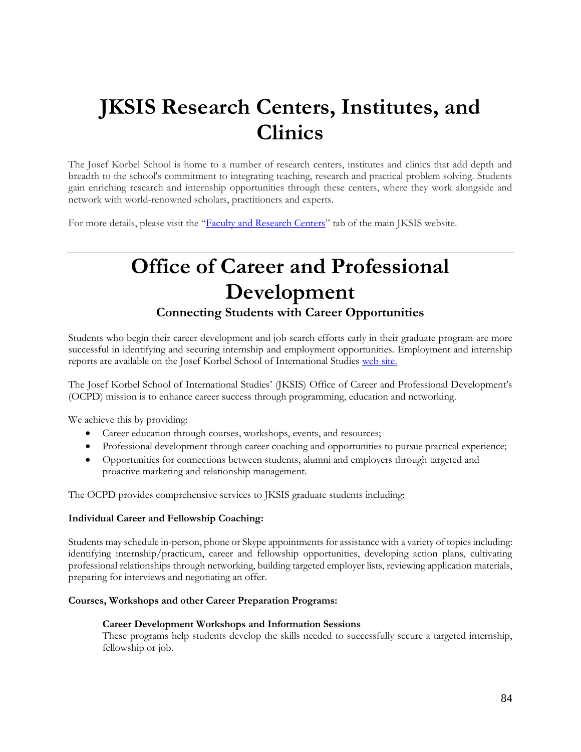# **JKSIS Research Centers, Institutes, and Clinics**

The Josef Korbel School is home to a number of research centers, institutes and clinics that add depth and breadth to the school's commitment to integrating teaching, research and practical problem solving. Students gain enriching research and internship opportunities through these centers, where they work alongside and network with world-renowned scholars, practitioners and experts.

For more details, please visit the "[Faculty and Research Centers](http://www.du.edu/korbel/faculty/research-centers.html)" tab of the main JKSIS website.

### **Office of Career and Professional Development Connecting Students with Career Opportunities**

Students who begin their career development and job search efforts early in their graduate program are more successful in identifying and securing internship and employment opportunities. Employment and internship reports are available on the Josef Korbel School of International Studies [web site.](https://korbel.du.edu/careers-alumni/career-services)

The Josef Korbel School of International Studies' (JKSIS) Office of Career and Professional Development's (OCPD) mission is to enhance career success through programming, education and networking.

We achieve this by providing:

- Career education through courses, workshops, events, and resources;
- Professional development through career coaching and opportunities to pursue practical experience;
- Opportunities for connections between students, alumni and employers through targeted and proactive marketing and relationship management.

The OCPD provides comprehensive services to JKSIS graduate students including:

#### **Individual Career and Fellowship Coaching:**

Students may schedule in-person, phone or Skype appointments for assistance with a variety of topics including: identifying internship/practicum, career and fellowship opportunities, developing action plans, cultivating professional relationships through networking, building targeted employer lists, reviewing application materials, preparing for interviews and negotiating an offer.

#### **Courses, Workshops and other Career Preparation Programs:**

#### **Career Development Workshops and Information Sessions**

These programs help students develop the skills needed to successfully secure a targeted internship, fellowship or job.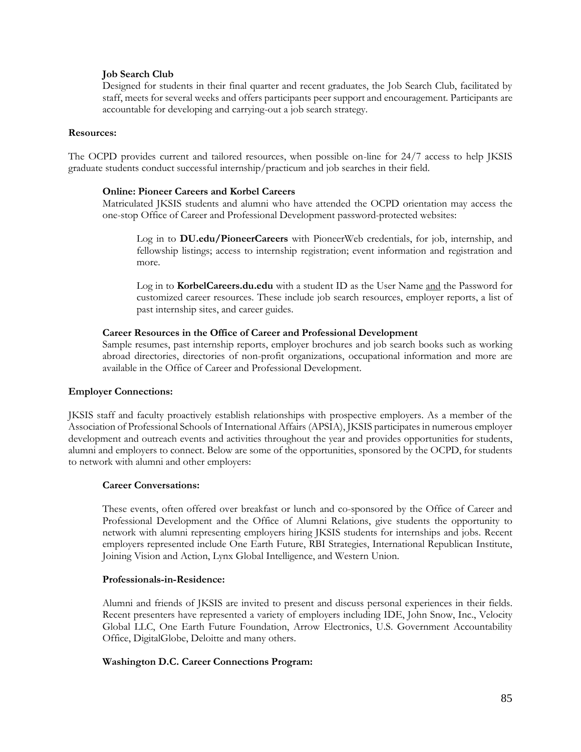#### **Job Search Club**

Designed for students in their final quarter and recent graduates, the Job Search Club, facilitated by staff, meets for several weeks and offers participants peer support and encouragement. Participants are accountable for developing and carrying-out a job search strategy.

#### **Resources:**

The OCPD provides current and tailored resources, when possible on-line for 24/7 access to help JKSIS graduate students conduct successful internship/practicum and job searches in their field.

#### **Online: Pioneer Careers and Korbel Careers**

Matriculated JKSIS students and alumni who have attended the OCPD orientation may access the one-stop Office of Career and Professional Development password-protected websites:

Log in to **DU.edu/PioneerCareers** with PioneerWeb credentials, for job, internship, and fellowship listings; access to internship registration; event information and registration and more.

Log in to **KorbelCareers.du.edu** with a student ID as the User Name and the Password for customized career resources. These include job search resources, employer reports, a list of past internship sites, and career guides.

#### **Career Resources in the Office of Career and Professional Development**

Sample resumes, past internship reports, employer brochures and job search books such as working abroad directories, directories of non-profit organizations, occupational information and more are available in the Office of Career and Professional Development.

#### **Employer Connections:**

JKSIS staff and faculty proactively establish relationships with prospective employers. As a member of the Association of Professional Schools of International Affairs (APSIA), JKSIS participates in numerous employer development and outreach events and activities throughout the year and provides opportunities for students, alumni and employers to connect. Below are some of the opportunities, sponsored by the OCPD, for students to network with alumni and other employers:

#### **Career Conversations:**

These events, often offered over breakfast or lunch and co-sponsored by the Office of Career and Professional Development and the Office of Alumni Relations, give students the opportunity to network with alumni representing employers hiring JKSIS students for internships and jobs. Recent employers represented include One Earth Future, RBI Strategies, International Republican Institute, Joining Vision and Action, Lynx Global Intelligence, and Western Union.

#### **Professionals-in-Residence:**

Alumni and friends of JKSIS are invited to present and discuss personal experiences in their fields. Recent presenters have represented a variety of employers including IDE, John Snow, Inc., Velocity Global LLC, One Earth Future Foundation, Arrow Electronics, U.S. Government Accountability Office, DigitalGlobe, Deloitte and many others.

#### **Washington D.C. Career Connections Program:**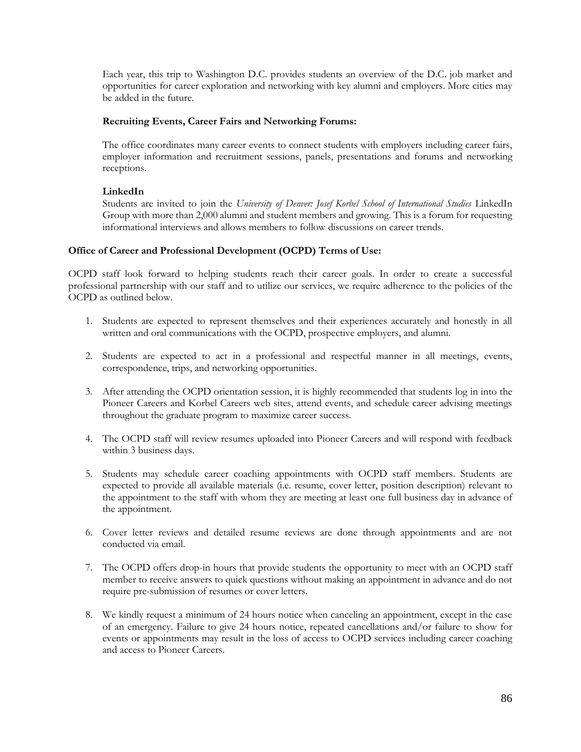Each year, this trip to Washington D.C. provides students an overview of the D.C. job market and opportunities for career exploration and networking with key alumni and employers. More cities may be added in the future.

#### **Recruiting Events, Career Fairs and Networking Forums:**

The office coordinates many career events to connect students with employers including career fairs, employer information and recruitment sessions, panels, presentations and forums and networking receptions.

#### **LinkedIn**

Students are invited to join the *University of Denver: Josef Korbel School of International Studies* LinkedIn Group with more than 2,000 alumni and student members and growing. This is a forum for requesting informational interviews and allows members to follow discussions on career trends.

#### **Office of Career and Professional Development (OCPD) Terms of Use:**

OCPD staff look forward to helping students reach their career goals. In order to create a successful professional partnership with our staff and to utilize our services, we require adherence to the policies of the OCPD as outlined below.

- 1. Students are expected to represent themselves and their experiences accurately and honestly in all written and oral communications with the OCPD, prospective employers, and alumni.
- 2. Students are expected to act in a professional and respectful manner in all meetings, events, correspondence, trips, and networking opportunities.
- 3. After attending the OCPD orientation session, it is highly recommended that students log in into the Pioneer Careers and Korbel Careers web sites, attend events, and schedule career advising meetings throughout the graduate program to maximize career success.
- 4. The OCPD staff will review resumes uploaded into Pioneer Careers and will respond with feedback within 3 business days.
- 5. Students may schedule career coaching appointments with OCPD staff members. Students are expected to provide all available materials (i.e. resume, cover letter, position description) relevant to the appointment to the staff with whom they are meeting at least one full business day in advance of the appointment.
- 6. Cover letter reviews and detailed resume reviews are done through appointments and are not conducted via email.
- 7. The OCPD offers drop-in hours that provide students the opportunity to meet with an OCPD staff member to receive answers to quick questions without making an appointment in advance and do not require pre-submission of resumes or cover letters.
- 8. We kindly request a minimum of 24 hours notice when canceling an appointment, except in the case of an emergency. Failure to give 24 hours notice, repeated cancellations and/or failure to show for events or appointments may result in the loss of access to OCPD services including career coaching and access to Pioneer Careers.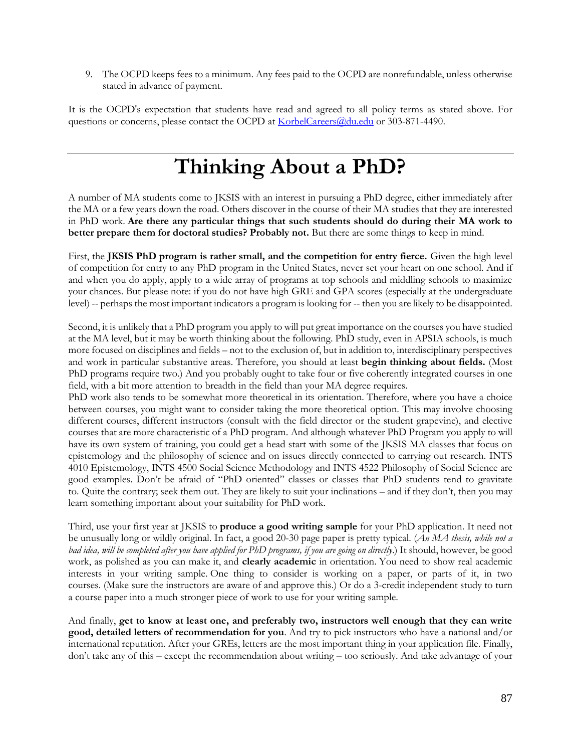9. The OCPD keeps fees to a minimum. Any fees paid to the OCPD are nonrefundable, unless otherwise stated in advance of payment.

It is the OCPD's expectation that students have read and agreed to all policy terms as stated above. For questions or concerns, please contact the OCPD a[t KorbelCareers@du.edu](mailto:KorbelCareers@du.edu) or 303-871-4490.

# **Thinking About a PhD?**

A number of MA students come to JKSIS with an interest in pursuing a PhD degree, either immediately after the MA or a few years down the road. Others discover in the course of their MA studies that they are interested in PhD work. **Are there any particular things that such students should do during their MA work to better prepare them for doctoral studies? Probably not.** But there are some things to keep in mind.

First, the **JKSIS PhD program is rather small, and the competition for entry fierce.** Given the high level of competition for entry to any PhD program in the United States, never set your heart on one school. And if and when you do apply, apply to a wide array of programs at top schools and middling schools to maximize your chances. But please note: if you do not have high GRE and GPA scores (especially at the undergraduate level) -- perhaps the most important indicators a program is looking for -- then you are likely to be disappointed.

Second, it is unlikely that a PhD program you apply to will put great importance on the courses you have studied at the MA level, but it may be worth thinking about the following. PhD study, even in APSIA schools, is much more focused on disciplines and fields – not to the exclusion of, but in addition to, interdisciplinary perspectives and work in particular substantive areas. Therefore, you should at least **begin thinking about fields.** (Most PhD programs require two.) And you probably ought to take four or five coherently integrated courses in one field, with a bit more attention to breadth in the field than your MA degree requires.

PhD work also tends to be somewhat more theoretical in its orientation. Therefore, where you have a choice between courses, you might want to consider taking the more theoretical option. This may involve choosing different courses, different instructors (consult with the field director or the student grapevine), and elective courses that are more characteristic of a PhD program. And although whatever PhD Program you apply to will have its own system of training, you could get a head start with some of the JKSIS MA classes that focus on epistemology and the philosophy of science and on issues directly connected to carrying out research. INTS 4010 Epistemology, INTS 4500 Social Science Methodology and INTS 4522 Philosophy of Social Science are good examples. Don't be afraid of "PhD oriented" classes or classes that PhD students tend to gravitate to. Quite the contrary; seek them out. They are likely to suit your inclinations – and if they don't, then you may learn something important about your suitability for PhD work.

Third, use your first year at JKSIS to **produce a good writing sample** for your PhD application. It need not be unusually long or wildly original. In fact, a good 20-30 page paper is pretty typical. (*An MA thesis, while not a bad idea, will be completed after you have applied for PhD programs, if you are going on directly*.) It should, however, be good work, as polished as you can make it, and **clearly academic** in orientation. You need to show real academic interests in your writing sample. One thing to consider is working on a paper, or parts of it, in two courses. (Make sure the instructors are aware of and approve this.) Or do a 3-credit independent study to turn a course paper into a much stronger piece of work to use for your writing sample.

And finally, **get to know at least one, and preferably two, instructors well enough that they can write good, detailed letters of recommendation for you**. And try to pick instructors who have a national and/or international reputation. After your GREs, letters are the most important thing in your application file. Finally, don't take any of this – except the recommendation about writing – too seriously. And take advantage of your